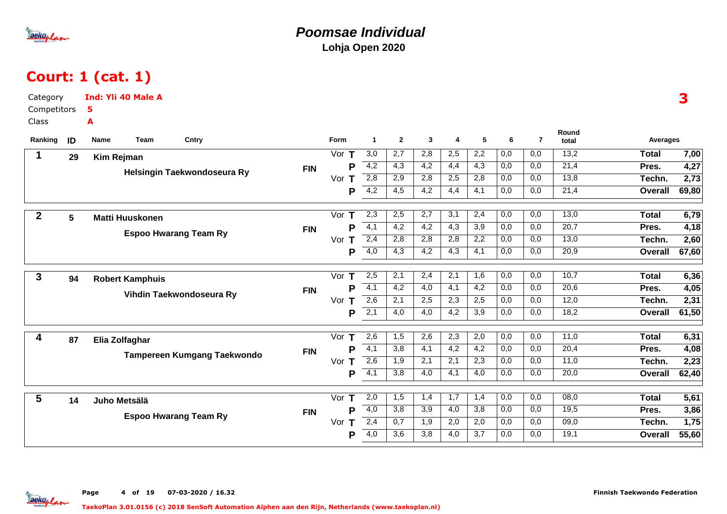

# Court: 1 (cat. 1)

| Category<br>Competitors |    | <b>Ind: Yli 40 Male A</b><br>5     |            |          |                  |                  |                  |                  |                  |                  |                |                   |                | 3     |
|-------------------------|----|------------------------------------|------------|----------|------------------|------------------|------------------|------------------|------------------|------------------|----------------|-------------------|----------------|-------|
| Class                   |    | A                                  |            |          |                  |                  |                  |                  |                  |                  |                |                   |                |       |
| Ranking                 | ID | Cntry<br>Name<br>Team              |            | Form     | $\mathbf{1}$     | $\overline{2}$   | 3                | 4                | 5                | 6                | $\overline{7}$ | Round<br>total    | Averages       |       |
| 1                       | 29 | Kim Rejman                         |            | Vor $T$  | 3,0              | 2,7              | 2,8              | 2,5              | 2,2              | 0,0              | 0,0            | 13,2              | <b>Total</b>   | 7,00  |
|                         |    |                                    | <b>FIN</b> | P        | 4,2              | 4,3              | 4,2              | 4,4              | $\overline{4,3}$ | 0,0              | 0,0            | 21,4              | Pres.          | 4,27  |
|                         |    | Helsingin Taekwondoseura Ry        |            | Vor $T$  | 2,8              | 2,9              | 2,8              | 2,5              | 2,8              | 0,0              | 0,0            | 13,8              | Techn.         | 2,73  |
|                         |    |                                    |            | P        | 4,2              | 4,5              | $\overline{4,2}$ | 4,4              | 4,1              | 0,0              | 0.0            | 21,4              | Overall        | 69,80 |
| $\overline{2}$          | 5  |                                    |            | Vor $T$  | 2,3              | 2,5              | 2,7              | 3,1              | 2,4              | 0,0              | 0,0            | 13,0              | <b>Total</b>   | 6,79  |
|                         |    | <b>Matti Huuskonen</b>             | <b>FIN</b> | P        | $\overline{4,1}$ | $\overline{4,2}$ | $\overline{4,2}$ | $\overline{4,3}$ | 3,9              | 0,0              | 0,0            | $\overline{20,7}$ | Pres.          | 4,18  |
|                         |    | <b>Espoo Hwarang Team Ry</b>       |            | Vor T    | 2,4              | 2,8              | 2,8              | 2,8              | 2,2              | 0,0              | 0,0            | 13,0              | Techn.         | 2,60  |
|                         |    |                                    |            | P        | $\overline{4,0}$ | 4,3              | 4,2              | 4,3              | 4,1              | 0,0              | 0,0            | 20,9              | <b>Overall</b> | 67,60 |
| 3                       | 94 | <b>Robert Kamphuis</b>             |            | Vor $T$  | 2,5              | $\overline{2,1}$ | $\overline{2,4}$ | $\overline{2,1}$ | 1,6              | 0,0              | 0,0            | 10,7              | <b>Total</b>   | 6,36  |
|                         |    |                                    | <b>FIN</b> | P        | $\overline{4,1}$ | 4,2              | 4,0              | 4,1              | 4,2              | 0,0              | 0,0            | 20,6              | Pres.          | 4,05  |
|                         |    | Vihdin Taekwondoseura Ry           |            | Vor $T$  | 2,6              | 2,1              | 2,5              | $\overline{2,3}$ | 2,5              | $\overline{0,0}$ | 0,0            | 12,0              | Techn.         | 2,31  |
|                         |    |                                    |            | P        | $\overline{2,1}$ | 4,0              | $\overline{4,0}$ | $\overline{4,2}$ | 3,9              | 0,0              | 0.0            | 18,2              | Overall        | 61,50 |
| 4                       | 87 | Elia Zolfaghar                     |            | Vor<br>Т | 2,6              | 1,5              | 2,6              | 2,3              | 2,0              | 0,0              | 0,0            | 11,0              | <b>Total</b>   | 6,31  |
|                         |    |                                    | <b>FIN</b> | P        | $\overline{4,1}$ | 3,8              | $\overline{4,1}$ | $\overline{4,2}$ | 4,2              | 0,0              | 0,0            | 20,4              | Pres.          | 4,08  |
|                         |    | <b>Tampereen Kumgang Taekwondo</b> |            | Vor $T$  | 2,6              | 1,9              | 2,1              | 2,1              | 2,3              | 0,0              | 0,0            | 11,0              | Techn.         | 2,23  |
|                         |    |                                    |            | P        | $\overline{4,1}$ | 3,8              | 4,0              | 4,1              | 4,0              | 0,0              | 0,0            | 20,0              | <b>Overall</b> | 62,40 |
| 5                       | 14 | Juho Metsälä                       |            | Vor<br>Т | 2,0              | 1,5              | 1,4              | 1,7              | 1,4              | $\overline{0,0}$ | 0,0            | 08,0              | <b>Total</b>   | 5,61  |
|                         |    |                                    | <b>FIN</b> | P        | 4,0              | 3,8              | 3,9              | 4,0              | 3,8              | 0,0              | 0,0            | 19,5              | Pres.          | 3,86  |
|                         |    | <b>Espoo Hwarang Team Ry</b>       |            | Vor<br>т | 2,4              | 0,7              | 1,9              | 2,0              | 2,0              | 0,0              | 0,0            | 09,0              | Techn.         | 1,75  |
|                         |    |                                    |            | P        | 4,0              | 3,6              | 3,8              | 4,0              | 3,7              | 0,0              | 0,0            | 19,1              | <b>Overall</b> | 55,60 |

Page 4 of 19 07-03-2020 / 16.32

aekoplan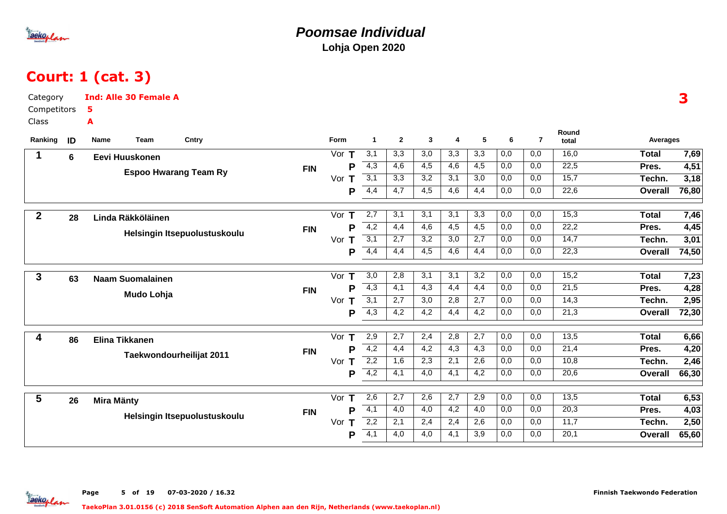

### **Poomsae IndividualLohja Open 2020**

# Court: 1 (cat. 3)

| Category         | <b>Ind: Alle 30 Female A</b> |                              |            |                    |                  |                  |                  |                  |                  |                  |                  |                   |                 | 3     |
|------------------|------------------------------|------------------------------|------------|--------------------|------------------|------------------|------------------|------------------|------------------|------------------|------------------|-------------------|-----------------|-------|
| Competitors      | 5                            |                              |            |                    |                  |                  |                  |                  |                  |                  |                  |                   |                 |       |
| Class            | A                            |                              |            |                    |                  |                  |                  |                  |                  |                  |                  |                   |                 |       |
| Ranking<br>ID    | Name<br>Team                 | Cntry                        |            | Form               | $\mathbf{1}$     | $\overline{2}$   | $\mathbf{3}$     | 4                | 5                | 6                | $\overline{7}$   | Round<br>total    | <b>Averages</b> |       |
| 1<br>6           | Eevi Huuskonen               |                              |            | Vor $T$            | 3,1              | 3,3              | 3,0              | 3,3              | 3,3              | 0,0              | 0,0              | 16,0              | <b>Total</b>    | 7,69  |
|                  |                              |                              | <b>FIN</b> | P                  | 4,3              | 4,6              | 4,5              | $\overline{4,6}$ | $\overline{4,5}$ | 0,0              | 0,0              | 22,5              | Pres.           | 4,51  |
|                  | <b>Espoo Hwarang Team Ry</b> |                              |            | Vor<br>Т           | 3,1              | 3,3              | 3,2              | 3,1              | 3,0              | 0,0              | 0,0              | 15,7              | Techn.          | 3,18  |
|                  |                              |                              |            | P                  | 4,4              | 4,7              | 4,5              | 4,6              | 4,4              | 0,0              | 0,0              | 22,6              | Overall         | 76,80 |
| $\boldsymbol{2}$ |                              |                              |            | Vor $T$            | 2,7              | 3,1              | 3,1              | 3,1              | 3,3              | 0,0              | 0,0              | 15,3              | <b>Total</b>    | 7,46  |
| 28               | Linda Räkköläinen            |                              | <b>FIN</b> | P                  | $-4,2$           | 4,4              | $\overline{4,6}$ | 4,5              | $\overline{4,5}$ | 0,0              | 0,0              | 22,2              | Pres.           | 4,45  |
|                  |                              | Helsingin Itsepuolustuskoulu |            | Vor $T$            | 3,1              | 2,7              | 3,2              | 3,0              | 2,7              | 0,0              | 0,0              | 14,7              | Techn.          | 3,01  |
|                  |                              |                              |            | P                  | 4,4              | 4,4              | 4,5              | $\overline{4,6}$ | 4,4              | $\overline{0,0}$ | 0,0              | 22,3              | <b>Overall</b>  | 74,50 |
|                  |                              |                              |            |                    |                  |                  |                  |                  |                  |                  |                  |                   |                 |       |
| 3<br>63          | <b>Naam Suomalainen</b>      |                              |            | Vor $T$            | $\overline{3,0}$ | 2,8              | 3,1              | 3,1              | $\overline{3,2}$ | $\overline{0,0}$ | 0,0              | 15,2              | <b>Total</b>    | 7,23  |
|                  | Mudo Lohja                   |                              | <b>FIN</b> | P                  | 4,3              | 4,1              | 4,3              | 4,4              | 4,4              | 0,0              | 0,0              | 21,5              | Pres.           | 4,28  |
|                  |                              |                              |            | Vor $T$            | $\overline{3,1}$ | 2,7              | 3,0              | 2,8              | 2,7              | 0,0              | 0,0              | $\overline{14,3}$ | Techn.          | 2,95  |
|                  |                              |                              |            | P                  | $\overline{4,3}$ | $\overline{4,2}$ | $\overline{4,2}$ | $\overline{4,4}$ | $\overline{4,2}$ | 0,0              | $\overline{0,0}$ | 21,3              | Overall         | 72,30 |
| 4<br>86          | <b>Elina Tikkanen</b>        |                              |            | Vor<br>Т           | 2,9              | 2,7              | 2,4              | 2,8              | 2,7              | 0,0              | 0,0              | 13,5              | <b>Total</b>    | 6,66  |
|                  |                              |                              | <b>FIN</b> | P                  | 4,2              | 4,4              | 4,2              | 4,3              | 4,3              | 0,0              | 0,0              | 21,4              | Pres.           | 4,20  |
|                  | Taekwondourheilijat 2011     |                              |            | Vor $T$            | 2,2              | 1,6              | 2,3              | 2,1              | 2,6              | 0,0              | 0,0              | 10,8              | Techn.          | 2,46  |
|                  |                              |                              |            | P                  | 4,2              | 4,1              | 4,0              | 4,1              | $\overline{4,2}$ | 0,0              | 0,0              | 20,6              | <b>Overall</b>  | 66,30 |
|                  |                              |                              |            |                    |                  |                  |                  |                  |                  |                  |                  |                   |                 |       |
| 5<br>26          | <b>Mira Mänty</b>            |                              |            | Vor<br>$\mathbf T$ | 2,6              | $\overline{2,7}$ | 2,6              | $\overline{2,7}$ | 2,9              | $\overline{0,0}$ | $\overline{0,0}$ | 13,5              | <b>Total</b>    | 6,53  |
|                  |                              | Helsingin Itsepuolustuskoulu | <b>FIN</b> | Þ                  | $\overline{4,1}$ | 4,0              | 4,0              | 4,2              | 4,0              | 0,0              | 0,0              | 20,3              | Pres.           | 4,03  |
|                  |                              |                              |            | Vor<br>Т           | 2,2              | 2,1              | 2,4              | 2,4              | 2,6              | 0,0              | 0,0              | 11,7              | Techn.          | 2,50  |
|                  |                              |                              |            | P                  | $\overline{4,1}$ | 4,0              | 4,0              | 4,1              | 3,9              | 0,0              | 0,0              | 20,1              | <b>Overall</b>  | 65,60 |

Page 5 of 19 07-03-2020 / 16.32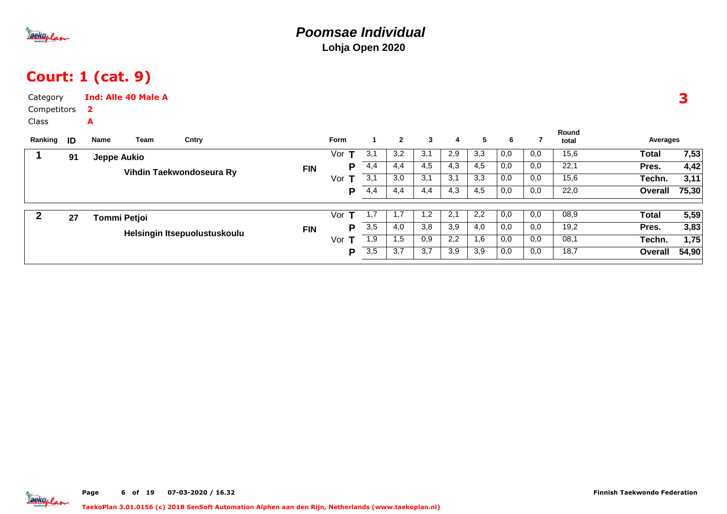

## Court: 1 (cat. 9)

| Category<br>Competitors<br>Class<br>Ranking | ID | $\mathbf{2}$<br>A<br>Name | <b>Ind: Alle 40 Male A</b><br>Team | Cntry                        |            | <b>Form</b> |     | $\mathbf{2}$ | $\mathbf{3}$ | 4   | 5   | 6   |     | Round<br>total | Averages     | 3     |
|---------------------------------------------|----|---------------------------|------------------------------------|------------------------------|------------|-------------|-----|--------------|--------------|-----|-----|-----|-----|----------------|--------------|-------|
|                                             | 91 | <b>Jeppe Aukio</b>        |                                    |                              |            | т<br>Vor    | 3,1 | 3,2          | 3,1          | 2,9 | 3,3 | 0,0 | 0,0 | 15,6           | Total        | 7,53  |
|                                             |    |                           |                                    |                              | <b>FIN</b> | P           | 4,4 | 4,4          | 4,5          | 4,3 | 4,5 | 0,0 | 0,0 | 22,1           | Pres.        | 4,42  |
|                                             |    |                           |                                    | Vihdin Taekwondoseura Ry     |            | Vor<br>т    | 3,1 | 3,0          | 3,1          | 3,1 | 3,3 | 0,0 | 0,0 | 15,6           | Techn.       | 3,11  |
|                                             |    |                           |                                    |                              |            | P           | 4,4 | 4,4          | 4,4          | 4,3 | 4,5 | 0,0 | 0,0 | 22,0           | Overall      | 75,30 |
| 2                                           | 27 | <b>Tommi Petjoi</b>       |                                    |                              |            | т<br>Vor    | 1,7 | 1,7          | 1,2          | 2,1 | 2,2 | 0,0 | 0,0 | 08,9           | <b>Total</b> | 5,59  |
|                                             |    |                           |                                    |                              | <b>FIN</b> | P           | 3,5 | 4,0          | 3,8          | 3,9 | 4,0 | 0,0 | 0,0 | 19,2           | Pres.        | 3,83  |
|                                             |    |                           |                                    | Helsingin Itsepuolustuskoulu |            | Vor         | 1,9 | 1,5          | 0,9          | 2,2 | 1,6 | 0,0 | 0,0 | 08,1           | Techn.       | 1,75  |
|                                             |    |                           |                                    |                              |            | P           | 3,5 | 3,7          | 3,7          | 3,9 | 3,9 | 0,0 | 0,0 | 18,7           | Overall      | 54,90 |

aekoplan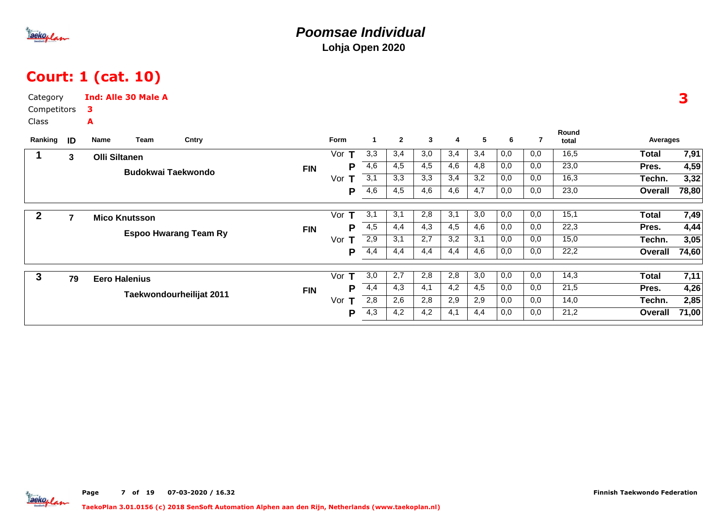

## Court: 1 (cat. 10)

| Category     |                |                      | <b>Ind: Alle 30 Male A</b> |                              |            |          |                      |                |              |     |     |     |     |                   |                |       |
|--------------|----------------|----------------------|----------------------------|------------------------------|------------|----------|----------------------|----------------|--------------|-----|-----|-----|-----|-------------------|----------------|-------|
| Competitors  |                | з                    |                            |                              |            |          |                      |                |              |     |     |     |     |                   |                |       |
| <b>Class</b> |                | A                    |                            |                              |            |          |                      |                |              |     |     |     |     |                   |                |       |
| Ranking      | ID             | Name                 | Team                       | Cntry                        |            | Form     | $\blacktriangleleft$ | $\overline{2}$ | $\mathbf{3}$ | 4   | 5   | 6   | 7   | Round<br>total    | Averages       |       |
|              | 3              | <b>Olli Siltanen</b> |                            |                              |            | Vor $T$  | 3,3                  | 3,4            | 3,0          | 3,4 | 3,4 | 0,0 | 0,0 | 16,5              | <b>Total</b>   | 7,91  |
|              |                |                      |                            | <b>Budokwai Taekwondo</b>    | <b>FIN</b> | P        | 4,6                  | 4,5            | 4,5          | 4,6 | 4,8 | 0,0 | 0,0 | 23,0              | Pres.          | 4,59  |
|              |                |                      |                            |                              |            | Vor $T$  | 3,1                  | 3,3            | 3,3          | 3,4 | 3,2 | 0,0 | 0,0 | 16,3              | Techn.         | 3,32  |
|              |                |                      |                            |                              |            | Р        | 4,6                  | 4,5            | 4,6          | 4,6 | 4,7 | 0,0 | 0,0 | 23,0              | <b>Overall</b> | 78,80 |
| $\mathbf{2}$ | $\overline{7}$ |                      | <b>Mico Knutsson</b>       |                              |            | Vor $T$  | 3,1                  | 3,1            | 2,8          | 3,1 | 3,0 | 0,0 | 0,0 | 15,1              | <b>Total</b>   | 7,49  |
|              |                |                      |                            |                              | <b>FIN</b> | Р        | 4,5                  | 4,4            | 4,3          | 4,5 | 4,6 | 0,0 | 0,0 | 22,3              | Pres.          | 4,44  |
|              |                |                      |                            | <b>Espoo Hwarang Team Ry</b> |            | т<br>Vor | 2,9                  | 3,1            | 2,7          | 3,2 | 3,1 | 0,0 | 0,0 | 15,0              | Techn.         | 3,05  |
|              |                |                      |                            |                              |            | P        | 4,4                  | 4,4            | 4,4          | 4,4 | 4,6 | 0,0 | 0,0 | $\overline{22,2}$ | Overall        | 74,60 |
| 3            | 79             |                      | <b>Eero Halenius</b>       |                              |            | Vor<br>т | 3,0                  | 2,7            | 2,8          | 2,8 | 3,0 | 0,0 | 0,0 | 14,3              | <b>Total</b>   | 7,11  |
|              |                |                      |                            |                              | <b>FIN</b> | P        | 4,4                  | 4,3            | 4,1          | 4,2 | 4,5 | 0,0 | 0,0 | 21,5              | Pres.          | 4,26  |
|              |                |                      |                            | Taekwondourheilijat 2011     |            | Vor<br>Т | 2,8                  | 2,6            | 2,8          | 2,9 | 2,9 | 0,0 | 0,0 | 14,0              | Techn.         | 2,85  |
|              |                |                      |                            |                              |            | P        | 4,3                  | 4,2            | 4,2          | 4,1 | 4,4 | 0,0 | 0,0 | 21,2              | <b>Overall</b> | 71,00 |
|              |                |                      |                            |                              |            |          |                      |                |              |     |     |     |     |                   |                |       |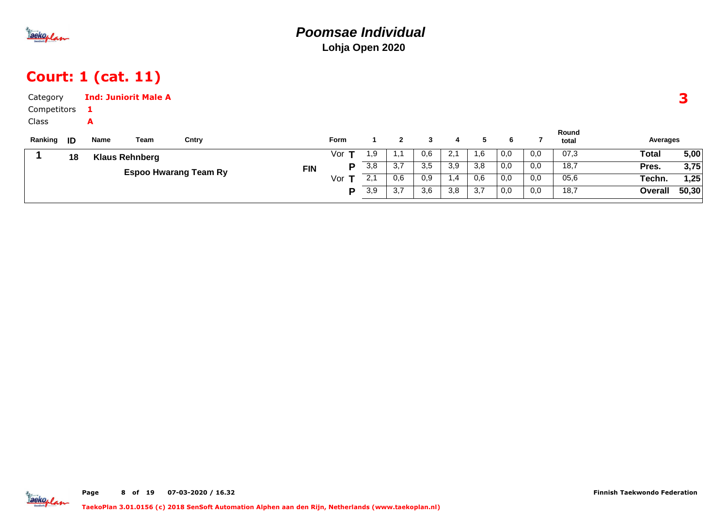

## Court: 1 (cat. 11)

| Category    |    |      | <b>Ind: Juniorit Male A</b> |                              |            |             |     |     |     |     |     |     |     |                |          | 3     |
|-------------|----|------|-----------------------------|------------------------------|------------|-------------|-----|-----|-----|-----|-----|-----|-----|----------------|----------|-------|
| Competitors |    |      |                             |                              |            |             |     |     |     |     |     |     |     |                |          |       |
| Class       |    | A    |                             |                              |            |             |     |     |     |     |     |     |     |                |          |       |
| Ranking     | ID | Name | Team                        | Cntry                        |            | <b>Form</b> |     | 2   | 3   | 4   | 5   | 6   |     | Round<br>total | Averages |       |
|             | 18 |      | <b>Klaus Rehnberg</b>       |                              |            | Vorl        | 1,9 | 1.1 | 0,6 | 2,1 | 1,6 | 0,0 | 0,0 | 07,3           | Total    | 5,00  |
|             |    |      |                             |                              | <b>FIN</b> | P           | 3,8 | 3,7 | 3,5 | 3,9 | 3,8 | 0,0 | 0,0 | 18,7           | Pres.    | 3,75  |
|             |    |      |                             | <b>Espoo Hwarang Team Ry</b> |            | Vor $T$     | 2,1 | 0,6 | 0,9 | 1,4 | 0,6 | 0,0 | 0,0 | 05,6           | Techn.   | 1,25  |
|             |    |      |                             |                              |            | D           | 3,9 | 3,7 | 3,6 | 3,8 | 3,7 | 0,0 | 0,0 | 18,7           | Overall  | 50,30 |
|             |    |      |                             |                              |            |             |     |     |     |     |     |     |     |                |          |       |

**Jackoplan**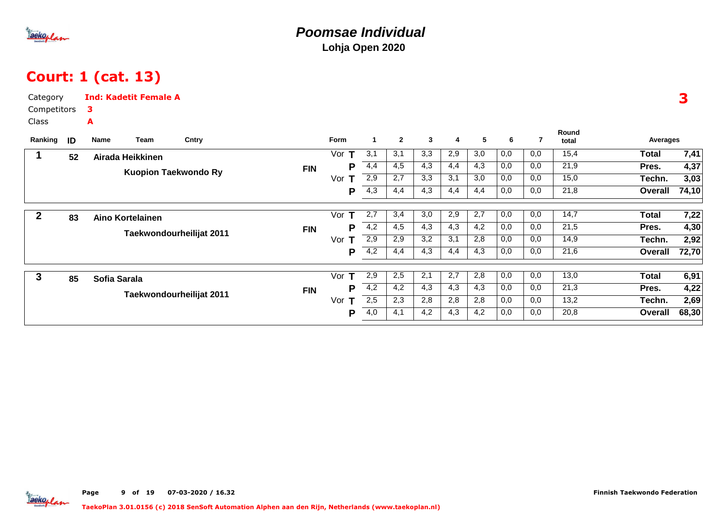

## Court: 1 (cat. 13)

| Category     |    | <b>Ind: Kadetit Female A</b> |                             |            |                     |                      |                |     |     |     |     |                |                |              |       |
|--------------|----|------------------------------|-----------------------------|------------|---------------------|----------------------|----------------|-----|-----|-----|-----|----------------|----------------|--------------|-------|
| Competitors  |    | з                            |                             |            |                     |                      |                |     |     |     |     |                |                |              |       |
| <b>Class</b> |    | A                            |                             |            |                     |                      |                |     |     |     |     |                |                |              |       |
| Ranking      | ID | Team<br>Name                 | Cntry                       |            | Form                | $\blacktriangleleft$ | $\overline{2}$ | 3   | 4   | 5   | 6   | $\overline{7}$ | Round<br>total | Averages     |       |
|              | 52 | Airada Heikkinen             |                             |            | T<br>Vor            | 3,1                  | 3,1            | 3,3 | 2,9 | 3,0 | 0,0 | 0,0            | 15,4           | <b>Total</b> | 7,41  |
|              |    |                              | <b>Kuopion Taekwondo Ry</b> | <b>FIN</b> | Р                   | 4,4                  | 4,5            | 4,3 | 4,4 | 4,3 | 0,0 | 0,0            | 21,9           | Pres.        | 4,37  |
|              |    |                              |                             |            | Vor                 | 2,9                  | 2,7            | 3,3 | 3,1 | 3,0 | 0,0 | 0,0            | 15,0           | Techn.       | 3,03  |
|              |    |                              |                             |            | P                   | $\overline{4,3}$     | 4,4            | 4,3 | 4,4 | 4,4 | 0,0 | 0,0            | 21,8           | Overall      | 74,10 |
| 2            | 83 | <b>Aino Kortelainen</b>      |                             |            | Vor<br>$\mathbf{T}$ | 2,7                  | 3,4            | 3,0 | 2,9 | 2,7 | 0,0 | 0,0            | 14,7           | <b>Total</b> | 7,22  |
|              |    |                              |                             | <b>FIN</b> | Р                   | 4,2                  | 4,5            | 4,3 | 4,3 | 4,2 | 0,0 | 0,0            | 21,5           | Pres.        | 4,30  |
|              |    |                              | Taekwondourheilijat 2011    |            | Vor<br>т            | 2,9                  | 2,9            | 3,2 | 3,1 | 2,8 | 0,0 | 0,0            | 14,9           | Techn.       | 2,92  |
|              |    |                              |                             |            | P                   | 4,2                  | 4,4            | 4,3 | 4,4 | 4,3 | 0,0 | 0,0            | 21,6           | Overall      | 72,70 |
| 3            | 85 | Sofia Sarala                 |                             |            | Vor<br>т            | 2,9                  | 2,5            | 2,1 | 2,7 | 2,8 | 0,0 | 0,0            | 13,0           | <b>Total</b> | 6,91  |
|              |    |                              |                             | <b>FIN</b> | Р                   | 4,2                  | 4,2            | 4,3 | 4,3 | 4,3 | 0,0 | 0,0            | 21,3           | Pres.        | 4,22  |
|              |    |                              | Taekwondourheilijat 2011    |            | Vor<br>т            | 2,5                  | 2,3            | 2,8 | 2,8 | 2,8 | 0,0 | 0,0            | 13,2           | Techn.       | 2,69  |
|              |    |                              |                             |            | Р                   | 4,0                  | 4,1            | 4,2 | 4,3 | 4,2 | 0,0 | 0,0            | 20,8           | Overall      | 68,30 |
|              |    |                              |                             |            |                     |                      |                |     |     |     |     |                |                |              |       |

3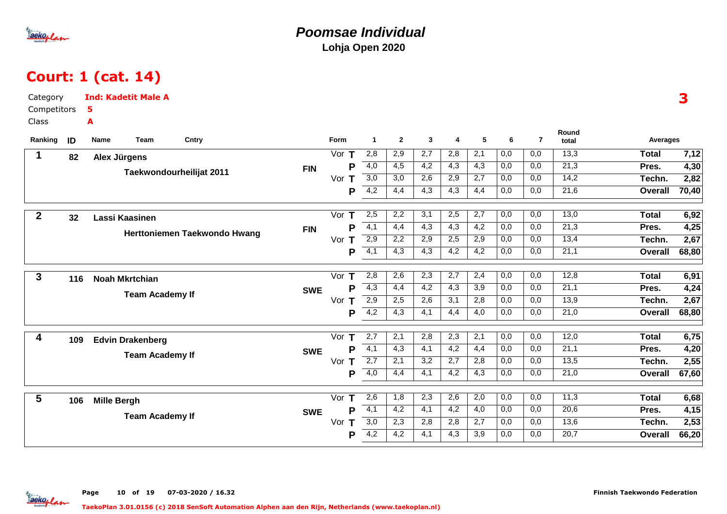

### **Poomsae IndividualLohja Open 2020**

# Court: 1 (cat. 14)

| Category         |     | <b>Ind: Kadetit Male A</b> |                        |                              |            |                    |                  |                  |                         |                  |                  |                  |                  |                | 3                       |  |
|------------------|-----|----------------------------|------------------------|------------------------------|------------|--------------------|------------------|------------------|-------------------------|------------------|------------------|------------------|------------------|----------------|-------------------------|--|
| Competitors      |     | 5                          |                        |                              |            |                    |                  |                  |                         |                  |                  |                  |                  |                |                         |  |
| Class            |     | A                          |                        |                              |            |                    |                  |                  |                         |                  |                  |                  |                  |                |                         |  |
| Ranking          | ID  | Name                       | Team                   | Cntry                        |            | Form               | $\mathbf{1}$     | $\overline{2}$   | $\overline{\mathbf{3}}$ | 4                | 5                | 6                | $\overline{7}$   | Round<br>total | <b>Averages</b>         |  |
| $\mathbf 1$      | 82  | Alex Jürgens               |                        |                              |            | Vor $T$            | 2,8              | 2,9              | 2,7                     | 2,8              | $\overline{2,1}$ | 0,0              | 0,0              | 13,3           | <b>Total</b><br>7,12    |  |
|                  |     |                            |                        |                              | <b>FIN</b> | P                  | 4,0              | $\overline{4,5}$ | 4,2                     | 4,3              | $\overline{4,3}$ | 0,0              | 0,0              | 21,3           | 4,30<br>Pres.           |  |
|                  |     |                            |                        | Taekwondourheilijat 2011     |            | Vor $T$            | 3,0              | $\overline{3,0}$ | 2,6                     | 2,9              | $\overline{2,7}$ | $\overline{0,0}$ | 0,0              | 14,2           | 2,82<br>Techn.          |  |
|                  |     |                            |                        |                              |            | P                  | $\overline{4,2}$ | 4,4              | 4,3                     | 4,3              | 4,4              | 0,0              | 0,0              | 21,6           | 70,40<br>Overall        |  |
| $\boldsymbol{2}$ | 32  | Lassi Kaasinen             |                        |                              |            | Vor $T$            | 2,5              | 2,2              | 3,1                     | 2,5              | 2,7              | 0,0              | 0,0              | 13,0           | <b>Total</b><br>6,92    |  |
|                  |     |                            |                        |                              | <b>FIN</b> | P                  | $\overline{4,1}$ | 4,4              | 4,3                     | 4,3              | $\overline{4,2}$ | 0,0              | 0,0              | 21,3           | 4,25<br>Pres.           |  |
|                  |     |                            |                        | Herttoniemen Taekwondo Hwang |            | Vor $T$            | 2,9              | 2,2              | 2,9                     | 2,5              | 2,9              | 0,0              | 0,0              | 13,4           | 2,67<br>Techn.          |  |
|                  |     |                            |                        |                              |            | P                  | $-4,1$           | 4,3              | $\overline{4,3}$        | $\overline{4,2}$ | $\overline{4,2}$ | 0,0              | 0,0              | 21,1           | 68,80<br>Overall        |  |
| $\mathbf{3}$     | 116 | <b>Noah Mkrtchian</b>      |                        |                              |            | Vor $T$            | 2,8              | 2,6              | $\overline{2,3}$        | $\overline{2,7}$ | 2,4              | $\overline{0,0}$ | $\overline{0,0}$ | 12,8           | <b>Total</b><br>6,91    |  |
|                  |     |                            |                        |                              | <b>SWE</b> | P                  | $\overline{4,3}$ | 4,4              | 4,2                     | 4,3              | 3,9              | 0,0              | 0,0              | 21,1           | 4,24<br>Pres.           |  |
|                  |     |                            | <b>Team Academy If</b> |                              |            | Vor $T$            | 2,9              | 2,5              | 2,6                     | 3,1              | 2,8              | 0,0              | 0,0              | 13,9           | 2,67<br>Techn.          |  |
|                  |     |                            |                        |                              |            | P                  | $\overline{4,2}$ | 4,3              | 4,1                     | 4,4              | 4,0              | 0,0              | 0,0              | 21,0           | 68,80<br><b>Overall</b> |  |
| 4                | 109 | <b>Edvin Drakenberg</b>    |                        |                              |            | Vor<br>$\mathbf T$ | 2,7              | 2,1              | 2,8                     | 2,3              | 2,1              | 0,0              | 0,0              | 12,0           | 6,75<br><b>Total</b>    |  |
|                  |     |                            |                        |                              | <b>SWE</b> | P                  | $-4,1$           | 4,3              | 4,1                     | 4,2              | 4,4              | 0,0              | 0,0              | 21,1           | 4,20<br>Pres.           |  |
|                  |     |                            | <b>Team Academy If</b> |                              |            | Vor $T$            | $\overline{2,7}$ | 2,1              | 3,2                     | 2,7              | 2,8              | 0,0              | 0,0              | 13,5           | 2,55<br>Techn.          |  |
|                  |     |                            |                        |                              |            | P                  | $\overline{4,0}$ | 4,4              | 4,1                     | $\overline{4,2}$ | 4,3              | 0,0              | 0,0              | 21,0           | 67,60<br><b>Overall</b> |  |
| $5\phantom{.0}$  | 106 | <b>Mille Bergh</b>         |                        |                              |            | Vor $T$            | 2,6              | 1,8              | 2,3                     | 2,6              | 2,0              | 0,0              | 0,0              | 11,3           | <b>Total</b><br>6,68    |  |
|                  |     |                            |                        |                              | <b>SWE</b> | P                  | $\overline{4,1}$ | 4,2              | 4,1                     | 4,2              | $\overline{4,0}$ | 0,0              | 0,0              | 20,6           | 4,15<br>Pres.           |  |
|                  |     |                            | <b>Team Academy If</b> |                              |            | Vor $T$            | $\overline{3,0}$ | 2,3              | 2,8                     | 2,8              | 2,7              | 0,0              | 0,0              | 13,6           | 2,53<br>Techn.          |  |
|                  |     |                            |                        |                              |            | P                  | 4,2              | 4,2              | 4,1                     | 4,3              | 3,9              | 0,0              | 0,0              | 20,7           | Overall<br>66,20        |  |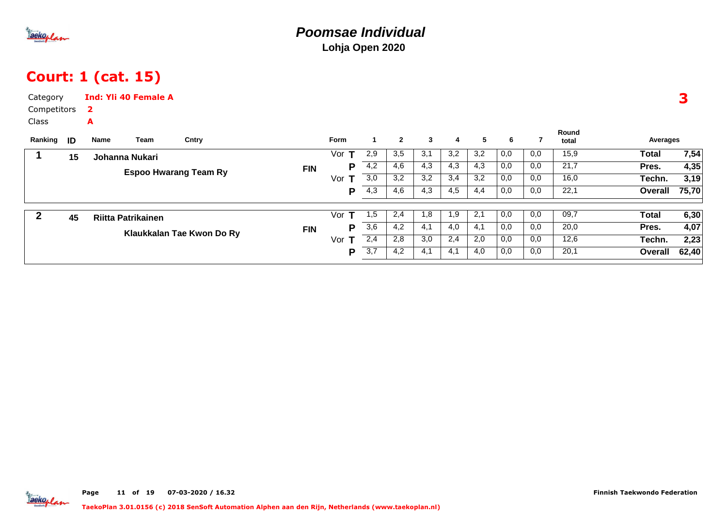

## Court: 1 (cat. 15)

| Category<br>Competitors<br>Class |    | 2         | <b>Ind: Yli 40 Female A</b> |                              |            |             |     |                |     |     |     |     |     |                |          | 3     |
|----------------------------------|----|-----------|-----------------------------|------------------------------|------------|-------------|-----|----------------|-----|-----|-----|-----|-----|----------------|----------|-------|
| Ranking                          | ID | A<br>Name | Team                        | Cntry                        |            | <b>Form</b> |     | $\overline{2}$ | 3   | 4   | 5   | 6   |     | Round<br>total | Averages |       |
|                                  | 15 |           | Johanna Nukari              |                              |            | т<br>Vor    | 2,9 | 3,5            | 3,1 | 3,2 | 3,2 | 0,0 | 0,0 | 15,9           | Total    | 7,54  |
|                                  |    |           |                             |                              | <b>FIN</b> | P           | 4,2 | 4,6            | 4,3 | 4,3 | 4,3 | 0,0 | 0,0 | 21,7           | Pres.    | 4,35  |
|                                  |    |           |                             | <b>Espoo Hwarang Team Ry</b> |            | Vor<br>т    | 3,0 | 3,2            | 3,2 | 3,4 | 3,2 | 0,0 | 0,0 | 16,0           | Techn.   | 3,19  |
|                                  |    |           |                             |                              |            | Р           | 4,3 | 4,6            | 4,3 | 4,5 | 4,4 | 0,0 | 0,0 | 22,1           | Overall  | 75,70 |
|                                  | 45 |           | <b>Riitta Patrikainen</b>   |                              |            | Vor<br>T    | 1,5 | 2,4            | 1,8 | 1,9 | 2,1 | 0,0 | 0,0 | 09,7           | Total    | 6,30  |
|                                  |    |           |                             | Klaukkalan Tae Kwon Do Ry    | <b>FIN</b> | P           | 3,6 | 4,2            | 4,1 | 4,0 | 4,1 | 0,0 | 0,0 | 20,0           | Pres.    | 4,07  |
|                                  |    |           |                             |                              |            | Vor<br>т    | 2,4 | 2,8            | 3,0 | 2,4 | 2,0 | 0,0 | 0,0 | 12,6           | Techn.   | 2,23  |
|                                  |    |           |                             |                              |            | P           | 3,7 | 4,2            | 4,1 | 4,1 | 4,0 | 0,0 | 0,0 | 20,1           | Overall  | 62,40 |

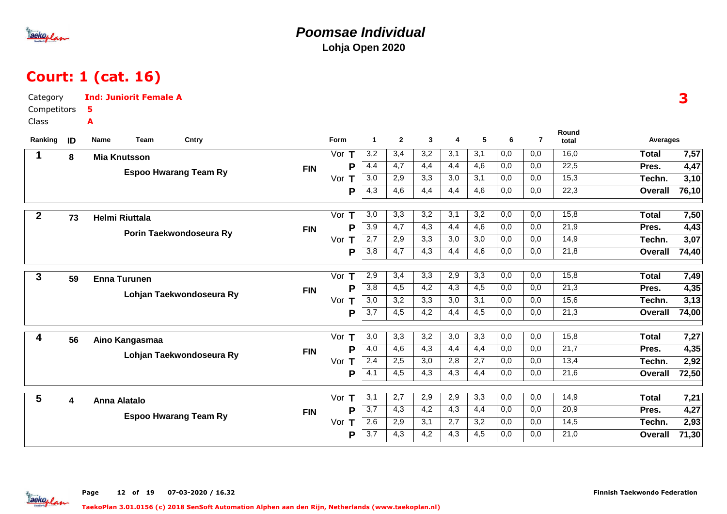

#### **Poomsae IndividualLohja Open 2020**

## Court: 1 (cat. 16)

| Category         |    | <b>Ind: Juniorit Female A</b> |            |         |                  |                  |                  |     |     |                  |                |                |                | 3             |
|------------------|----|-------------------------------|------------|---------|------------------|------------------|------------------|-----|-----|------------------|----------------|----------------|----------------|---------------|
| Competitors      |    | 5                             |            |         |                  |                  |                  |     |     |                  |                |                |                |               |
| Class            |    | A                             |            |         |                  |                  |                  |     |     |                  |                |                |                |               |
| Ranking          | ID | <b>Team</b><br>Cntry<br>Name  |            | Form    | $\overline{1}$   | $\mathbf{2}$     | $\mathbf{3}$     | 4   | 5   | 6                | $\overline{7}$ | Round<br>total | Averages       |               |
| 1                | 8  | <b>Mia Knutsson</b>           |            | Vor $T$ | 3,2              | 3,4              | 3,2              | 3,1 | 3,1 | 0,0              | 0,0            | 16,0           | <b>Total</b>   | 7,57          |
|                  |    |                               | <b>FIN</b> | P       | 4,4              | $\overline{4,7}$ | 4,4              | 4,4 | 4,6 | 0,0              | 0,0            | 22,5           | Pres.          | 4,47          |
|                  |    | <b>Espoo Hwarang Team Ry</b>  |            | Vor $T$ | $\overline{3,0}$ | 2,9              | $\overline{3,3}$ | 3,0 | 3,1 | 0,0              | 0,0            | 15,3           | Techn.         | 3,10          |
|                  |    |                               |            | Р       | $\overline{4,3}$ | 4,6              | 4,4              | 4,4 | 4,6 | 0,0              | 0,0            | 22,3           | Overall        | 76,10         |
| $\boldsymbol{2}$ |    |                               |            | Vor $T$ | $\overline{3,0}$ | 3,3              | 3,2              | 3,1 | 3,2 | 0,0              | 0,0            | 15,8           | <b>Total</b>   | 7,50          |
|                  | 73 | <b>Helmi Riuttala</b>         | <b>FIN</b> | P       | 3,9              | 4,7              | 4,3              | 4,4 | 4,6 | 0,0              | 0,0            | 21,9           | Pres.          | 4,43          |
|                  |    | Porin Taekwondoseura Ry       |            | Vor $T$ | $\overline{2,7}$ | 2,9              | 3,3              | 3,0 | 3,0 | 0,0              | 0,0            | 14,9           | Techn.         | 3,07          |
|                  |    |                               |            | P       | $\overline{3,8}$ | $\overline{4,7}$ | $\overline{4,3}$ | 4,4 | 4,6 | 0,0              | 0,0            | 21,8           | <b>Overall</b> | 74,40         |
|                  |    |                               |            | Vor $T$ | 2,9              | 3,4              | 3,3              | 2,9 | 3,3 | $\overline{0,0}$ | 0,0            | 15,8           | <b>Total</b>   | 7,49          |
| 3                | 59 | <b>Enna Turunen</b>           |            | P       | 3,8              | 4,5              | 4,2              | 4,3 | 4,5 | 0,0              | 0,0            | 21,3           | Pres.          |               |
|                  |    | Lohjan Taekwondoseura Ry      | <b>FIN</b> | Vor T   | $\overline{3,0}$ | $\overline{3,2}$ | 3,3              | 3,0 | 3,1 | 0,0              | 0,0            | 15,6           | Techn.         | 4,35          |
|                  |    |                               |            | P       | $\overline{3,7}$ | 4,5              | 4,2              | 4,4 | 4,5 | 0,0              | 0,0            | 21,3           | <b>Overall</b> | 3,13<br>74,00 |
|                  |    |                               |            |         |                  |                  |                  |     |     |                  |                |                |                |               |
| 4                | 56 | Aino Kangasmaa                |            | Vor T   | 3,0              | 3,3              | $\overline{3,2}$ | 3,0 | 3,3 | 0,0              | 0,0            | 15,8           | <b>Total</b>   | 7,27          |
|                  |    | Lohjan Taekwondoseura Ry      | <b>FIN</b> | P       | $\overline{4,0}$ | 4,6              | 4,3              | 4,4 | 4,4 | 0,0              | 0,0            | 21,7           | Pres.          | 4,35          |
|                  |    |                               |            | Vor $T$ | 2,4              | 2,5              | $\overline{3,0}$ | 2,8 | 2,7 | 0,0              | 0,0            | 13,4           | Techn.         | 2,92          |
|                  |    |                               |            | P       | 4,1              | 4,5              | 4,3              | 4,3 | 4,4 | 0,0              | 0,0            | 21,6           | <b>Overall</b> | 72,50         |
| 5                | 4  | <b>Anna Alatalo</b>           |            | Vor $T$ | $\overline{3,1}$ | $\overline{2,7}$ | 2,9              | 2,9 | 3,3 | $\overline{0,0}$ | 0,0            | 14,9           | <b>Total</b>   | 7,21          |
|                  |    |                               | <b>FIN</b> | P       | $\overline{3,7}$ | 4,3              | 4,2              | 4,3 | 4,4 | 0,0              | 0,0            | 20,9           | Pres.          | 4,27          |
|                  |    | <b>Espoo Hwarang Team Ry</b>  |            | Vor $T$ | 2,6              | 2,9              | 3,1              | 2,7 | 3,2 | 0,0              | 0,0            | 14,5           | Techn.         | 2,93          |
|                  |    |                               |            | Р       | $\overline{3,7}$ | 4,3              | 4,2              | 4,3 | 4,5 | 0,0              | 0,0            | 21,0           | Overall        | 71,30         |

Page 12 of 19 07-03-2020 / 16.32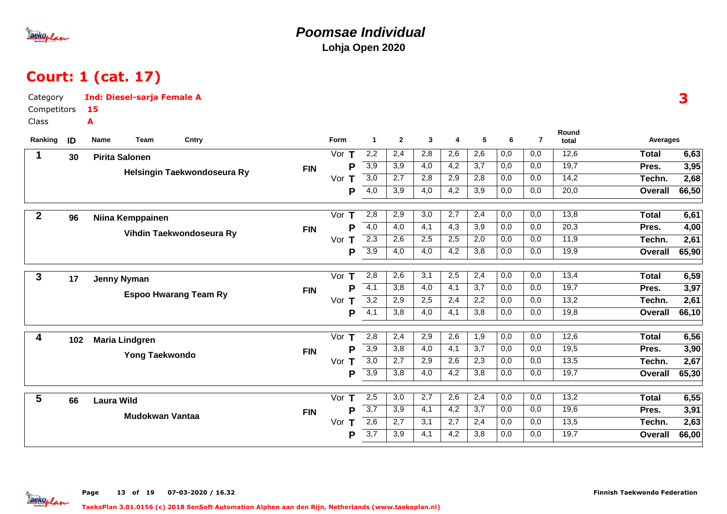

### **Poomsae IndividualLohja Open 2020**

# Court: 1 (cat. 17)

| Category         |     | <b>Ind: Diesel-sarja Female A</b> |                        |                              |            |         |                  |                  |                  |                  |     |                  |                |                |                | 3     |
|------------------|-----|-----------------------------------|------------------------|------------------------------|------------|---------|------------------|------------------|------------------|------------------|-----|------------------|----------------|----------------|----------------|-------|
| Competitors      |     | 15                                |                        |                              |            |         |                  |                  |                  |                  |     |                  |                |                |                |       |
| Class            |     | A                                 |                        |                              |            |         |                  |                  |                  |                  |     |                  |                |                |                |       |
| Ranking          | ID  | Name                              | Team                   | Cntry                        |            | Form    | $\mathbf{1}$     | $\overline{2}$   | $\mathbf{3}$     | 4                | 5   | 6                | $\overline{7}$ | Round<br>total | Averages       |       |
| 1                | 30  | <b>Pirita Salonen</b>             |                        |                              |            | Vor $T$ | 2,2              | 2,4              | 2,8              | 2,6              | 2,6 | 0,0              | 0,0            | 12,6           | <b>Total</b>   | 6,63  |
|                  |     |                                   |                        |                              | <b>FIN</b> | P       | 3,9              | 3,9              | 4,0              | 4,2              | 3,7 | 0,0              | 0,0            | 19,7           | Pres.          | 3,95  |
|                  |     |                                   |                        | Helsingin Taekwondoseura Ry  |            | Vor T   | 3,0              | $\overline{2,7}$ | 2,8              | 2,9              | 2,8 | $\overline{0,0}$ | 0,0            | 14,2           | Techn.         | 2,68  |
|                  |     |                                   |                        |                              |            | P       | 4,0              | 3,9              | 4,0              | 4,2              | 3,9 | 0,0              | 0,0            | 20,0           | Overall        | 66,50 |
| $\boldsymbol{2}$ | 96  | Niina Kemppainen                  |                        |                              |            | Vor $T$ | 2,8              | 2,9              | 3,0              | 2,7              | 2,4 | 0,0              | 0,0            | 13,8           | <b>Total</b>   | 6,61  |
|                  |     |                                   |                        |                              | <b>FIN</b> | P       | 4,0              | 4,0              | 4,1              | 4,3              | 3,9 | 0,0              | 0,0            | 20,3           | Pres.          | 4,00  |
|                  |     |                                   |                        | Vihdin Taekwondoseura Ry     |            | Vor $T$ | $\overline{2,3}$ | 2,6              | 2,5              | 2,5              | 2,0 | 0,0              | 0,0            | 11,9           | Techn.         | 2,61  |
|                  |     |                                   |                        |                              |            | P       | 3,9              | 4,0              | 4,0              | 4,2              | 3,8 | 0,0              | 0,0            | 19,9           | <b>Overall</b> | 65,90 |
| $\mathbf{3}$     | 17  | <b>Jenny Nyman</b>                |                        |                              |            | Vor $T$ | 2,8              | 2,6              | 3,1              | 2,5              | 2,4 | 0,0              | 0,0            | 13,4           | <b>Total</b>   | 6,59  |
|                  |     |                                   |                        |                              | <b>FIN</b> | P       | $\overline{4,1}$ | 3,8              | 4,0              | 4,1              | 3,7 | 0,0              | 0,0            | 19,7           | Pres.          | 3,97  |
|                  |     |                                   |                        | <b>Espoo Hwarang Team Ry</b> |            | Vor T   | 3,2              | 2,9              | 2,5              | 2,4              | 2,2 | 0,0              | 0.0            | 13,2           | Techn.         | 2,61  |
|                  |     |                                   |                        |                              |            | P       | $\overline{4,1}$ | 3,8              | 4,0              | 4,1              | 3,8 | 0,0              | 0,0            | 19,8           | <b>Overall</b> | 66,10 |
| 4                | 102 | <b>Maria Lindgren</b>             |                        |                              |            | Vor T   | 2,8              | 2,4              | 2,9              | 2,6              | 1,9 | 0,0              | 0,0            | 12,6           | <b>Total</b>   | 6,56  |
|                  |     |                                   | <b>Yong Taekwondo</b>  |                              | <b>FIN</b> | P       | 3,9              | $\overline{3,8}$ | $\overline{4,0}$ | $\overline{4,1}$ | 3,7 | 0,0              | 0,0            | 19,5           | Pres.          | 3,90  |
|                  |     |                                   |                        |                              |            | Vor $T$ | 3,0              | 2,7              | 2,9              | 2,6              | 2,3 | 0,0              | 0,0            | 13,5           | Techn.         | 2,67  |
|                  |     |                                   |                        |                              |            | P       | 3,9              | 3,8              | 4,0              | 4,2              | 3,8 | 0,0              | 0,0            | 19,7           | <b>Overall</b> | 65,30 |
| 5                | 66  | <b>Laura Wild</b>                 |                        |                              |            | Vor T   | 2,5              | 3,0              | 2,7              | 2,6              | 2,4 | 0,0              | 0,0            | 13,2           | <b>Total</b>   | 6,55  |
|                  |     |                                   | <b>Mudokwan Vantaa</b> |                              | <b>FIN</b> | Р       | $\overline{3,7}$ | 3,9              | $\overline{4,1}$ | 4,2              | 3,7 | 0,0              | 0,0            | 19,6           | Pres.          | 3,91  |
|                  |     |                                   |                        |                              |            | Vor $T$ | 2,6              | 2,7              | 3,1              | 2,7              | 2,4 | 0,0              | 0,0            | 13,5           | Techn.         | 2,63  |
|                  |     |                                   |                        |                              |            | Р       | 3,7              | 3,9              | 4,1              | 4,2              | 3,8 | 0,0              | 0,0            | 19,7           | <b>Overall</b> | 66,00 |

Page 13 of 19 07-03-2020 / 16.32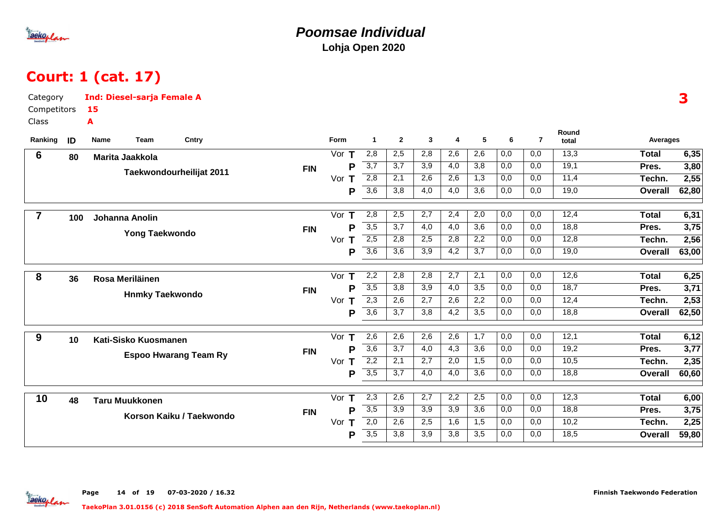

### **Poomsae IndividualLohja Open 2020**

# Court: 1 (cat. 17)

| Category        |     | <b>Ind: Diesel-sarja Female A</b> |            |          |                      |                |                  |                  |                  |     |                |                | 3              |       |
|-----------------|-----|-----------------------------------|------------|----------|----------------------|----------------|------------------|------------------|------------------|-----|----------------|----------------|----------------|-------|
| Competitors     |     | 15                                |            |          |                      |                |                  |                  |                  |     |                |                |                |       |
| Class           |     | A                                 |            |          |                      |                |                  |                  |                  |     |                |                |                |       |
| Ranking         | ID  | Team<br>Cntry<br>Name             |            | Form     | $\blacktriangleleft$ | $\overline{2}$ | 3                | 4                | 5                | 6   | $\overline{7}$ | Round<br>total | Averages       |       |
| $6\phantom{1}6$ | 80  | Marita Jaakkola                   |            | Vor $T$  | 2,8                  | 2,5            | 2,8              | 2,6              | 2,6              | 0,0 | 0,0            | 13,3           | <b>Total</b>   | 6,35  |
|                 |     |                                   | <b>FIN</b> | P        | $\overline{3,7}$     | 3,7            | 3,9              | 4,0              | 3,8              | 0,0 | 0,0            | 19,1           | Pres.          | 3,80  |
|                 |     | Taekwondourheilijat 2011          |            | Vor $T$  | 2,8                  | 2,1            | 2,6              | 2,6              | 1,3              | 0,0 | 0,0            | 11,4           | Techn.         | 2,55  |
|                 |     |                                   |            | P        | $\overline{3,6}$     | 3,8            | 4,0              | 4,0              | 3,6              | 0,0 | 0,0            | 19,0           | <b>Overall</b> | 62,80 |
| $\overline{7}$  | 100 | Johanna Anolin                    |            | Vor<br>Τ | 2,8                  | 2,5            | 2,7              | 2,4              | 2,0              | 0,0 | 0,0            | 12,4           | <b>Total</b>   | 6,31  |
|                 |     |                                   | <b>FIN</b> | P        | $\overline{3,5}$     | 3,7            | 4,0              | $\overline{4,0}$ | 3,6              | 0,0 | 0,0            | 18,8           | Pres.          | 3,75  |
|                 |     | Yong Taekwondo                    |            | Vor T    | 2,5                  | 2,8            | 2,5              | 2,8              | 2,2              | 0,0 | 0,0            | 12,8           | Techn.         | 2,56  |
|                 |     |                                   |            | P        | 3,6                  | 3,6            | 3,9              | 4,2              | 3,7              | 0,0 | 0,0            | 19,0           | <b>Overall</b> | 63,00 |
| 8               | 36  | Rosa Meriläinen                   |            | T<br>Vor | $\overline{2,2}$     | 2,8            | 2,8              | $\overline{2,7}$ | 2,1              | 0,0 | 0,0            | 12,6           | <b>Total</b>   | 6,25  |
|                 |     |                                   | <b>FIN</b> | P        | 3,5                  | 3,8            | 3,9              | 4,0              | 3,5              | 0,0 | 0,0            | 18,7           | Pres.          | 3,71  |
|                 |     | <b>Hnmky Taekwondo</b>            |            | Vor $T$  | $\overline{2,3}$     | 2,6            | $\overline{2,7}$ | 2,6              | 2,2              | 0,0 | 0,0            | 12,4           | Techn.         | 2,53  |
|                 |     |                                   |            | P        | $\overline{3,6}$     | 3,7            | 3,8              | 4,2              | 3,5              | 0,0 | 0,0            | 18,8           | <b>Overall</b> | 62,50 |
| 9               | 10  | Kati-Sisko Kuosmanen              |            | Vor<br>Т | 2,6                  | 2,6            | 2,6              | 2,6              | 1,7              | 0,0 | 0,0            | 12,1           | <b>Total</b>   | 6,12  |
|                 |     |                                   | <b>FIN</b> | P        | $\overline{3,6}$     | 3,7            | $\overline{4,0}$ | $\overline{4,3}$ | 3,6              | 0,0 | 0,0            | 19,2           | Pres.          | 3,77  |
|                 |     | <b>Espoo Hwarang Team Ry</b>      |            | Vor<br>Τ | 2,2                  | 2,1            | 2,7              | 2,0              | 1,5              | 0,0 | 0,0            | 10,5           | Techn.         | 2,35  |
|                 |     |                                   |            | P        | $\overline{3,5}$     | 3,7            | 4,0              | 4,0              | 3,6              | 0,0 | 0,0            | 18,8           | <b>Overall</b> | 60,60 |
| 10              | 48  | <b>Taru Muukkonen</b>             |            | Vor $T$  | 2,3                  | 2,6            | $\overline{2,7}$ | 2,2              | 2,5              | 0,0 | 0,0            | 12,3           | <b>Total</b>   | 6,00  |
|                 |     | Korson Kaiku / Taekwondo          | <b>FIN</b> | P        | $\overline{3,5}$     | 3,9            | 3,9              | 3,9              | $\overline{3,6}$ | 0,0 | 0,0            | 18,8           | Pres.          | 3,75  |
|                 |     |                                   |            | Vor<br>T | 2,0                  | 2,6            | 2,5              | 1,6              | 1,5              | 0,0 | 0,0            | 10,2           | Techn.         | 2,25  |
|                 |     |                                   |            | P        | 3,5                  | 3,8            | 3,9              | 3,8              | 3,5              | 0,0 | 0,0            | 18,5           | <b>Overall</b> | 59,80 |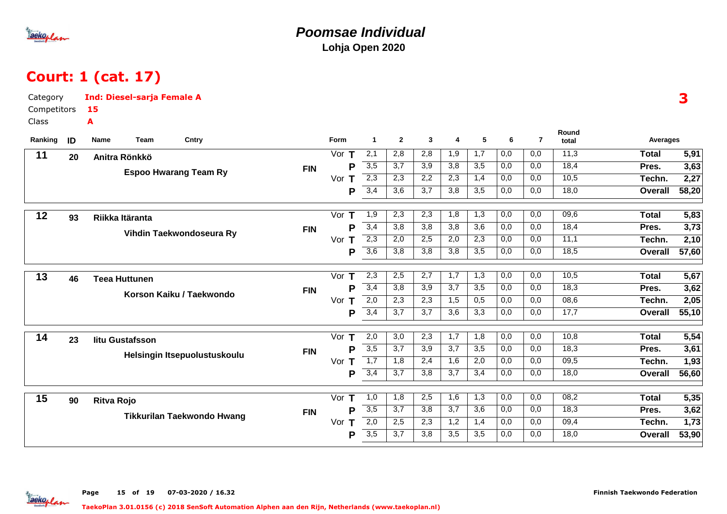

### **Poomsae IndividualLohja Open 2020**

# Court: 1 (cat. 17)

| Category    |    | <b>Ind: Diesel-sarja Female A</b> |                              |            |         |                       |                  |                  |                  |                  |                  |                |                |                | 3     |
|-------------|----|-----------------------------------|------------------------------|------------|---------|-----------------------|------------------|------------------|------------------|------------------|------------------|----------------|----------------|----------------|-------|
| Competitors |    | 15                                |                              |            |         |                       |                  |                  |                  |                  |                  |                |                |                |       |
| Class       |    | A                                 |                              |            |         |                       |                  |                  |                  |                  |                  |                |                |                |       |
| Ranking     | ID | Team<br>Name                      | Cntry                        |            | Form    | $\mathbf{1}$          | $\overline{2}$   | $\mathbf{3}$     | 4                | 5                | 6                | $\overline{7}$ | Round<br>total | Averages       |       |
| 11          | 20 | Anitra Rönkkö                     |                              |            | Vor $T$ | $\overline{2,1}$      | 2,8              | 2,8              | 1,9              | $\overline{1,7}$ | $\overline{0,0}$ | 0,0            | 11,3           | <b>Total</b>   | 5,91  |
|             |    |                                   |                              | <b>FIN</b> |         | $\overline{3,5}$<br>P | 3,7              | 3,9              | 3,8              | 3,5              | 0,0              | 0,0            | 18,4           | Pres.          | 3,63  |
|             |    |                                   | <b>Espoo Hwarang Team Ry</b> |            | Vor $T$ | $\overline{2,3}$      | 2,3              | 2,2              | 2,3              | 1,4              | 0,0              | 0,0            | 10,5           | Techn.         | 2,27  |
|             |    |                                   |                              |            |         | 3,4<br>P              | 3,6              | $\overline{3,7}$ | 3,8              | 3,5              | 0,0              | 0,0            | 18,0           | <b>Overall</b> | 58,20 |
| 12          | 93 | Riikka Itäranta                   |                              |            | Vor     | 1,9<br>Τ              | 2,3              | 2,3              | 1,8              | 1,3              | 0,0              | 0,0            | 09,6           | <b>Total</b>   | 5,83  |
|             |    |                                   | Vihdin Taekwondoseura Ry     | <b>FIN</b> |         | 3,4<br>P              | 3,8              | 3,8              | 3,8              | 3,6              | 0,0              | 0,0            | 18,4           | Pres.          | 3,73  |
|             |    |                                   |                              |            | Vor $T$ | $\overline{2,3}$      | 2,0              | 2,5              | 2,0              | 2,3              | 0,0              | 0,0            | 11,1           | Techn.         | 2,10  |
|             |    |                                   |                              |            |         | 3,6<br>P              | 3,8              | 3,8              | 3,8              | 3,5              | 0,0              | 0,0            | 18,5           | <b>Overall</b> | 57,60 |
| 13          | 46 | <b>Teea Huttunen</b>              |                              |            | Vor     | 2,3<br>Т              | 2,5              | 2,7              | 1,7              | 1,3              | 0,0              | 0,0            | 10,5           | <b>Total</b>   | 5,67  |
|             |    |                                   | Korson Kaiku / Taekwondo     | <b>FIN</b> |         | 3,4<br>P              | 3,8              | 3,9              | 3,7              | 3,5              | 0,0              | 0,0            | 18,3           | Pres.          | 3,62  |
|             |    |                                   |                              |            | Vor $T$ | 2,0                   | 2,3              | 2,3              | 1,5              | 0,5              | 0,0              | 0,0            | 08,6           | Techn.         | 2,05  |
|             |    |                                   |                              |            |         | 3,4<br>P              | 3,7              | 3,7              | 3,6              | 3,3              | 0,0              | 0,0            | 17,7           | <b>Overall</b> | 55,10 |
| 14          | 23 | litu Gustafsson                   |                              |            | Vor $T$ | 2,0                   | 3,0              | 2,3              | 1,7              | 1,8              | 0,0              | 0,0            | 10,8           | <b>Total</b>   | 5,54  |
|             |    |                                   | Helsingin Itsepuolustuskoulu | <b>FIN</b> |         | 3,5<br>P              | $\overline{3,7}$ | $\overline{3,9}$ | $\overline{3,7}$ | $\overline{3,5}$ | 0,0              | 0,0            | 18,3           | Pres.          | 3,61  |
|             |    |                                   |                              |            | Vor     | $\overline{1,7}$<br>Τ | 1,8              | 2,4              | 1,6              | 2,0              | 0,0              | 0,0            | 09,5           | Techn.         | 1,93  |
|             |    |                                   |                              |            |         | 3,4<br>P              | 3,7              | 3,8              | 3,7              | 3,4              | 0,0              | 0,0            | 18,0           | <b>Overall</b> | 56,60 |
| 15          | 90 | <b>Ritva Rojo</b>                 |                              |            | Vor T   | 1,0                   | 1,8              | 2,5              | 1,6              | 1,3              | 0,0              | 0,0            | 08,2           | <b>Total</b>   | 5,35  |
|             |    |                                   | Tikkurilan Taekwondo Hwang   | <b>FIN</b> |         | $\overline{3,5}$<br>P | $\overline{3,7}$ | $\overline{3,8}$ | $\overline{3,7}$ | $\overline{3,6}$ | 0,0              | 0,0            | 18,3           | Pres.          | 3,62  |
|             |    |                                   |                              |            | Vor $T$ | 2,0                   | 2,5              | $\overline{2,3}$ | 1,2              | 1,4              | 0,0              | 0,0            | 09,4           | Techn.         | 1,73  |
|             |    |                                   |                              |            |         | 3,5<br>P              | 3,7              | 3,8              | 3,5              | 3,5              | 0,0              | 0,0            | 18,0           | <b>Overall</b> | 53,90 |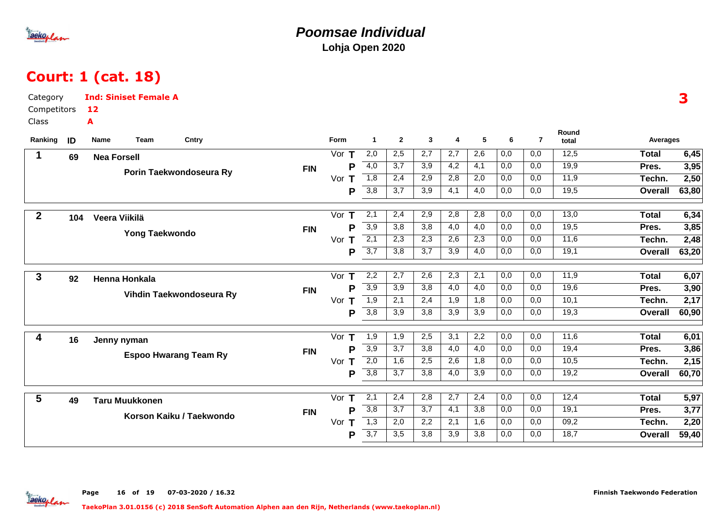

### **Poomsae IndividualLohja Open 2020**

# Court: 1 (cat. 18)

| Category         |     | <b>Ind: Siniset Female A</b> |       |            |                    |                  |                  |                  |                  |                  |                  |                |                |                | 3     |
|------------------|-----|------------------------------|-------|------------|--------------------|------------------|------------------|------------------|------------------|------------------|------------------|----------------|----------------|----------------|-------|
| Competitors      |     | 12                           |       |            |                    |                  |                  |                  |                  |                  |                  |                |                |                |       |
| Class            |     | A                            |       |            |                    |                  |                  |                  |                  |                  |                  |                |                |                |       |
| Ranking          | ID  | Team<br>Name                 | Cntry |            | Form               | $\mathbf{1}$     | $\mathbf{2}$     | 3                | 4                | 5                | 6                | $\overline{7}$ | Round<br>total | Averages       |       |
| $\mathbf 1$      | 69  | <b>Nea Forsell</b>           |       |            | Vor $T$            | 2,0              | 2,5              | 2,7              | 2,7              | 2,6              | 0,0              | 0,0            | 12,5           | <b>Total</b>   | 6,45  |
|                  |     |                              |       | <b>FIN</b> | P                  | 4,0              | 3,7              | $\overline{3,9}$ | 4,2              | 4,1              | 0,0              | 0,0            | 19,9           | Pres.          | 3,95  |
|                  |     | Porin Taekwondoseura Ry      |       |            | Vor $T$            | 1,8              | 2,4              | 2,9              | 2,8              | 2,0              | 0,0              | 0,0            | 11,9           | Techn.         | 2,50  |
|                  |     |                              |       |            | P                  | 3,8              | 3,7              | 3,9              | 4,1              | 4,0              | 0,0              | 0,0            | 19,5           | Overall        | 63,80 |
| $\boldsymbol{2}$ |     |                              |       |            | Vor $T$            | 2,1              | 2,4              | 2,9              | 2,8              | 2,8              | 0,0              | 0,0            | 13,0           | <b>Total</b>   | 6,34  |
|                  | 104 | Veera Viikilä                |       |            | P                  | 3,9              | 3,8              | 3,8              | 4,0              | 4,0              | 0,0              | 0,0            | 19,5           | Pres.          | 3,85  |
|                  |     | Yong Taekwondo               |       | <b>FIN</b> | Vor $T$            | $\overline{2,1}$ | 2,3              | 2,3              | 2,6              | 2,3              | 0,0              | 0,0            | 11,6           | Techn.         | 2,48  |
|                  |     |                              |       |            | P                  | $\overline{3,7}$ | 3,8              | $\overline{3,7}$ | 3,9              | 4,0              | 0,0              | 0,0            | 19,1           | Overall        | 63,20 |
|                  |     |                              |       |            |                    |                  |                  |                  |                  |                  |                  |                |                |                |       |
| 3                | 92  | Henna Honkala                |       |            | Vor $T$            | 2,2              | 2,7              | 2,6              | 2,3              | 2,1              | 0,0              | 0,0            | 11,9           | <b>Total</b>   | 6,07  |
|                  |     | Vihdin Taekwondoseura Ry     |       | <b>FIN</b> | P                  | 3,9              | $\overline{3,9}$ | 3,8              | 4,0              | 4,0              | 0,0              | 0,0            | 19,6           | Pres.          | 3,90  |
|                  |     |                              |       |            | Vor T              | $\overline{1,9}$ | 2,1              | 2,4              | 1,9              | 1,8              | 0,0              | 0,0            | 10,1           | Techn.         | 2,17  |
|                  |     |                              |       |            | P                  | 3,8              | 3,9              | 3,8              | 3,9              | 3,9              | 0,0              | 0,0            | 19,3           | Overall        | 60,90 |
| 4                | 16  | Jenny nyman                  |       |            | Vor<br>$\mathbf T$ | 1,9              | 1,9              | 2,5              | 3,1              | 2,2              | 0,0              | 0,0            | 11,6           | <b>Total</b>   | 6,01  |
|                  |     |                              |       | <b>FIN</b> | P                  | $\overline{3,9}$ | 3,7              | 3,8              | 4,0              | 4,0              | 0,0              | 0,0            | 19,4           | Pres.          | 3,86  |
|                  |     | <b>Espoo Hwarang Team Ry</b> |       |            | Vor $T$            | 2,0              | 1,6              | 2,5              | 2,6              | 1,8              | 0,0              | 0,0            | 10,5           | Techn.         | 2,15  |
|                  |     |                              |       |            | P                  | $\overline{3,8}$ | 3,7              | 3,8              | 4,0              | 3,9              | 0,0              | 0,0            | 19,2           | <b>Overall</b> | 60,70 |
| 5                |     |                              |       |            | Vor $T$            | $\overline{2,1}$ | 2,4              | 2,8              | $\overline{2,7}$ | 2,4              | $\overline{0,0}$ | 0,0            | 12,4           | <b>Total</b>   | 5,97  |
|                  | 49  | <b>Taru Muukkonen</b>        |       | <b>FIN</b> | P                  | $\overline{3,8}$ | 3,7              | 3,7              | 4,1              | $\overline{3,8}$ | 0,0              | 0,0            | 19,1           | Pres.          | 3,77  |
|                  |     | Korson Kaiku / Taekwondo     |       |            | Vor<br>Т           | 1,3              | 2,0              | 2,2              | 2,1              | 1,6              | 0,0              | 0,0            | 09,2           | Techn.         | 2,20  |
|                  |     |                              |       |            | P                  | $\overline{3,7}$ | 3,5              | 3,8              | 3,9              | 3,8              | 0,0              | 0,0            | 18,7           | <b>Overall</b> | 59,40 |
|                  |     |                              |       |            |                    |                  |                  |                  |                  |                  |                  |                |                |                |       |

Page 16 of 19 07-03-2020 / 16.32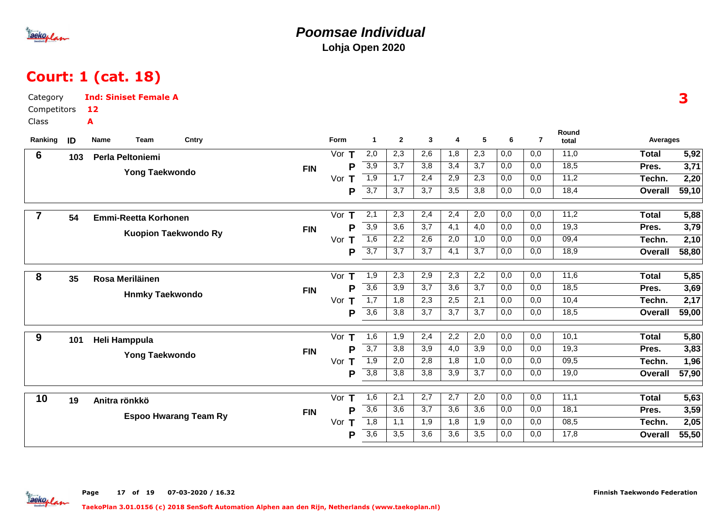

### **Poomsae IndividualLohja Open 2020**

# Court: 1 (cat. 18)

| Category                                                                                                                                                      | 3                                         |
|---------------------------------------------------------------------------------------------------------------------------------------------------------------|-------------------------------------------|
| Competitors<br>12                                                                                                                                             |                                           |
| Class<br>A                                                                                                                                                    |                                           |
| Round<br>5<br>$\overline{7}$<br>Ranking<br>Form<br>$\mathbf{2}$<br>$\mathbf{3}$<br>ID<br>Name<br>Team<br>Cntry<br>$\blacktriangleleft$<br>6<br>4<br>total     | Averages                                  |
| 2,0<br>2,3<br>2,6<br>2,3<br>11,0<br>1,8<br>0,0<br>0,0<br>6<br>Vor $T$<br>Perla Peltoniemi<br>103                                                              | 5,92<br><b>Total</b>                      |
| $\overline{3,9}$<br>$\overline{3,7}$<br>$\overline{3,8}$<br>18,5<br>3,4<br>3,7<br>0,0<br>0,0<br>Р<br><b>FIN</b>                                               | 3,71<br>Pres.                             |
| Yong Taekwondo<br>$\overline{1,9}$<br>11,2<br>1,7<br>2,4<br>2,9<br>2,3<br>0,0<br>0,0<br>Vor $T$                                                               | 2,20<br>Techn.                            |
| $\overline{3,7}$<br>3,7<br>3,7<br>3,8<br>0,0<br>18,4<br>3,5<br>0,0<br>P                                                                                       | 59,10<br>Overall                          |
| 11,2<br>2,1<br>2,3<br>2,4<br>2,4<br>2,0<br>0,0<br>0,0<br>Vor $T$                                                                                              | 5,88<br><b>Total</b>                      |
| $\overline{7}$<br>54<br><b>Emmi-Reetta Korhonen</b><br>3,9<br>3,6<br>3,7<br>4,1<br>4,0<br>19,3<br>P<br>0,0<br>0,0                                             |                                           |
| <b>FIN</b><br><b>Kuopion Taekwondo Ry</b><br>1,6<br>2,2<br>2,6<br>0,0<br>09,4<br>2,0<br>1,0<br>0,0                                                            | 3,79<br>Pres.                             |
| Vor $T$<br>3,7<br>$\overline{3,7}$<br>$\overline{3,7}$<br>18,9<br>4,1<br>3,7<br>0,0<br>0,0                                                                    | 2,10<br>Techn.<br>58,80<br><b>Overall</b> |
| P                                                                                                                                                             |                                           |
| $\overline{2,3}$<br>2,9<br>$\overline{2,3}$<br>$\overline{2,2}$<br>$\overline{0,0}$<br>$\overline{0,0}$<br>11,6<br>Vor T<br>1,9<br>8<br>35<br>Rosa Meriläinen | <b>Total</b><br>5,85                      |
| $\overline{3,6}$<br>3,7<br>3,9<br>3,6<br>3,7<br>0,0<br>0,0<br>18,5<br>P<br><b>FIN</b>                                                                         | 3,69<br>Pres.                             |
| <b>Hnmky Taekwondo</b><br>$\overline{1,7}$<br>$\overline{2,3}$<br>2,5<br>$\overline{0,0}$<br>10,4<br>1,8<br>2,1<br>0,0<br>Vor $T$                             | 2,17<br>Techn.                            |
| $\overline{3,6}$<br>3,8<br>3,7<br>0,0<br>18,5<br>P<br>3,7<br>3,7<br>0,0                                                                                       | 59,00<br>Overall                          |
| 10,1<br>Vor<br>1,6<br>2,4<br>2,2<br>2,0<br>0,0<br>0,0<br>1,9                                                                                                  | <b>Total</b><br>5,80                      |
| 9<br>Т<br>101<br>Heli Hamppula<br>$\overline{3,7}$<br>3,9<br>4,0<br>3,9<br>0,0<br>P<br>3,8<br>0,0<br>19,3                                                     | Pres.<br>3,83                             |
| <b>FIN</b><br>Yong Taekwondo<br>2,8<br>09,5<br>1,9<br>2,0<br>1,8<br>1,0<br>0,0<br>0,0<br>Vor<br>Т                                                             | 1,96<br>Techn.                            |
| $\overline{3,8}$<br>P<br>3,8<br>3,8<br>3,9<br>3,7<br>0,0<br>0,0<br>19,0                                                                                       | 57,90<br><b>Overall</b>                   |
|                                                                                                                                                               |                                           |
| $\overline{2,7}$<br>2,7<br>$\overline{0,0}$<br>11,1<br>Vor<br>1,6<br>2,1<br>2,0<br>0,0<br>10<br>Т<br>19<br>Anitra rönkkö                                      | 5,63<br><b>Total</b>                      |
| $\overline{3,6}$<br>3,6<br>3,7<br>3,6<br>$\overline{3,6}$<br>0,0<br>0,0<br>18,1<br>Þ<br><b>FIN</b>                                                            | 3,59<br>Pres.                             |
| <b>Espoo Hwarang Team Ry</b><br>1,8<br>1,9<br>1,9<br>08,5<br>1,1<br>1,8<br>0,0<br>0,0<br>Vor<br>Т                                                             | 2,05<br>Techn.                            |
| $\overline{3,6}$<br>17,8<br>3,5<br>3,6<br>3,6<br>3,5<br>0,0<br>0,0<br>P                                                                                       | 55,50<br>Overall                          |

Page 17 of 19 07-03-2020 / 16.32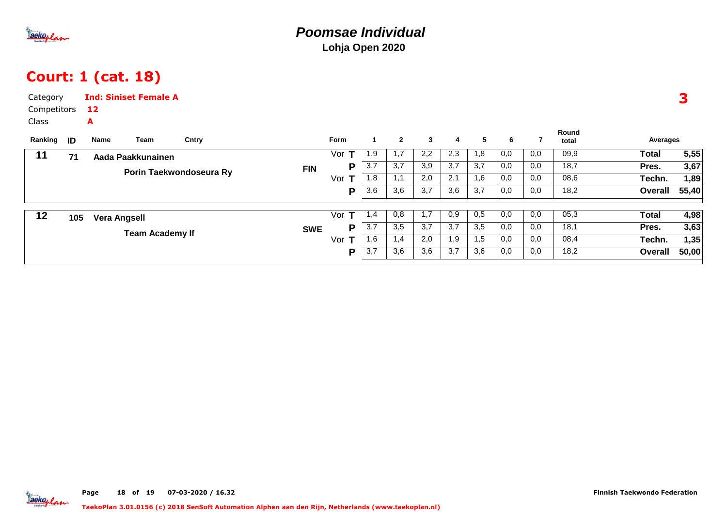

## Court: 1 (cat. 18)

| Category<br>Competitors<br>Class |     | 12<br>A             | <b>Ind: Siniset Female A</b> |                         |            |          |             |              |                  |     |     |     |     |                |          | 3     |
|----------------------------------|-----|---------------------|------------------------------|-------------------------|------------|----------|-------------|--------------|------------------|-----|-----|-----|-----|----------------|----------|-------|
| Ranking                          | ID  | Name                | Team                         | Cntry                   |            | Form     | $\mathbf 1$ | $\mathbf{2}$ | $\mathbf{3}$     | 4   | 5   | 6   |     | Round<br>total | Averages |       |
| 11                               | 71  |                     | Aada Paakkunainen            |                         |            | Vor      | 1,9         | 1,7          | 2,2              | 2,3 | 1,8 | 0,0 | 0,0 | 09,9           | Total    | 5,55  |
|                                  |     |                     |                              | Porin Taekwondoseura Ry | <b>FIN</b> | P        | 3,7         | 3,7          | $\overline{3,9}$ | 3,7 | 3,7 | 0,0 | 0,0 | 18,7           | Pres.    | 3,67  |
|                                  |     |                     |                              |                         |            | Vor $T$  | 1,8         | 1,1          | 2,0              | 2,1 | 1,6 | 0,0 | 0,0 | 08,6           | Techn.   | 1,89  |
|                                  |     |                     |                              |                         |            | P        | 3,6         | 3,6          | 3,7              | 3,6 | 3,7 | 0,0 | 0,0 | 18,2           | Overall  | 55,40 |
| 12                               | 105 | <b>Vera Angsell</b> |                              |                         |            | т<br>Vor | 1,4         | 0,8          | 1,7              | 0,9 | 0,5 | 0,0 | 0,0 | 05,3           | Total    | 4,98  |
|                                  |     |                     | <b>Team Academy If</b>       |                         | <b>SWE</b> | P        | 3,7         | 3,5          | 3,7              | 3,7 | 3,5 | 0,0 | 0,0 | 18,1           | Pres.    | 3,63  |
|                                  |     |                     |                              |                         |            | Vor<br>т | 1,6         | 1,4          | 2,0              | 1,9 | 1,5 | 0,0 | 0,0 | 08,4           | Techn.   | 1,35  |
|                                  |     |                     |                              |                         |            | P        | 3,7         | 3,6          | 3,6              | 3,7 | 3,6 | 0,0 | 0,0 | 18,2           | Overall  | 50,00 |

**Jackoplan**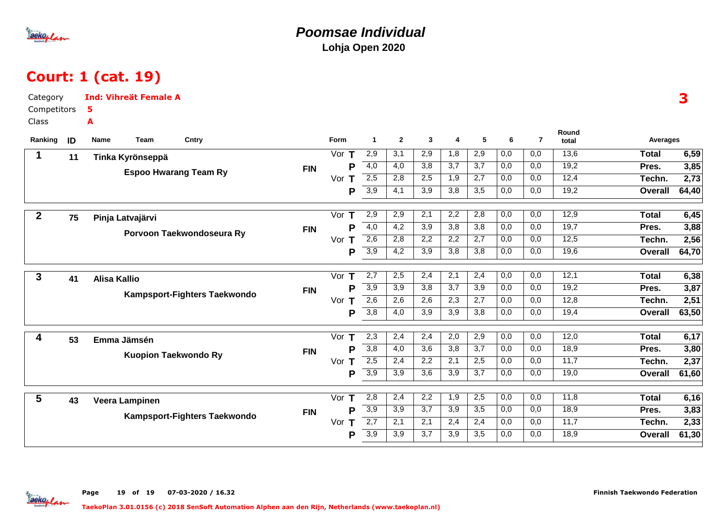

#### **Poomsae IndividualLohja Open 2020**

## Court: 1 (cat. 19)

| Category       |    | <b>Ind: Vihreät Female A</b> |                              |            |          |                  |                  |                  |                  |                  |                  |                  |                |                 | 3     |
|----------------|----|------------------------------|------------------------------|------------|----------|------------------|------------------|------------------|------------------|------------------|------------------|------------------|----------------|-----------------|-------|
| Competitors    |    | 5                            |                              |            |          |                  |                  |                  |                  |                  |                  |                  |                |                 |       |
| Class          |    | A                            |                              |            |          |                  |                  |                  |                  |                  |                  |                  |                |                 |       |
| Ranking        | ID | Name<br>Team                 | Cntry                        |            | Form     | $\mathbf{1}$     | $\overline{2}$   | $\mathbf{3}$     | 4                | 5                | 6                | $\overline{7}$   | Round<br>total | <b>Averages</b> |       |
| 1              | 11 | Tinka Kyrönseppä             |                              |            | Vor $T$  | 2,9              | 3,1              | 2,9              | 1,8              | 2,9              | 0,0              | 0,0              | 13,6           | <b>Total</b>    | 6,59  |
|                |    |                              | <b>Espoo Hwarang Team Ry</b> | <b>FIN</b> | P        | $\overline{4,0}$ | $\overline{4,0}$ | $\overline{3,8}$ | $\overline{3,7}$ | $\overline{3,7}$ | 0,0              | 0,0              | 19,2           | Pres.           | 3,85  |
|                |    |                              |                              |            | Vor $T$  | 2,5              | 2,8              | 2,5              | 1,9              | 2,7              | 0,0              | 0,0              | 12,4           | Techn.          | 2,73  |
|                |    |                              |                              |            | P        | $\overline{3,9}$ | 4,1              | 3,9              | 3,8              | 3,5              | 0,0              | 0,0              | 19,2           | <b>Overall</b>  | 64,40 |
| $\overline{2}$ |    |                              |                              |            | Vor $T$  | 2,9              | 2,9              | 2,1              | 2,2              | 2,8              | 0,0              | 0,0              | 12,9           | <b>Total</b>    | 6,45  |
|                | 75 | Pinja Latvajärvi             |                              |            | P        | $-4,0$           | 4,2              | $\overline{3,9}$ | $\overline{3,8}$ | 3,8              | 0,0              | 0,0              | 19,7           | Pres.           | 3,88  |
|                |    |                              | Porvoon Taekwondoseura Ry    | <b>FIN</b> | Vor<br>Т | 2,6              | 2,8              | 2,2              | 2,2              | 2,7              | 0,0              | 0,0              | 12,5           | Techn.          | 2,56  |
|                |    |                              |                              |            | P        | $\overline{3,9}$ | $\overline{4,2}$ | $\overline{3,9}$ | 3,8              | 3,8              | 0,0              | 0,0              | 19,6           | <b>Overall</b>  | 64,70 |
|                |    |                              |                              |            |          |                  |                  |                  |                  |                  |                  |                  |                |                 |       |
| $\mathbf{3}$   | 41 | <b>Alisa Kallio</b>          |                              |            | Vor $T$  | $\overline{2,7}$ | 2,5              | 2,4              | 2,1              | 2,4              | 0,0              | 0,0              | 12,1           | <b>Total</b>    | 6,38  |
|                |    |                              | Kampsport-Fighters Taekwondo | <b>FIN</b> | P        | 3,9              | 3,9              | 3,8              | 3,7              | 3,9              | 0,0              | 0,0              | 19,2           | Pres.           | 3,87  |
|                |    |                              |                              |            | Vor $T$  | 2,6              | 2,6              | 2,6              | 2,3              | 2,7              | 0,0              | 0,0              | 12,8           | Techn.          | 2,51  |
|                |    |                              |                              |            | P        | $\overline{3,8}$ | 4,0              | 3,9              | 3,9              | 3,8              | 0,0              | 0,0              | 19,4           | <b>Overall</b>  | 63,50 |
| 4              |    |                              |                              |            | Vor<br>Т | 2,3              | 2,4              | 2,4              | 2,0              | 2,9              | 0,0              | 0,0              | 12,0           | <b>Total</b>    | 6,17  |
|                | 53 | Emma Jämsén                  |                              |            | P        | 3,8              | 4,0              | 3,6              | 3,8              | 3,7              | 0,0              | 0,0              | 18,9           | Pres.           | 3,80  |
|                |    |                              | <b>Kuopion Taekwondo Ry</b>  | <b>FIN</b> | Vor $T$  | 2,5              | 2,4              | 2,2              | 2,1              | 2,5              | 0,0              | 0,0              | 11,7           | Techn.          | 2,37  |
|                |    |                              |                              |            | P        | $\overline{3,9}$ | 3,9              | 3,6              | 3,9              | 3,7              | 0,0              | 0,0              | 19,0           | <b>Overall</b>  | 61,60 |
|                |    |                              |                              |            |          |                  |                  |                  |                  |                  |                  |                  |                |                 |       |
| 5              | 43 | Veera Lampinen               |                              |            | Vor<br>т | 2,8              | 2,4              | 2,2              | 1,9              | 2,5              | $\overline{0,0}$ | $\overline{0,0}$ | 11,8           | <b>Total</b>    | 6,16  |
|                |    |                              | Kampsport-Fighters Taekwondo | <b>FIN</b> | P        | $\overline{3,9}$ | $\overline{3,9}$ | 3,7              | 3,9              | 3,5              | 0,0              | 0,0              | 18,9           | Pres.           | 3,83  |
|                |    |                              |                              |            | Vor<br>Τ | $\overline{2,7}$ | 2,1              | 2,1              | 2,4              | 2,4              | 0,0              | 0,0              | 11,7           | Techn.          | 2,33  |
|                |    |                              |                              |            | P        | 3,9              | 3,9              | 3,7              | 3,9              | 3,5              | 0,0              | 0,0              | 18,9           | <b>Overall</b>  | 61,30 |

Page 19 of 19 07-03-2020 / 16.32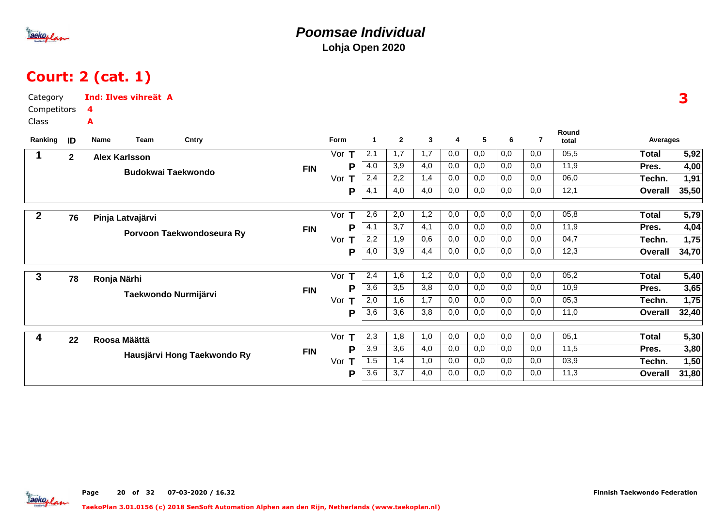

# Court: 2 (cat. 1)

| Category<br>Competitors<br><b>Class</b> |             | <b>Ind: Ilves vihreät A</b><br>4<br>A   |          |                  |                |              |          |     |     |     |                |                | 3                 |
|-----------------------------------------|-------------|-----------------------------------------|----------|------------------|----------------|--------------|----------|-----|-----|-----|----------------|----------------|-------------------|
| Ranking                                 | ID          | Team<br>Cntry<br>Name                   | Form     | $\mathbf 1$      | $\overline{2}$ | $\mathbf{3}$ | 4        | 5   | 6   | 7   | Round<br>total | Averages       |                   |
|                                         | $\mathbf 2$ | <b>Alex Karlsson</b>                    | Vor $T$  | 2,1              | 1,7            | 1,7          | 0,0      | 0,0 | 0,0 | 0,0 | 05,5           | <b>Total</b>   | 5,92              |
|                                         |             | <b>FIN</b><br><b>Budokwai Taekwondo</b> | P        | 4,0              | 3,9            | 4,0          | 0,0      | 0,0 | 0,0 | 0,0 | 11,9           | Pres.          | 4,00              |
|                                         |             |                                         | Vor<br>т | 2,4              | 2,2            | 1,4          | $_{0,0}$ | 0,0 | 0,0 | 0,0 | 06,0           | Techn.         | 1,91              |
|                                         |             |                                         | P        | 4,1              | 4,0            | 4,0          | 0,0      | 0,0 | 0,0 | 0,0 | 12,1           | Overall        | 35,50             |
|                                         |             |                                         | Vor<br>Т | 2,6              | 2,0            | 1,2          | 0,0      | 0,0 | 0,0 | 0,0 | 05,8           | <b>Total</b>   | $\overline{5,79}$ |
| $\boldsymbol{2}$                        | 76          | Pinja Latvajärvi                        | P        | 4,1              | 3,7            | 4,1          | 0,0      | 0,0 | 0,0 | 0,0 | 11,9           | Pres.          | 4,04              |
|                                         |             | <b>FIN</b><br>Porvoon Taekwondoseura Ry | Vor<br>Τ | 2,2              | 1,9            | 0,6          | 0,0      | 0,0 | 0,0 | 0,0 | 04,7           | Techn.         | 1,75              |
|                                         |             |                                         | P        | 4,0              | 3,9            | 4,4          | 0,0      | 0,0 | 0,0 | 0,0 | 12,3           | Overall        | 34,70             |
|                                         |             |                                         |          |                  |                |              |          |     |     |     |                |                |                   |
| $\mathbf{3}$                            | 78          | Ronja Närhi                             | Vor<br>т | 2,4              | 1,6            | 1,2          | 0,0      | 0,0 | 0,0 | 0,0 | 05,2           | <b>Total</b>   | 5,40              |
|                                         |             | <b>FIN</b><br>Taekwondo Nurmijärvi      | P        | $\overline{3,6}$ | 3,5            | 3,8          | 0,0      | 0,0 | 0,0 | 0,0 | 10,9           | Pres.          | 3,65              |
|                                         |             |                                         | Vor<br>Т | 2,0              | 1,6            | 1,7          | 0,0      | 0,0 | 0,0 | 0,0 | 05,3           | Techn.         | 1,75              |
|                                         |             |                                         | P        | $\overline{3,6}$ | 3,6            | 3,8          | 0,0      | 0,0 | 0,0 | 0,0 | 11,0           | <b>Overall</b> | 32,40             |
| 4                                       |             |                                         | Vor $T$  | 2,3              | 1,8            | 1,0          | 0,0      | 0,0 | 0,0 | 0,0 | 05,1           | <b>Total</b>   | 5,30              |
|                                         | 22          | Roosa Määttä<br><b>FIN</b>              | P        | $\overline{3,9}$ | 3,6            | 4,0          | 0,0      | 0,0 | 0,0 | 0,0 | 11,5           | Pres.          | 3,80              |
|                                         |             | Hausjärvi Hong Taekwondo Ry             | Vor<br>т | 1,5              | 1,4            | 1,0          | 0,0      | 0,0 | 0,0 | 0,0 | 03,9           | Techn.         | 1,50              |
|                                         |             |                                         | P        | $\overline{3,6}$ | 3,7            | 4,0          | 0,0      | 0,0 | 0,0 | 0,0 | 11,3           | Overall        | 31,80             |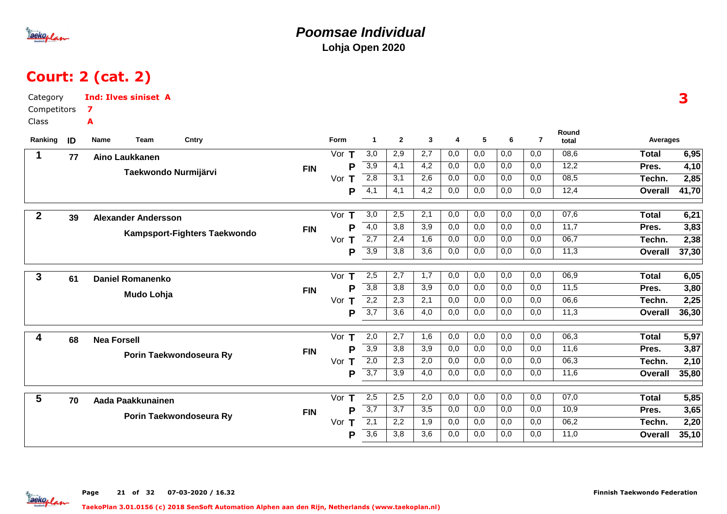

### **Poomsae IndividualLohja Open 2020**

# Court: 2 (cat. 2)

| Category<br>Competitors |    | <b>Ind: Ilves siniset A</b><br>7 |            |                     |                      |                  |                  |     |     |                  |                  |                |                | 3     |
|-------------------------|----|----------------------------------|------------|---------------------|----------------------|------------------|------------------|-----|-----|------------------|------------------|----------------|----------------|-------|
| Class                   |    | A                                |            |                     |                      |                  |                  |     |     |                  |                  |                |                |       |
| Ranking                 | ID | Team<br>Cntry<br>Name            |            | Form                | $\blacktriangleleft$ | $\overline{2}$   | $\mathbf{3}$     | 4   | 5   | 6                | $\overline{7}$   | Round<br>total | Averages       |       |
| $\mathbf 1$             | 77 | Aino Laukkanen                   |            | Vor T               | 3,0                  | 2,9              | 2,7              | 0,0 | 0,0 | 0,0              | 0,0              | 08,6           | <b>Total</b>   | 6,95  |
|                         |    | Taekwondo Nurmijärvi             | <b>FIN</b> | P                   | $\overline{3,9}$     | 4,1              | 4,2              | 0,0 | 0,0 | 0,0              | 0,0              | 12,2           | Pres.          | 4,10  |
|                         |    |                                  |            | Vor<br>$\mathsf{T}$ | $\overline{2,8}$     | 3,1              | 2,6              | 0,0 | 0,0 | 0,0              | 0,0              | 08,5           | Techn.         | 2,85  |
|                         |    |                                  |            | P                   | $\overline{4,1}$     | 4,1              | 4,2              | 0,0 | 0,0 | 0,0              | 0,0              | 12,4           | Overall        | 41,70 |
| $\boldsymbol{2}$        |    |                                  |            | Vor $T$             | 3,0                  | 2,5              | 2,1              | 0,0 | 0,0 | 0,0              | 0,0              | 07,6           | <b>Total</b>   | 6,21  |
|                         | 39 | <b>Alexander Andersson</b>       |            | P                   | $\overline{4,0}$     | 3,8              | 3,9              | 0,0 | 0,0 | 0,0              | 0,0              | 11,7           | Pres.          | 3,83  |
|                         |    | Kampsport-Fighters Taekwondo     | <b>FIN</b> | Vor $T$             | 2,7                  | 2,4              | 1,6              | 0,0 | 0,0 | 0,0              | 0,0              | 06,7           | Techn.         | 2,38  |
|                         |    |                                  |            | P                   | $\overline{3,9}$     | 3,8              | $\overline{3,6}$ | 0,0 | 0,0 | 0,0              | 0,0              | 11,3           | <b>Overall</b> | 37,30 |
|                         |    |                                  |            |                     |                      |                  |                  |     |     |                  |                  |                |                |       |
| 3                       | 61 | <b>Daniel Romanenko</b>          |            | Vor $T$             | 2,5                  | 2,7              | 1,7              | 0,0 | 0,0 | 0,0              | 0,0              | 06,9           | <b>Total</b>   | 6,05  |
|                         |    | Mudo Lohja                       | <b>FIN</b> | P                   | 3,8                  | $\overline{3,8}$ | 3,9              | 0,0 | 0,0 | 0,0              | 0,0              | 11,5           | Pres.          | 3,80  |
|                         |    |                                  |            | Vor $T$             | 2,2                  | 2,3              | 2,1              | 0,0 | 0,0 | 0,0              | 0,0              | 06,6           | Techn.         | 2,25  |
|                         |    |                                  |            | P                   | $\overline{3,7}$     | 3,6              | $\overline{4,0}$ | 0,0 | 0,0 | 0,0              | $\overline{0,0}$ | 11,3           | Overall        | 36,30 |
| 4                       | 68 | <b>Nea Forsell</b>               |            | Vor T               | 2,0                  | 2,7              | 1,6              | 0,0 | 0,0 | $\overline{0,0}$ | 0,0              | 06,3           | <b>Total</b>   | 5,97  |
|                         |    |                                  | <b>FIN</b> | P                   | $\overline{3,9}$     | 3,8              | 3,9              | 0,0 | 0,0 | 0,0              | 0,0              | 11,6           | Pres.          | 3,87  |
|                         |    | Porin Taekwondoseura Ry          |            | Vor $T$             | 2,0                  | $\overline{2,3}$ | 2,0              | 0,0 | 0,0 | 0,0              | 0,0              | 06,3           | Techn.         | 2,10  |
|                         |    |                                  |            | P                   | $\overline{3,7}$     | 3,9              | 4,0              | 0,0 | 0,0 | 0,0              | 0,0              | 11,6           | <b>Overall</b> | 35,80 |
|                         |    |                                  |            |                     |                      |                  |                  |     |     |                  |                  |                |                |       |
| 5                       | 70 | Aada Paakkunainen                |            | Vor $T$             | 2,5                  | 2,5              | 2,0              | 0,0 | 0,0 | 0,0              | 0,0              | 07,0           | <b>Total</b>   | 5,85  |
|                         |    | Porin Taekwondoseura Ry          | <b>FIN</b> | P                   | $\overline{3,7}$     | 3,7              | $\overline{3,5}$ | 0,0 | 0,0 | 0,0              | 0,0              | 10,9           | Pres.          | 3,65  |
|                         |    |                                  |            | Vor<br>Т            | $\overline{2,1}$     | 2,2              | 1,9              | 0,0 | 0,0 | 0,0              | 0,0              | 06,2           | Techn.         | 2,20  |
|                         |    |                                  |            | P                   | $\overline{3,6}$     | 3,8              | 3,6              | 0,0 | 0,0 | 0,0              | 0,0              | 11,0           | <b>Overall</b> | 35,10 |

Page 21 of 32 07-03-2020 / 16.32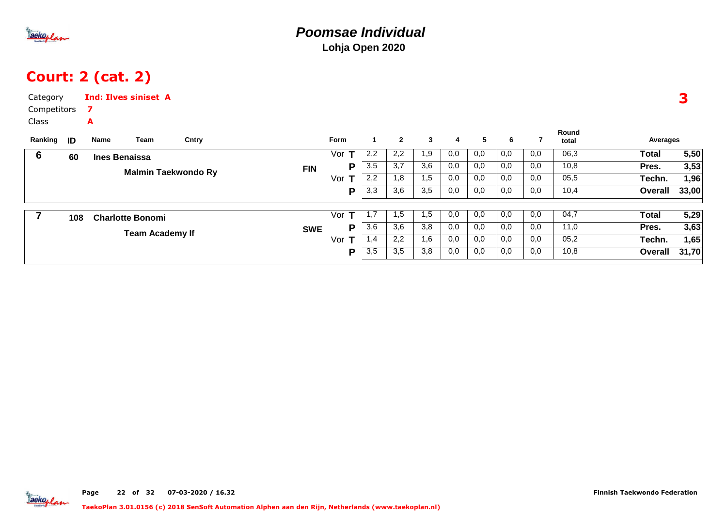

## Court: 2 (cat. 2)

| Category<br>Competitors<br>Class |     | 7                    | <b>Ind: Ilves siniset A</b> |                            |            |          |     |                  |              |     |     |     |     |                |              | 3     |
|----------------------------------|-----|----------------------|-----------------------------|----------------------------|------------|----------|-----|------------------|--------------|-----|-----|-----|-----|----------------|--------------|-------|
| Ranking                          | ID  | A<br>Name            | Team                        | Cntry                      |            | Form     |     | $\mathbf{2}$     | $\mathbf{3}$ | 4   | 5   | 6   | 7   | Round<br>total | Averages     |       |
| 6                                | 60  | <b>Ines Benaissa</b> |                             |                            |            | Vor      | 2,2 | 2,2              | 1,9          | 0,0 | 0,0 | 0,0 | 0,0 | 06,3           | Total        | 5,50  |
|                                  |     |                      |                             | <b>Malmin Taekwondo Ry</b> | <b>FIN</b> | P        | 3,5 | $\overline{3,7}$ | 3,6          | 0,0 | 0,0 | 0,0 | 0,0 | 10,8           | Pres.        | 3,53  |
|                                  |     |                      |                             |                            |            | Vor      | 2,2 | 1,8              | 1,5          | 0,0 | 0,0 | 0,0 | 0,0 | 05,5           | Techn.       | 1,96  |
|                                  |     |                      |                             |                            |            | P        | 3,3 | 3,6              | 3,5          | 0,0 | 0,0 | 0,0 | 0,0 | 10,4           | Overall      | 33,00 |
|                                  | 108 |                      | <b>Charlotte Bonomi</b>     |                            |            | Vor<br>т | 1,7 | 1,5              | 1,5          | 0,0 | 0,0 | 0,0 | 0,0 | 04,7           | <b>Total</b> | 5,29  |
|                                  |     |                      | <b>Team Academy If</b>      |                            | <b>SWE</b> | P        | 3,6 | 3,6              | 3,8          | 0,0 | 0,0 | 0,0 | 0,0 | 11,0           | Pres.        | 3,63  |
|                                  |     |                      |                             |                            |            | Vor      | 1,4 | 2,2              | 1,6          | 0,0 | 0,0 | 0,0 | 0,0 | 05,2           | Techn.       | 1,65  |
|                                  |     |                      |                             |                            |            | P        | 3,5 | 3,5              | 3,8          | 0,0 | 0,0 | 0,0 | 0,0 | 10,8           | Overall      | 31,70 |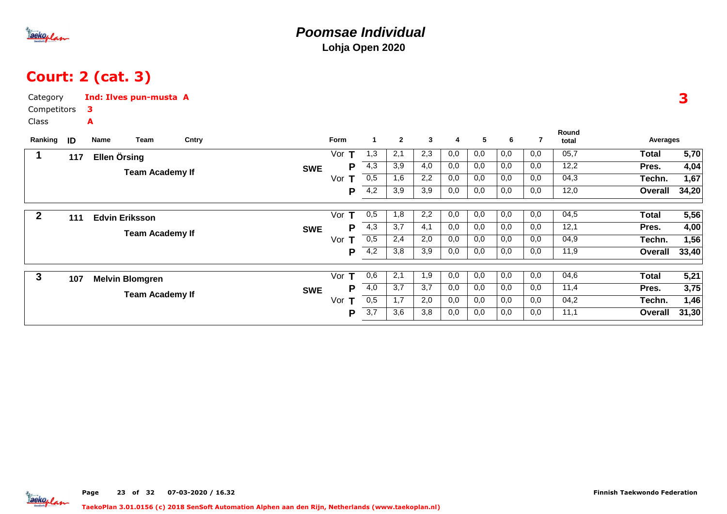

# Court: 2 (cat. 3)

| Category<br>Competitors<br>Class |     | Ind: Ilves pun-musta A<br>3<br>A                 |       |            |                                |                                       |                          |                          |                          |                          |                          |                          |                              |                                            |                               |
|----------------------------------|-----|--------------------------------------------------|-------|------------|--------------------------------|---------------------------------------|--------------------------|--------------------------|--------------------------|--------------------------|--------------------------|--------------------------|------------------------------|--------------------------------------------|-------------------------------|
| Ranking                          | ID  | Team<br>Name                                     | Cntry |            | Form                           | $\blacktriangleleft$                  | $\overline{2}$           | $\mathbf{3}$             | 4                        | 5                        | 6                        | $\overline{7}$           | Round<br>total               | Averages                                   |                               |
| 1                                | 117 | Ellen Örsing<br><b>Team Academy If</b>           |       | <b>SWE</b> | Vor $T$<br>Ρ<br>Vor<br>т<br>Ρ  | 1,3<br>4,3<br>0,5<br>4,2              | 2,1<br>3,9<br>1,6<br>3,9 | 2,3<br>4,0<br>2,2<br>3,9 | 0,0<br>0,0<br>0,0<br>0,0 | 0,0<br>0,0<br>0,0<br>0,0 | 0,0<br>0,0<br>0,0<br>0,0 | 0,0<br>0,0<br>0,0<br>0,0 | 05,7<br>12,2<br>04,3<br>12,0 | <b>Total</b><br>Pres.<br>Techn.<br>Overall | 5,70<br>4,04<br>1,67<br>34,20 |
| $\mathbf{2}$                     | 111 | <b>Edvin Eriksson</b><br><b>Team Academy If</b>  |       | <b>SWE</b> | Vor $T$<br>Р<br>Vor<br>т<br>Ρ  | 0,5<br>4,3<br>0,5<br>$\overline{4,2}$ | 1,8<br>3,7<br>2,4<br>3,8 | 2,2<br>4,1<br>2,0<br>3,9 | 0,0<br>0,0<br>0,0<br>0,0 | 0,0<br>0,0<br>0,0<br>0,0 | 0,0<br>0,0<br>0,0<br>0,0 | 0,0<br>0,0<br>0,0<br>0,0 | 04,5<br>12,1<br>04,9<br>11,9 | <b>Total</b><br>Pres.<br>Techn.<br>Overall | 5,56<br>4,00<br>1,56<br>33,40 |
| $\mathbf{3}$                     | 107 | <b>Melvin Blomgren</b><br><b>Team Academy If</b> |       | <b>SWE</b> | Vor<br>т<br>Р<br>т<br>Vor<br>Ρ | 0,6<br>4,0<br>0,5<br>3,7              | 2,1<br>3,7<br>1,7<br>3,6 | 1,9<br>3,7<br>2,0<br>3,8 | 0,0<br>0,0<br>0,0<br>0,0 | 0,0<br>0,0<br>0,0<br>0,0 | 0,0<br>0,0<br>0,0<br>0,0 | 0,0<br>0,0<br>0,0<br>0,0 | 04,6<br>11,4<br>04,2<br>11,1 | <b>Total</b><br>Pres.<br>Techn.<br>Overall | 5,21<br>3,75<br>1,46<br>31,30 |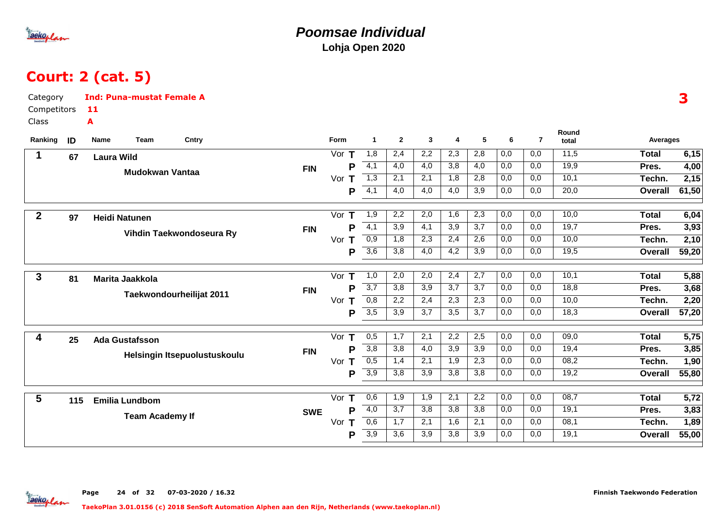

### **Poomsae IndividualLohja Open 2020**

# Court: 2 (cat. 5)

| Category         |     | <b>Ind: Puna-mustat Female A</b> |                              |            |          |                       |                |                  |                  |                  |     |                |                |                 | 3     |
|------------------|-----|----------------------------------|------------------------------|------------|----------|-----------------------|----------------|------------------|------------------|------------------|-----|----------------|----------------|-----------------|-------|
| Competitors      |     | -11                              |                              |            |          |                       |                |                  |                  |                  |     |                |                |                 |       |
| Class<br>Ranking | ID  | A<br>Team<br>Name                | Cntry                        |            | Form     | $\blacktriangleleft$  | $\overline{2}$ | $\mathbf{3}$     | 4                | 5                | 6   | $\overline{7}$ | Round<br>total | <b>Averages</b> |       |
| 1                |     |                                  |                              |            | Vor $T$  | 1,8                   | 2,4            | 2,2              | 2,3              | 2,8              | 0,0 | 0,0            | 11,5           | <b>Total</b>    | 6,15  |
|                  | 67  | <b>Laura Wild</b>                |                              |            | P        | 4,1                   | 4,0            | 4,0              | 3,8              | 4,0              | 0,0 | 0,0            | 19,9           | Pres.           | 4,00  |
|                  |     | <b>Mudokwan Vantaa</b>           |                              | <b>FIN</b> | Vor T    | $\overline{1,3}$      | 2,1            | 2,1              | 1,8              | 2,8              | 0,0 | 0,0            | 10,1           | Techn.          | 2,15  |
|                  |     |                                  |                              |            |          | $\overline{4,1}$<br>P | 4,0            | 4,0              | 4,0              | 3,9              | 0,0 | 0,0            | 20,0           | <b>Overall</b>  | 61,50 |
| $\boldsymbol{2}$ | 97  | <b>Heidi Natunen</b>             |                              |            | Vor<br>Т | 1,9                   | 2,2            | 2,0              | 1,6              | $\overline{2,3}$ | 0,0 | 0,0            | 10,0           | <b>Total</b>    | 6,04  |
|                  |     |                                  | Vihdin Taekwondoseura Ry     | <b>FIN</b> | P        | $\overline{4,1}$      | 3,9            | 4,1              | 3,9              | 3,7              | 0,0 | 0,0            | 19,7           | Pres.           | 3,93  |
|                  |     |                                  |                              |            | Vor $T$  | 0,9                   | 1,8            | 2,3              | 2,4              | 2,6              | 0,0 | 0,0            | 10,0           | Techn.          | 2,10  |
|                  |     |                                  |                              |            | P        | 3,6                   | 3,8            | 4,0              | 4,2              | 3,9              | 0,0 | 0,0            | 19,5           | <b>Overall</b>  | 59,20 |
| $\mathbf{3}$     | 81  | <b>Marita Jaakkola</b>           |                              |            | Vor<br>Т | 1,0                   | 2,0            | 2,0              | 2,4              | 2,7              | 0,0 | 0,0            | 10,1           | <b>Total</b>    | 5,88  |
|                  |     |                                  | Taekwondourheilijat 2011     | <b>FIN</b> | P        | $\overline{3,7}$      | 3,8            | $\overline{3,9}$ | 3,7              | $\overline{3,7}$ | 0,0 | 0,0            | 18,8           | Pres.           | 3,68  |
|                  |     |                                  |                              |            | Vor<br>Τ | 0,8                   | 2,2            | 2,4              | 2,3              | 2,3              | 0,0 | 0,0            | 10,0           | Techn.          | 2,20  |
|                  |     |                                  |                              |            | P        | $\overline{3,5}$      | 3,9            | 3,7              | 3,5              | 3,7              | 0,0 | 0,0            | 18,3           | <b>Overall</b>  | 57,20 |
| 4                | 25  | <b>Ada Gustafsson</b>            |                              |            | Vor $T$  | 0,5                   | 1,7            | 2,1              | 2,2              | 2,5              | 0,0 | 0,0            | 09,0           | <b>Total</b>    | 5,75  |
|                  |     |                                  | Helsingin Itsepuolustuskoulu | <b>FIN</b> | P        | 3,8                   | 3,8            | 4,0              | $\overline{3,9}$ | 3,9              | 0,0 | 0,0            | 19,4           | Pres.           | 3,85  |
|                  |     |                                  |                              |            | Vor $T$  | 0,5                   | 1,4            | 2,1              | 1,9              | 2,3              | 0,0 | 0,0            | 08,2           | Techn.          | 1,90  |
|                  |     |                                  |                              |            | P        | 3,9                   | 3,8            | 3,9              | 3,8              | $\overline{3,8}$ | 0,0 | 0,0            | 19,2           | <b>Overall</b>  | 55,80 |
| $5\phantom{.0}$  | 115 | <b>Emilia Lundbom</b>            |                              |            | Vor $T$  | 0,6                   | 1,9            | 1,9              | 2,1              | 2,2              | 0,0 | 0,0            | 08,7           | <b>Total</b>    | 5,72  |
|                  |     | <b>Team Academy If</b>           |                              | <b>SWE</b> | P        | $\overline{4,0}$      | 3,7            | $\overline{3,8}$ | $\overline{3,8}$ | 3,8              | 0,0 | 0,0            | 19,1           | Pres.           | 3,83  |
|                  |     |                                  |                              |            | Vor<br>Т | 0,6                   | 1,7            | 2,1              | 1,6              | 2,1              | 0,0 | 0,0            | 08,1           | Techn.          | 1,89  |
|                  |     |                                  |                              |            | P        | 3,9                   | 3,6            | 3,9              | 3,8              | 3,9              | 0,0 | 0,0            | 19,1           | <b>Overall</b>  | 55,00 |
|                  |     |                                  |                              |            |          |                       |                |                  |                  |                  |     |                |                |                 |       |

Page 24 of 32 07-03-2020 / 16.32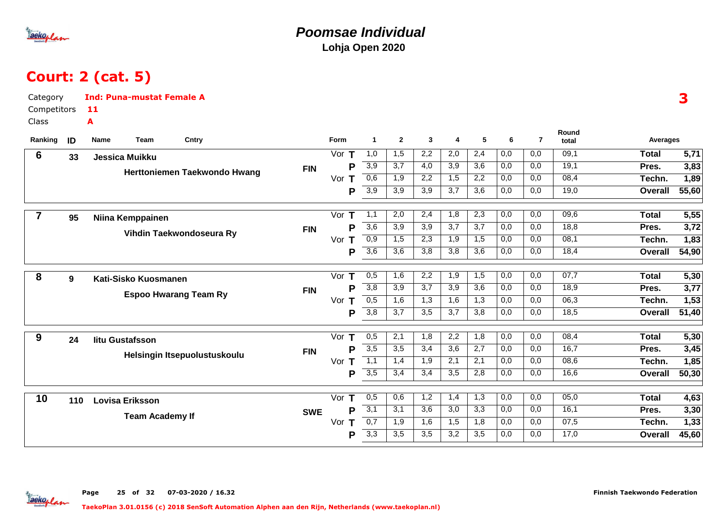

### **Poomsae IndividualLohja Open 2020**

# Court: 2 (cat. 5)

| Category<br>Competitors<br>Class |     | <b>Ind: Puna-mustat Female A</b><br>11<br>A |                              |            |          |                      |                  |                  |                  |                  |                  |                |                |                | 3                 |
|----------------------------------|-----|---------------------------------------------|------------------------------|------------|----------|----------------------|------------------|------------------|------------------|------------------|------------------|----------------|----------------|----------------|-------------------|
| Ranking                          | ID  | Name<br>Team                                | Cntry                        |            | Form     | $\blacktriangleleft$ | $\overline{2}$   | 3                | 4                | 5                | 6                | $\overline{7}$ | Round<br>total | Averages       |                   |
| 6                                | 33  | Jessica Muikku                              |                              |            | Vor $T$  | 1,0                  | 1,5              | $\overline{2,2}$ | 2,0              | 2,4              | 0,0              | 0,0            | 09,1           | <b>Total</b>   | $\overline{5,71}$ |
|                                  |     |                                             |                              | <b>FIN</b> | P        | 3,9                  | 3,7              | $\overline{4,0}$ | $\overline{3,9}$ | $\overline{3,6}$ | 0,0              | 0,0            | 19,1           | Pres.          | 3,83              |
|                                  |     |                                             | Herttoniemen Taekwondo Hwang |            | Vor $T$  | 0,6                  | 1,9              | 2,2              | 1,5              | 2,2              | 0,0              | 0,0            | 08,4           | Techn.         | 1,89              |
|                                  |     |                                             |                              |            | Р        | $\overline{3,9}$     | 3,9              | 3,9              | 3,7              | 3,6              | 0,0              | 0,0            | 19,0           | Overall        | 55,60             |
| $\overline{7}$                   |     |                                             |                              |            | Vor T    | 1,1                  | 2,0              | 2,4              | 1,8              | 2,3              | 0,0              | 0,0            | 09,6           | <b>Total</b>   | 5,55              |
|                                  | 95  | Niina Kemppainen                            |                              | <b>FIN</b> | P        | $\overline{3,6}$     | 3,9              | $\overline{3,9}$ | 3,7              | 3,7              | 0,0              | 0,0            | 18,8           | Pres.          | 3,72              |
|                                  |     |                                             | Vihdin Taekwondoseura Ry     |            | Vor $T$  | $\overline{0,9}$     | 1,5              | 2,3              | 1,9              | 1,5              | 0,0              | 0,0            | 08,1           | Techn.         | 1,83              |
|                                  |     |                                             |                              |            | P        | $\overline{3,6}$     | 3,6              | 3,8              | 3,8              | 3,6              | 0,0              | 0.0            | 18,4           | Overall        | 54,90             |
|                                  |     |                                             |                              |            |          |                      |                  |                  |                  |                  |                  |                |                |                |                   |
| 8                                | 9   | Kati-Sisko Kuosmanen                        |                              |            | Vor $T$  | 0,5                  | 1,6              | 2,2              | 1,9              | 1,5              | 0,0              | 0,0            | 07,7           | <b>Total</b>   | 5,30              |
|                                  |     |                                             | <b>Espoo Hwarang Team Ry</b> | <b>FIN</b> | P        | $\overline{3,8}$     | $\overline{3,9}$ | 3,7              | 3,9              | $\overline{3,6}$ | 0,0              | 0,0            | 18,9           | Pres.          | 3,77              |
|                                  |     |                                             |                              |            | Vor T    | 0,5                  | 1,6              | 1,3              | 1,6              | 1,3              | 0,0              | 0,0            | 06,3           | Techn.         | 1,53              |
|                                  |     |                                             |                              |            | P        | $\overline{3,8}$     | 3,7              | 3,5              | 3,7              | 3,8              | 0,0              | 0,0            | 18,5           | <b>Overall</b> | 51,40             |
| 9                                | 24  | litu Gustafsson                             |                              |            | Vor $T$  | 0,5                  | 2,1              | $\overline{1,8}$ | 2,2              | $\overline{1,8}$ | $\overline{0,0}$ | 0,0            | 08,4           | <b>Total</b>   | 5,30              |
|                                  |     |                                             | Helsingin Itsepuolustuskoulu | <b>FIN</b> | P        | $\overline{3,5}$     | 3,5              | 3,4              | 3,6              | 2,7              | 0,0              | 0,0            | 16,7           | Pres.          | 3,45              |
|                                  |     |                                             |                              |            | Vor $T$  | 1,1                  | 1,4              | 1,9              | 2,1              | 2,1              | 0,0              | 0,0            | 08,6           | Techn.         | 1,85              |
|                                  |     |                                             |                              |            | P        | $\overline{3,5}$     | 3,4              | 3,4              | $\overline{3,5}$ | 2,8              | 0,0              | 0,0            | 16,6           | <b>Overall</b> | 50,30             |
| 10                               | 110 | <b>Lovisa Eriksson</b>                      |                              |            | Vor $T$  | 0,5                  | 0,6              | 1,2              | 1,4              | 1,3              | 0,0              | 0,0            | 05,0           | <b>Total</b>   | 4,63              |
|                                  |     |                                             |                              | <b>SWE</b> | Р        | $\overline{3,1}$     | 3,1              | $\overline{3,6}$ | 3,0              | 3,3              | 0,0              | 0,0            | 16,1           | Pres.          | 3,30              |
|                                  |     | <b>Team Academy If</b>                      |                              |            | Vor<br>T | 0,7                  | 1,9              | 1,6              | 1,5              | 1,8              | 0,0              | 0,0            | 07,5           | Techn.         | 1,33              |
|                                  |     |                                             |                              |            | P        | 3,3                  | 3,5              | 3,5              | 3,2              | 3,5              | 0,0              | 0,0            | 17,0           | Overall        | 45,60             |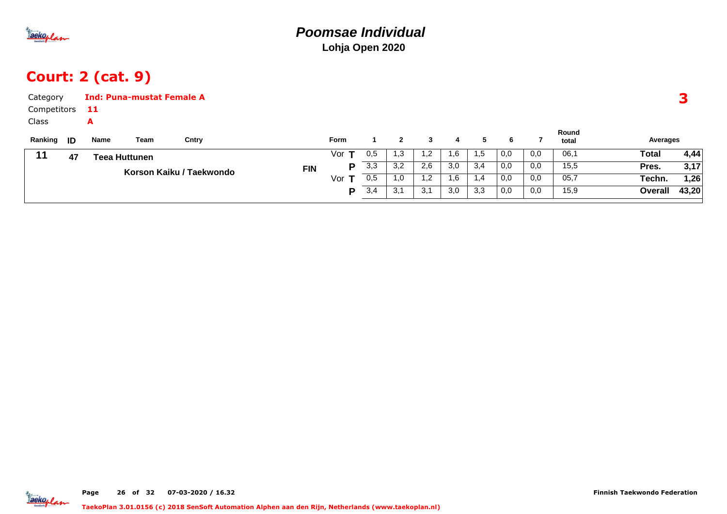

## Court: 2 (cat. 9)

| Category    |      |      | <b>Ind: Puna-mustat Female A</b> |                          |            |             |     |     |     |     |     |     |     |                |          | З     |
|-------------|------|------|----------------------------------|--------------------------|------------|-------------|-----|-----|-----|-----|-----|-----|-----|----------------|----------|-------|
| Competitors |      | 11   |                                  |                          |            |             |     |     |     |     |     |     |     |                |          |       |
| Class       |      | A    |                                  |                          |            |             |     |     |     |     |     |     |     |                |          |       |
| Ranking     | - ID | Name | Team                             | Cntry                    |            | <b>Form</b> |     | 2   | 3   | 4   | 5   | 6   |     | Round<br>total | Averages |       |
| 11          | 47   |      | <b>Teea Huttunen</b>             |                          |            | Vorl        | 0,5 | 1.3 | 1,2 | 1,6 | 1,5 | 0,0 | 0,0 | 06,1           | Total    | 4,44  |
|             |      |      |                                  |                          | <b>FIN</b> | D.          | 3,3 | 3,2 | 2,6 | 3,0 | 3,4 | 0,0 | 0,0 | 15,5           | Pres.    | 3,17  |
|             |      |      |                                  | Korson Kaiku / Taekwondo |            | Vor $T$     | 0,5 | 1.0 | 1,2 | 1,6 | 1,4 | 0,0 | 0,0 | 05,7           | Techn.   | 1,26  |
|             |      |      |                                  |                          |            | D.          | 3,4 | 3,1 | 3,1 | 3,0 | 3,3 | 0,0 | 0,0 | 15,9           | Overall  | 43,20 |
|             |      |      |                                  |                          |            |             |     |     |     |     |     |     |     |                |          |       |

aekoplan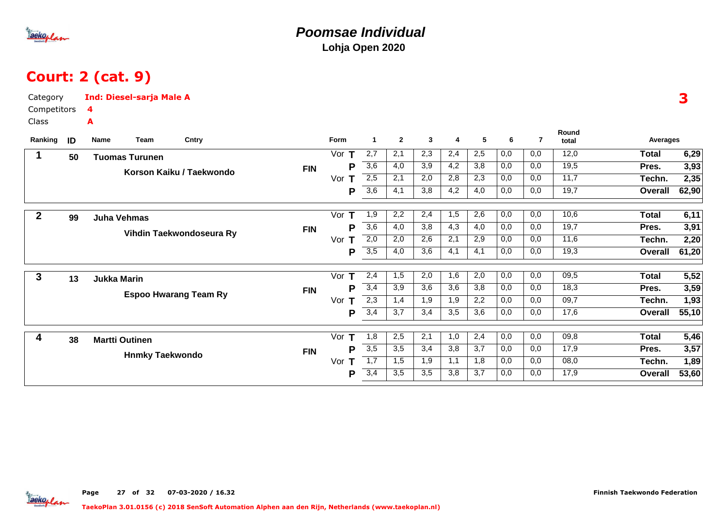

# Court: 2 (cat. 9)

| Category<br>Competitors |    | <b>Ind: Diesel-sarja Male A</b><br>4   |         |                       |              |     |     |     |     |     |       |                | 3     |
|-------------------------|----|----------------------------------------|---------|-----------------------|--------------|-----|-----|-----|-----|-----|-------|----------------|-------|
| Class                   |    | A                                      |         |                       |              |     |     |     |     |     | Round |                |       |
| Ranking                 | ID | Cntry<br>Team<br>Name                  | Form    | $\mathbf{1}$          | $\mathbf{2}$ | 3   | 4   | 5   | 6   | 7   | total | Averages       |       |
|                         | 50 | <b>Tuomas Turunen</b>                  | Vor $T$ | 2,7                   | 2,1          | 2,3 | 2,4 | 2,5 | 0,0 | 0,0 | 12,0  | <b>Total</b>   | 6,29  |
|                         |    | <b>FIN</b><br>Korson Kaiku / Taekwondo |         | 3,6<br>Р              | 4,0          | 3,9 | 4,2 | 3,8 | 0,0 | 0,0 | 19,5  | Pres.          | 3,93  |
|                         |    |                                        | Vor T   | 2,5                   | 2,1          | 2,0 | 2,8 | 2,3 | 0,0 | 0,0 | 11,7  | Techn.         | 2,35  |
|                         |    |                                        |         | $\overline{3,6}$<br>Р | 4,1          | 3,8 | 4,2 | 4,0 | 0,0 | 0,0 | 19,7  | Overall        | 62,90 |
| $\boldsymbol{2}$        |    |                                        | Vor     | 1,9<br>Т              | 2,2          | 2,4 | 1,5 | 2,6 | 0,0 | 0,0 | 10,6  | <b>Total</b>   | 6,11  |
|                         | 99 | <b>Juha Vehmas</b><br><b>FIN</b>       |         | $\overline{3,6}$<br>P | 4,0          | 3,8 | 4,3 | 4,0 | 0,0 | 0,0 | 19,7  | Pres.          | 3,91  |
|                         |    | Vihdin Taekwondoseura Ry               | Vor     | 2,0<br>Т              | 2,0          | 2,6 | 2,1 | 2,9 | 0,0 | 0,0 | 11,6  | Techn.         | 2,20  |
|                         |    |                                        |         | $\overline{3,5}$<br>Р | 4,0          | 3,6 | 4,1 | 4,1 | 0,0 | 0,0 | 19,3  | Overall        | 61,20 |
| $\mathbf{3}$            |    |                                        | Vor $T$ | 2,4                   | 1,5          | 2,0 | 1,6 | 2,0 | 0,0 | 0,0 | 09,5  | <b>Total</b>   | 5,52  |
|                         | 13 | <b>Jukka Marin</b><br><b>FIN</b>       |         | 3,4<br>Р              | 3,9          | 3,6 | 3,6 | 3,8 | 0,0 | 0,0 | 18,3  | Pres.          | 3,59  |
|                         |    | <b>Espoo Hwarang Team Ry</b>           | Vor     | 2,3<br>т              | 1,4          | 1,9 | 1,9 | 2,2 | 0,0 | 0,0 | 09,7  | Techn.         | 1,93  |
|                         |    |                                        |         | 3,4<br>Р              | 3,7          | 3,4 | 3,5 | 3,6 | 0,0 | 0,0 | 17,6  | Overall        | 55,10 |
| 4                       |    |                                        | Vor $T$ | 1,8                   | 2,5          | 2,1 | 1,0 | 2,4 | 0,0 | 0,0 | 09,8  | Total          | 5,46  |
|                         | 38 | <b>Martti Outinen</b><br><b>FIN</b>    |         | $\overline{3,5}$<br>Р | 3,5          | 3,4 | 3,8 | 3,7 | 0,0 | 0,0 | 17,9  | Pres.          | 3,57  |
|                         |    | <b>Hnmky Taekwondo</b>                 | Vor     | $\overline{1,7}$<br>т | 1,5          | 1,9 | 1,1 | 1,8 | 0,0 | 0,0 | 08,0  | Techn.         | 1,89  |
|                         |    |                                        |         | 3,4<br>Р              | 3,5          | 3,5 | 3,8 | 3,7 | 0,0 | 0,0 | 17,9  | <b>Overall</b> | 53,60 |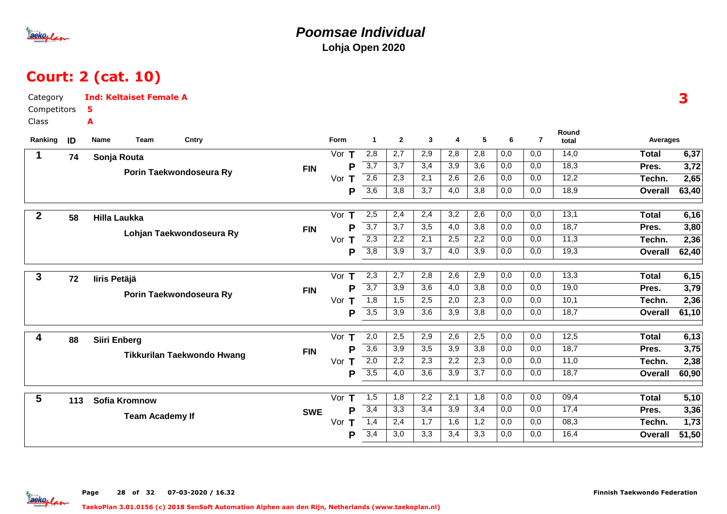

### **Poomsae IndividualLohja Open 2020**

# Court: 2 (cat. 10)

| Competitors<br>5<br>Class<br>A<br>Round<br>$\mathbf{3}$<br>5<br>$\overline{7}$<br>Ranking<br>Team<br>Cntry<br>Form<br>$\overline{1}$<br>$\mathbf{2}$<br>6<br>ID<br>Name<br>4<br>Averages<br>total<br>2,8<br>2,9<br>2,8<br>14,0<br>2,7<br>2,8<br>0,0<br>0,0<br><b>Total</b><br>Vor $T$<br>1<br>74<br>Sonja Routa<br>3,7<br>3,7<br>3,4<br>$\overline{3,9}$<br>$\overline{3,6}$<br>18,3<br>0,0<br>0,0<br>P<br>Pres.<br><b>FIN</b><br>Porin Taekwondoseura Ry<br>2,6<br>12,2<br>2,3<br>2,1<br>2,6<br>2,6<br>0,0<br>0,0<br>2,65<br>Vor T<br>Techn.<br>$\overline{3,6}$<br>18,9<br>3,7<br>3,8<br>0,0<br>0,0<br>63,40<br>3,8<br>4,0<br>Overall<br>P<br>2,5<br>13,1<br>6,16<br>Vor $T$<br>2,4<br>2,4<br>3,2<br>2,6<br>0,0<br>0,0<br><b>Total</b><br>$\boldsymbol{2}$<br>58<br><b>Hilla Laukka</b><br>$\overline{3,7}$<br>18,7<br>3,7<br>3,5<br>4,0<br>3,8<br>0,0<br>0,0<br>3,80<br>P<br>Pres.<br><b>FIN</b><br>Lohjan Taekwondoseura Ry<br>$\overline{2,3}$<br>2,2<br>2,1<br>2,2<br>0,0<br>0,0<br>11,3<br>2,36<br>2,5<br>Techn.<br>Vor $T$<br>3,8<br>$\overline{3,7}$<br>19,3<br>3,9<br>4,0<br>3,9<br>0,0<br>0,0<br><b>Overall</b><br>P<br>$\overline{2,3}$<br>$\overline{2,7}$<br>2,8<br>$\overline{2,9}$<br>0,0<br>13,3<br>2,6<br>0,0<br><b>Total</b><br>$\mathbf{3}$<br>Vor $T$<br>72<br>liris Petäjä<br>$\overline{3,7}$<br>19,0<br>$\overline{3,9}$<br>$\overline{3,6}$<br>4,0<br>3,8<br>0,0<br>0,0<br>3,79<br>P<br>Pres.<br><b>FIN</b><br>Porin Taekwondoseura Ry<br>1,8<br>10,1<br>1,5<br>2,5<br>2,0<br>2,3<br>0,0<br>0,0<br>Vor T<br>Techn.<br>$\overline{3,5}$<br>18,7<br>3,9<br>3,6<br>3,9<br>3,8<br>61,10<br>P<br>0,0<br>0,0<br>Overall<br>2,5<br>12,5<br>Vor T<br>2,0<br>2,5<br>2,9<br>2,6<br>0,0<br>0,0<br><b>Total</b><br>4<br>88<br>Siiri Enberg<br>$\overline{3,6}$<br>3,9<br>3,5<br>3,9<br>3,8<br>0,0<br>0,0<br>18,7<br>P<br>Pres.<br><b>FIN</b><br><b>Tikkurilan Taekwondo Hwang</b><br>2,0<br>11,0<br>2,2<br>2,3<br>2,2<br>$\overline{2,3}$<br>0,0<br>0,0<br>Vor $T$<br>Techn.<br>3,5<br>4,0<br>3,6<br>3,9<br>3,7<br>0,0<br>18,7<br>P<br>0,0<br><b>Overall</b><br>2,2<br>$\overline{2,1}$<br>$\overline{0,0}$<br>$\overline{5,10}$<br>5<br>1,8<br>1,8<br>0,0<br>09,4<br><b>Total</b><br>Vor $T$<br>1,5<br>113<br><b>Sofia Kromnow</b><br>3,4<br>3,3<br>3,4<br>3,9<br>3,4<br>0,0<br>0,0<br>17,4<br>3,36<br>Pres.<br>P<br><b>SWE</b><br><b>Team Academy If</b><br>1,4<br>1,7<br>1,2<br>08,3<br>1,73<br>2,4<br>1,6<br>0,0<br>0,0<br>Vor<br>Techn.<br>Τ<br>3,4<br>3,0<br>16,4<br>51,50<br>3,3<br>3,4<br>3,3<br>0,0<br>0,0<br>P<br><b>Overall</b> | Category | <b>Ind: Keltaiset Female A</b> |  |  |  |  |  |  | 3     |
|---------------------------------------------------------------------------------------------------------------------------------------------------------------------------------------------------------------------------------------------------------------------------------------------------------------------------------------------------------------------------------------------------------------------------------------------------------------------------------------------------------------------------------------------------------------------------------------------------------------------------------------------------------------------------------------------------------------------------------------------------------------------------------------------------------------------------------------------------------------------------------------------------------------------------------------------------------------------------------------------------------------------------------------------------------------------------------------------------------------------------------------------------------------------------------------------------------------------------------------------------------------------------------------------------------------------------------------------------------------------------------------------------------------------------------------------------------------------------------------------------------------------------------------------------------------------------------------------------------------------------------------------------------------------------------------------------------------------------------------------------------------------------------------------------------------------------------------------------------------------------------------------------------------------------------------------------------------------------------------------------------------------------------------------------------------------------------------------------------------------------------------------------------------------------------------------------------------------------------------------------------------------------------------------------------------------------------------------------------------------------------------------------------------------------------------------------------------------------------------------------------------------------------------------------------|----------|--------------------------------|--|--|--|--|--|--|-------|
|                                                                                                                                                                                                                                                                                                                                                                                                                                                                                                                                                                                                                                                                                                                                                                                                                                                                                                                                                                                                                                                                                                                                                                                                                                                                                                                                                                                                                                                                                                                                                                                                                                                                                                                                                                                                                                                                                                                                                                                                                                                                                                                                                                                                                                                                                                                                                                                                                                                                                                                                                         |          |                                |  |  |  |  |  |  |       |
|                                                                                                                                                                                                                                                                                                                                                                                                                                                                                                                                                                                                                                                                                                                                                                                                                                                                                                                                                                                                                                                                                                                                                                                                                                                                                                                                                                                                                                                                                                                                                                                                                                                                                                                                                                                                                                                                                                                                                                                                                                                                                                                                                                                                                                                                                                                                                                                                                                                                                                                                                         |          |                                |  |  |  |  |  |  |       |
|                                                                                                                                                                                                                                                                                                                                                                                                                                                                                                                                                                                                                                                                                                                                                                                                                                                                                                                                                                                                                                                                                                                                                                                                                                                                                                                                                                                                                                                                                                                                                                                                                                                                                                                                                                                                                                                                                                                                                                                                                                                                                                                                                                                                                                                                                                                                                                                                                                                                                                                                                         |          |                                |  |  |  |  |  |  |       |
|                                                                                                                                                                                                                                                                                                                                                                                                                                                                                                                                                                                                                                                                                                                                                                                                                                                                                                                                                                                                                                                                                                                                                                                                                                                                                                                                                                                                                                                                                                                                                                                                                                                                                                                                                                                                                                                                                                                                                                                                                                                                                                                                                                                                                                                                                                                                                                                                                                                                                                                                                         |          |                                |  |  |  |  |  |  | 6,37  |
|                                                                                                                                                                                                                                                                                                                                                                                                                                                                                                                                                                                                                                                                                                                                                                                                                                                                                                                                                                                                                                                                                                                                                                                                                                                                                                                                                                                                                                                                                                                                                                                                                                                                                                                                                                                                                                                                                                                                                                                                                                                                                                                                                                                                                                                                                                                                                                                                                                                                                                                                                         |          |                                |  |  |  |  |  |  | 3,72  |
|                                                                                                                                                                                                                                                                                                                                                                                                                                                                                                                                                                                                                                                                                                                                                                                                                                                                                                                                                                                                                                                                                                                                                                                                                                                                                                                                                                                                                                                                                                                                                                                                                                                                                                                                                                                                                                                                                                                                                                                                                                                                                                                                                                                                                                                                                                                                                                                                                                                                                                                                                         |          |                                |  |  |  |  |  |  |       |
|                                                                                                                                                                                                                                                                                                                                                                                                                                                                                                                                                                                                                                                                                                                                                                                                                                                                                                                                                                                                                                                                                                                                                                                                                                                                                                                                                                                                                                                                                                                                                                                                                                                                                                                                                                                                                                                                                                                                                                                                                                                                                                                                                                                                                                                                                                                                                                                                                                                                                                                                                         |          |                                |  |  |  |  |  |  |       |
|                                                                                                                                                                                                                                                                                                                                                                                                                                                                                                                                                                                                                                                                                                                                                                                                                                                                                                                                                                                                                                                                                                                                                                                                                                                                                                                                                                                                                                                                                                                                                                                                                                                                                                                                                                                                                                                                                                                                                                                                                                                                                                                                                                                                                                                                                                                                                                                                                                                                                                                                                         |          |                                |  |  |  |  |  |  |       |
|                                                                                                                                                                                                                                                                                                                                                                                                                                                                                                                                                                                                                                                                                                                                                                                                                                                                                                                                                                                                                                                                                                                                                                                                                                                                                                                                                                                                                                                                                                                                                                                                                                                                                                                                                                                                                                                                                                                                                                                                                                                                                                                                                                                                                                                                                                                                                                                                                                                                                                                                                         |          |                                |  |  |  |  |  |  |       |
|                                                                                                                                                                                                                                                                                                                                                                                                                                                                                                                                                                                                                                                                                                                                                                                                                                                                                                                                                                                                                                                                                                                                                                                                                                                                                                                                                                                                                                                                                                                                                                                                                                                                                                                                                                                                                                                                                                                                                                                                                                                                                                                                                                                                                                                                                                                                                                                                                                                                                                                                                         |          |                                |  |  |  |  |  |  |       |
|                                                                                                                                                                                                                                                                                                                                                                                                                                                                                                                                                                                                                                                                                                                                                                                                                                                                                                                                                                                                                                                                                                                                                                                                                                                                                                                                                                                                                                                                                                                                                                                                                                                                                                                                                                                                                                                                                                                                                                                                                                                                                                                                                                                                                                                                                                                                                                                                                                                                                                                                                         |          |                                |  |  |  |  |  |  | 62,40 |
|                                                                                                                                                                                                                                                                                                                                                                                                                                                                                                                                                                                                                                                                                                                                                                                                                                                                                                                                                                                                                                                                                                                                                                                                                                                                                                                                                                                                                                                                                                                                                                                                                                                                                                                                                                                                                                                                                                                                                                                                                                                                                                                                                                                                                                                                                                                                                                                                                                                                                                                                                         |          |                                |  |  |  |  |  |  |       |
|                                                                                                                                                                                                                                                                                                                                                                                                                                                                                                                                                                                                                                                                                                                                                                                                                                                                                                                                                                                                                                                                                                                                                                                                                                                                                                                                                                                                                                                                                                                                                                                                                                                                                                                                                                                                                                                                                                                                                                                                                                                                                                                                                                                                                                                                                                                                                                                                                                                                                                                                                         |          |                                |  |  |  |  |  |  | 6,15  |
|                                                                                                                                                                                                                                                                                                                                                                                                                                                                                                                                                                                                                                                                                                                                                                                                                                                                                                                                                                                                                                                                                                                                                                                                                                                                                                                                                                                                                                                                                                                                                                                                                                                                                                                                                                                                                                                                                                                                                                                                                                                                                                                                                                                                                                                                                                                                                                                                                                                                                                                                                         |          |                                |  |  |  |  |  |  |       |
|                                                                                                                                                                                                                                                                                                                                                                                                                                                                                                                                                                                                                                                                                                                                                                                                                                                                                                                                                                                                                                                                                                                                                                                                                                                                                                                                                                                                                                                                                                                                                                                                                                                                                                                                                                                                                                                                                                                                                                                                                                                                                                                                                                                                                                                                                                                                                                                                                                                                                                                                                         |          |                                |  |  |  |  |  |  | 2,36  |
|                                                                                                                                                                                                                                                                                                                                                                                                                                                                                                                                                                                                                                                                                                                                                                                                                                                                                                                                                                                                                                                                                                                                                                                                                                                                                                                                                                                                                                                                                                                                                                                                                                                                                                                                                                                                                                                                                                                                                                                                                                                                                                                                                                                                                                                                                                                                                                                                                                                                                                                                                         |          |                                |  |  |  |  |  |  |       |
|                                                                                                                                                                                                                                                                                                                                                                                                                                                                                                                                                                                                                                                                                                                                                                                                                                                                                                                                                                                                                                                                                                                                                                                                                                                                                                                                                                                                                                                                                                                                                                                                                                                                                                                                                                                                                                                                                                                                                                                                                                                                                                                                                                                                                                                                                                                                                                                                                                                                                                                                                         |          |                                |  |  |  |  |  |  | 6,13  |
|                                                                                                                                                                                                                                                                                                                                                                                                                                                                                                                                                                                                                                                                                                                                                                                                                                                                                                                                                                                                                                                                                                                                                                                                                                                                                                                                                                                                                                                                                                                                                                                                                                                                                                                                                                                                                                                                                                                                                                                                                                                                                                                                                                                                                                                                                                                                                                                                                                                                                                                                                         |          |                                |  |  |  |  |  |  | 3,75  |
|                                                                                                                                                                                                                                                                                                                                                                                                                                                                                                                                                                                                                                                                                                                                                                                                                                                                                                                                                                                                                                                                                                                                                                                                                                                                                                                                                                                                                                                                                                                                                                                                                                                                                                                                                                                                                                                                                                                                                                                                                                                                                                                                                                                                                                                                                                                                                                                                                                                                                                                                                         |          |                                |  |  |  |  |  |  | 2,38  |
|                                                                                                                                                                                                                                                                                                                                                                                                                                                                                                                                                                                                                                                                                                                                                                                                                                                                                                                                                                                                                                                                                                                                                                                                                                                                                                                                                                                                                                                                                                                                                                                                                                                                                                                                                                                                                                                                                                                                                                                                                                                                                                                                                                                                                                                                                                                                                                                                                                                                                                                                                         |          |                                |  |  |  |  |  |  | 60,90 |
|                                                                                                                                                                                                                                                                                                                                                                                                                                                                                                                                                                                                                                                                                                                                                                                                                                                                                                                                                                                                                                                                                                                                                                                                                                                                                                                                                                                                                                                                                                                                                                                                                                                                                                                                                                                                                                                                                                                                                                                                                                                                                                                                                                                                                                                                                                                                                                                                                                                                                                                                                         |          |                                |  |  |  |  |  |  |       |
|                                                                                                                                                                                                                                                                                                                                                                                                                                                                                                                                                                                                                                                                                                                                                                                                                                                                                                                                                                                                                                                                                                                                                                                                                                                                                                                                                                                                                                                                                                                                                                                                                                                                                                                                                                                                                                                                                                                                                                                                                                                                                                                                                                                                                                                                                                                                                                                                                                                                                                                                                         |          |                                |  |  |  |  |  |  |       |
|                                                                                                                                                                                                                                                                                                                                                                                                                                                                                                                                                                                                                                                                                                                                                                                                                                                                                                                                                                                                                                                                                                                                                                                                                                                                                                                                                                                                                                                                                                                                                                                                                                                                                                                                                                                                                                                                                                                                                                                                                                                                                                                                                                                                                                                                                                                                                                                                                                                                                                                                                         |          |                                |  |  |  |  |  |  |       |
|                                                                                                                                                                                                                                                                                                                                                                                                                                                                                                                                                                                                                                                                                                                                                                                                                                                                                                                                                                                                                                                                                                                                                                                                                                                                                                                                                                                                                                                                                                                                                                                                                                                                                                                                                                                                                                                                                                                                                                                                                                                                                                                                                                                                                                                                                                                                                                                                                                                                                                                                                         |          |                                |  |  |  |  |  |  |       |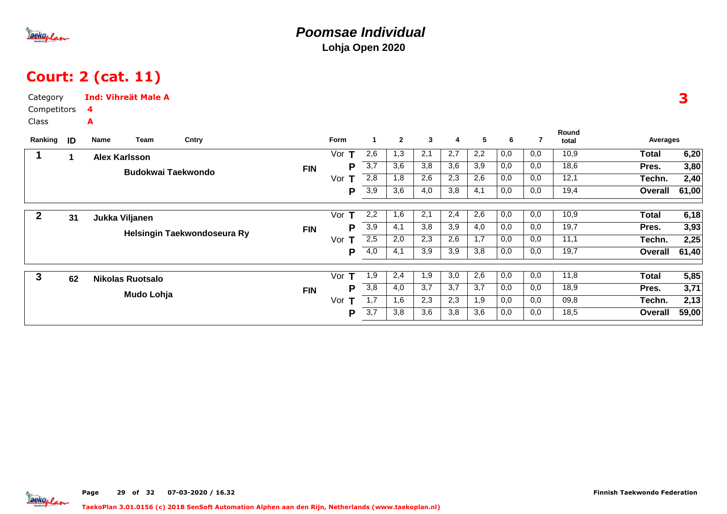

## Court: 2 (cat. 11)

| Category<br>Competitors |    | 4    | <b>Ind: Vihreät Male A</b> |                             |            |          |                  |                |              |     |     |     |                |                |                |       |
|-------------------------|----|------|----------------------------|-----------------------------|------------|----------|------------------|----------------|--------------|-----|-----|-----|----------------|----------------|----------------|-------|
| Class                   |    | A    |                            |                             |            |          |                  |                |              |     |     |     |                |                |                |       |
| Ranking                 | ID | Name | Team                       | Cntry                       |            | Form     | $\mathbf{1}$     | $\overline{2}$ | $\mathbf{3}$ | 4   | 5   | 6   | $\overline{7}$ | Round<br>total | Averages       |       |
|                         |    |      | <b>Alex Karlsson</b>       |                             |            | Vor $T$  | 2,6              | 1,3            | 2,1          | 2,7 | 2,2 | 0,0 | 0,0            | 10,9           | <b>Total</b>   | 6,20  |
|                         |    |      |                            | <b>Budokwai Taekwondo</b>   | <b>FIN</b> | Р        | 3,7              | 3,6            | 3,8          | 3,6 | 3,9 | 0,0 | 0,0            | 18,6           | Pres.          | 3,80  |
|                         |    |      |                            |                             |            | Vor<br>Т | 2,8              | 1,8            | 2,6          | 2,3 | 2,6 | 0,0 | 0,0            | 12,1           | Techn.         | 2,40  |
|                         |    |      |                            |                             |            | Р        | 3,9              | 3,6            | 4,0          | 3,8 | 4,1 | 0,0 | 0,0            | 19,4           | Overall        | 61,00 |
| $\mathbf{2}$            | 31 |      | Jukka Viljanen             |                             |            | Vor $T$  | 2,2              | 1,6            | 2,1          | 2,4 | 2,6 | 0,0 | 0,0            | 10,9           | <b>Total</b>   | 6,18  |
|                         |    |      |                            |                             | <b>FIN</b> | Ρ        | 3,9              | 4,1            | 3,8          | 3,9 | 4,0 | 0,0 | 0,0            | 19,7           | Pres.          | 3,93  |
|                         |    |      |                            | Helsingin Taekwondoseura Ry |            | Vor      | 2,5              | 2,0            | 2,3          | 2,6 | 1,7 | 0,0 | 0,0            | 11,1           | Techn.         | 2,25  |
|                         |    |      |                            |                             |            | Р        | 4,0              | 4,1            | 3,9          | 3,9 | 3,8 | 0,0 | 0,0            | 19,7           | Overall        | 61,40 |
| 3                       | 62 |      | <b>Nikolas Ruotsalo</b>    |                             |            | Vor<br>т | 1,9              | 2,4            | 1,9          | 3,0 | 2,6 | 0,0 | 0,0            | 11,8           | <b>Total</b>   | 5,85  |
|                         |    |      |                            |                             | <b>FIN</b> | Р        | $\overline{3,8}$ | 4,0            | 3,7          | 3,7 | 3,7 | 0,0 | 0,0            | 18,9           | Pres.          | 3,71  |
|                         |    |      | Mudo Lohja                 |                             |            | Vor      | 1,7              | 1,6            | 2,3          | 2,3 | 1,9 | 0,0 | 0,0            | 09,8           | Techn.         | 2,13  |
|                         |    |      |                            |                             |            | Ρ        | 3,7              | 3,8            | 3,6          | 3,8 | 3,6 | 0,0 | 0,0            | 18,5           | <b>Overall</b> | 59,00 |
|                         |    |      |                            |                             |            |          |                  |                |              |     |     |     |                |                |                |       |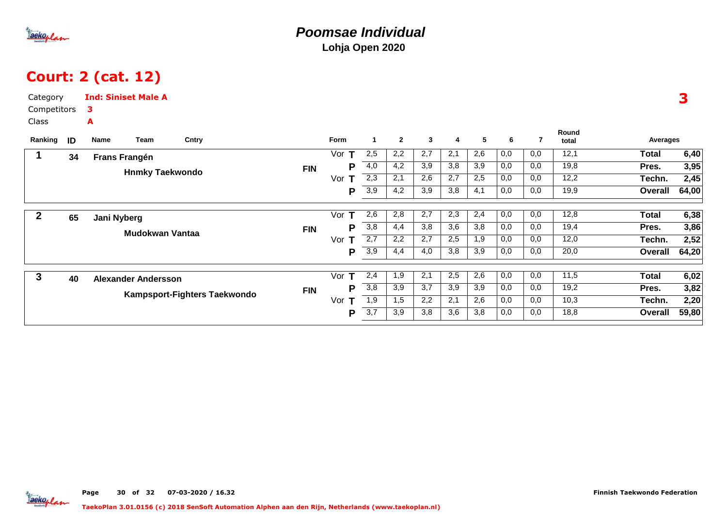

## Court: 2 (cat. 12)

|    | з                                              |                                             |                                                          |                                                           |                              |                     |                      |                |              |                |     |     |     |                |              |       |
|----|------------------------------------------------|---------------------------------------------|----------------------------------------------------------|-----------------------------------------------------------|------------------------------|---------------------|----------------------|----------------|--------------|----------------|-----|-----|-----|----------------|--------------|-------|
|    | A                                              |                                             |                                                          |                                                           |                              |                     |                      |                |              |                |     |     |     |                |              |       |
| ID | Name                                           |                                             |                                                          |                                                           |                              | Form                | $\blacktriangleleft$ | $\overline{2}$ | $\mathbf{3}$ | $\overline{4}$ | 5   | 6   | 7   | Round<br>total | Averages     |       |
|    |                                                |                                             |                                                          |                                                           |                              | Vor<br>$\mathbf{T}$ | 2,5                  | 2,2            | 2,7          | 2,1            | 2,6 | 0,0 | 0,0 | 12,1           | <b>Total</b> | 6,40  |
|    |                                                |                                             |                                                          |                                                           | <b>FIN</b>                   | Р                   | 4,0                  | 4,2            | 3,9          | 3,8            | 3,9 | 0,0 | 0,0 | 19,8           | Pres.        | 3,95  |
|    |                                                |                                             |                                                          |                                                           |                              | Vor<br>т            | 2,3                  | 2,1            | 2,6          | 2,7            | 2,5 | 0,0 | 0,0 | 12,2           | Techn.       | 2,45  |
|    |                                                |                                             |                                                          |                                                           |                              | Р                   | $\overline{3,9}$     | 4,2            | 3,9          | 3,8            | 4,1 | 0,0 | 0,0 | 19,9           | Overall      | 64,00 |
|    |                                                |                                             |                                                          |                                                           |                              | T<br>Vor            | 2,6                  | 2,8            | 2,7          | 2,3            | 2,4 | 0,0 | 0.0 | 12,8           | <b>Total</b> | 6,38  |
|    |                                                |                                             |                                                          |                                                           |                              | Р                   | 3,8                  | 4,4            | 3,8          | 3,6            | 3,8 | 0,0 | 0,0 | 19,4           | Pres.        | 3,86  |
|    |                                                |                                             |                                                          |                                                           |                              | Vor<br>т            | 2,7                  | 2,2            | 2,7          | 2,5            | 1,9 | 0,0 | 0,0 | 12,0           | Techn.       | 2,52  |
|    |                                                |                                             |                                                          |                                                           |                              | P                   | 3,9                  | 4,4            | 4,0          | 3,8            | 3,9 | 0,0 | 0,0 | 20,0           | Overall      | 64,20 |
| 40 |                                                |                                             |                                                          |                                                           |                              | Vor<br>т            | 2,4                  | 1,9            | 2,1          | 2,5            | 2,6 | 0,0 | 0,0 | 11,5           | <b>Total</b> | 6,02  |
|    |                                                |                                             |                                                          |                                                           | <b>FIN</b>                   | Р                   | $\overline{3,8}$     | 3,9            | 3,7          | 3,9            | 3,9 | 0,0 | 0,0 | 19,2           | Pres.        | 3,82  |
|    |                                                |                                             |                                                          |                                                           |                              | Vor<br>т            | 1,9                  | 1,5            | 2,2          | 2,1            | 2,6 | 0,0 | 0,0 | 10,3           | Techn.       | 2,20  |
|    |                                                |                                             |                                                          |                                                           |                              | P                   | $\overline{3,7}$     | 3,9            | 3,8          | 3,6            | 3,8 | 0,0 | 0,0 | 18,8           | Overall      | 59,80 |
|    | Category<br>Competitors<br>Ranking<br>34<br>65 | Team<br><b>Frans Frangén</b><br>Jani Nyberg | <b>Ind: Siniset Male A</b><br><b>Alexander Andersson</b> | Cntry<br><b>Hnmky Taekwondo</b><br><b>Mudokwan Vantaa</b> | Kampsport-Fighters Taekwondo | <b>FIN</b>          |                      |                |              |                |     |     |     |                |              |       |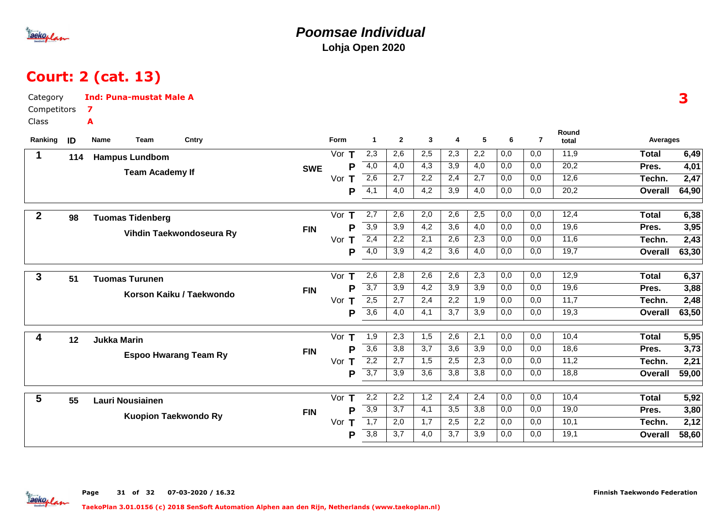

### **Poomsae IndividualLohja Open 2020**

# Court: 2 (cat. 13)

| Category         |     | <b>Ind: Puna-mustat Male A</b> |                          |            |          |                  |                  |              |                  |                  |                  |                |                   |                | 3     |
|------------------|-----|--------------------------------|--------------------------|------------|----------|------------------|------------------|--------------|------------------|------------------|------------------|----------------|-------------------|----------------|-------|
| Competitors      |     | 7                              |                          |            |          |                  |                  |              |                  |                  |                  |                |                   |                |       |
| Class            |     | A                              |                          |            |          |                  |                  |              |                  |                  |                  |                |                   |                |       |
| Ranking          | ID  | Name<br>Team                   | Cntry                    |            | Form     | $\overline{1}$   | $\mathbf{2}$     | $\mathbf{3}$ | 4                | 5                | 6                | $\overline{7}$ | Round<br>total    | Averages       |       |
| $\mathbf 1$      | 114 | <b>Hampus Lundbom</b>          |                          |            | Vor $T$  | 2,3              | 2,6              | 2,5          | 2,3              | 2,2              | 0,0              | 0,0            | 11,9              | <b>Total</b>   | 6,49  |
|                  |     |                                |                          | <b>SWE</b> | P        | 4,0              | 4,0              | 4,3          | $\overline{3,9}$ | 4,0              | 0,0              | 0,0            | 20,2              | Pres.          | 4,01  |
|                  |     | <b>Team Academy If</b>         |                          |            | Vor $T$  | 2,6              | 2,7              | 2,2          | 2,4              | 2,7              | 0,0              | 0,0            | 12,6              | Techn.         | 2,47  |
|                  |     |                                |                          |            | P        | $\overline{4,1}$ | 4,0              | 4,2          | 3,9              | 4,0              | 0,0              | 0,0            | $\overline{20,2}$ | Overall        | 64,90 |
| $\boldsymbol{2}$ |     |                                |                          |            | Vor T    | 2,7              | 2,6              | 2,0          | 2,6              | 2,5              | 0,0              | 0,0            | 12,4              | <b>Total</b>   | 6,38  |
|                  | 98  | <b>Tuomas Tidenberg</b>        |                          |            | Р        | 3,9              | 3,9              | 4,2          | 3,6              | 4,0              | 0,0              | 0,0            | 19,6              | Pres.          | 3,95  |
|                  |     |                                | Vihdin Taekwondoseura Ry | <b>FIN</b> | Vor $T$  | 2,4              | 2,2              | 2,1          | 2,6              | 2,3              | 0,0              | 0,0            | 11,6              | Techn.         | 2,43  |
|                  |     |                                |                          |            | P        | 4,0              | $\overline{3,9}$ | 4,2          | 3,6              | 4,0              | 0,0              | 0,0            | 19,7              | <b>Overall</b> | 63,30 |
|                  |     |                                |                          |            |          |                  |                  |              |                  |                  |                  |                |                   |                |       |
| $\mathbf{3}$     | 51  | <b>Tuomas Turunen</b>          |                          |            | Vor $T$  | 2,6              | 2,8              | 2,6          | 2,6              | $\overline{2,3}$ | $\overline{0,0}$ | 0,0            | 12,9              | <b>Total</b>   | 6,37  |
|                  |     |                                | Korson Kaiku / Taekwondo | <b>FIN</b> | P        | $\overline{3,7}$ | $\overline{3,9}$ | 4,2          | 3,9              | 3,9              | 0,0              | 0,0            | 19,6              | Pres.          | 3,88  |
|                  |     |                                |                          |            | Vor $T$  | $\overline{2,5}$ | 2,7              | 2,4          | 2,2              | 1,9              | 0,0              | 0,0            | 11,7              | Techn.         | 2,48  |
|                  |     |                                |                          |            | P        | $\overline{3,6}$ | 4,0              | 4,1          | 3,7              | 3,9              | 0,0              | 0,0            | 19,3              | Overall        | 63,50 |
| 4                | 12  | <b>Jukka Marin</b>             |                          |            | Vor $T$  | 1,9              | 2,3              | 1,5          | 2,6              | 2,1              | 0,0              | 0,0            | 10,4              | <b>Total</b>   | 5,95  |
|                  |     |                                |                          | <b>FIN</b> | P        | $\overline{3,6}$ | 3,8              | 3,7          | 3,6              | 3,9              | 0,0              | 0,0            | 18,6              | Pres.          | 3,73  |
|                  |     | <b>Espoo Hwarang Team Ry</b>   |                          |            | Vor<br>т | 2,2              | $\overline{2,7}$ | 1,5          | 2,5              | $\overline{2,3}$ | 0,0              | 0,0            | 11,2              | Techn.         | 2,21  |
|                  |     |                                |                          |            | P        | $\overline{3,7}$ | 3,9              | 3,6          | 3,8              | 3,8              | 0,0              | 0,0            | 18,8              | <b>Overall</b> | 59,00 |
| 5                |     |                                |                          |            | Vor $T$  | 2,2              | 2,2              | 1,2          | 2,4              | 2,4              | $\overline{0,0}$ | 0,0            | 10,4              | <b>Total</b>   | 5,92  |
|                  | 55  | <b>Lauri Nousiainen</b>        |                          | <b>FIN</b> | P        | $\overline{3,9}$ | 3,7              | 4,1          | $\overline{3,5}$ | 3,8              | 0,0              | 0,0            | 19,0              | Pres.          | 3,80  |
|                  |     | <b>Kuopion Taekwondo Ry</b>    |                          |            | Vor $T$  | 1,7              | 2,0              | 1,7          | 2,5              | 2,2              | 0,0              | 0,0            | 10,1              | Techn.         | 2,12  |
|                  |     |                                |                          |            | P        | 3,8              | 3,7              | 4,0          | 3,7              | 3,9              | 0,0              | 0,0            | 19,1              | Overall        | 58,60 |
|                  |     |                                |                          |            |          |                  |                  |              |                  |                  |                  |                |                   |                |       |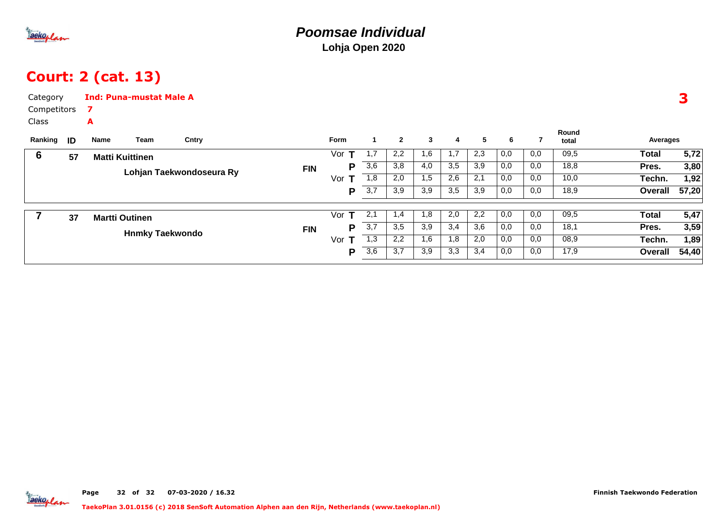

## Court: 2 (cat. 13)

| Category    |    |      | <b>Ind: Puna-mustat Male A</b> |                          |            |             |                |                |              |                |     |     |     |                |              | 3     |
|-------------|----|------|--------------------------------|--------------------------|------------|-------------|----------------|----------------|--------------|----------------|-----|-----|-----|----------------|--------------|-------|
| Competitors |    | 7    |                                |                          |            |             |                |                |              |                |     |     |     |                |              |       |
| Class       |    | A    |                                |                          |            |             |                |                |              |                |     |     |     |                |              |       |
| Ranking     | ID | Name | Team                           | Cntry                    |            | <b>Form</b> | $\blacksquare$ | $\overline{2}$ | $\mathbf{3}$ | $\overline{4}$ | 5   | 6   |     | Round<br>total | Averages     |       |
| 6           | 57 |      | <b>Matti Kuittinen</b>         |                          |            | т<br>Vor    | 1,7            | 2,2            | 1,6          | 1,7            | 2,3 | 0,0 | 0,0 | 09,5           | <b>Total</b> | 5,72  |
|             |    |      |                                | Lohjan Taekwondoseura Ry | <b>FIN</b> | P           | 3,6            | 3,8            | 4,0          | 3,5            | 3,9 | 0,0 | 0,0 | 18,8           | Pres.        | 3,80  |
|             |    |      |                                |                          |            | Vor         | 1,8            | 2,0            | 1,5          | 2,6            | 2,1 | 0,0 | 0,0 | 10,0           | Techn.       | 1,92  |
|             |    |      |                                |                          |            | P           | 3,7            | 3,9            | 3,9          | 3,5            | 3,9 | 0,0 | 0,0 | 18,9           | Overall      | 57,20 |
|             | 37 |      | <b>Martti Outinen</b>          |                          |            | т<br>Vor    | 2,1            | 1,4            | 1,8          | 2,0            | 2,2 | 0,0 | 0,0 | 09,5           | <b>Total</b> | 5,47  |
|             |    |      |                                |                          | <b>FIN</b> | P           | 3,7            | 3,5            | 3,9          | 3,4            | 3,6 | 0,0 | 0,0 | 18,1           | Pres.        | 3,59  |
|             |    |      | <b>Hnmky Taekwondo</b>         |                          |            | Vor $T$     | 1,3            | 2,2            | 1,6          | 1,8            | 2,0 | 0,0 | 0,0 | 08,9           | Techn.       | 1,89  |
|             |    |      |                                |                          |            | P           | 3,6            | 3,7            | 3,9          | 3,3            | 3,4 | 0,0 | 0,0 | 17,9           | Overall      | 54,40 |
|             |    |      |                                |                          |            |             |                |                |              |                |     |     |     |                |              |       |

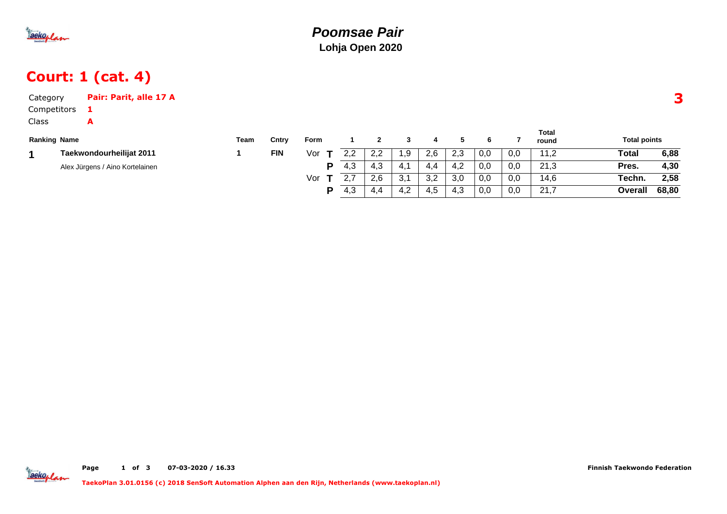

## Court: 1 (cat. 4)

| Category            | Pair: Parit, alle 17 A          |      |            |      |     |     |      |     |     |     |     |                       |                     |       |
|---------------------|---------------------------------|------|------------|------|-----|-----|------|-----|-----|-----|-----|-----------------------|---------------------|-------|
| Competitors         |                                 |      |            |      |     |     |      |     |     |     |     |                       |                     |       |
| <b>Class</b>        | A                               |      |            |      |     |     |      |     |     |     |     |                       |                     |       |
| <b>Ranking Name</b> |                                 | Team | Cntrv      | Form |     |     |      | 4   |     | 6   |     | <b>Total</b><br>round | <b>Total points</b> |       |
|                     | Taekwondourheilijat 2011        |      | <b>FIN</b> | Vor  | 2.2 | 2,2 | 9. ا | 2,6 | 2.3 | 0,0 | 0.0 | 11,2                  | Total               | 6,88  |
|                     | Alex Jürgens / Aino Kortelainen |      |            | p    | 4,3 | 4,3 | -4.1 | 4.4 | 4,2 | 0,0 | 0,0 | 21,3                  | Pres.               | 4,30  |
|                     |                                 |      |            | Vor  |     | 2.6 | 3,1  | 3,2 | 3,0 | 0,0 | 0,0 | 14,6                  | Techn.              | 2,58  |
|                     |                                 |      |            | D    | 4,3 | 4.4 | 4,2  | 4,5 | 4.3 | 0,0 | 0,0 | 21,7                  | Overall             | 68,80 |

Jackoplan

Page 1 of <sup>3</sup> 07-03-2020 / 16.33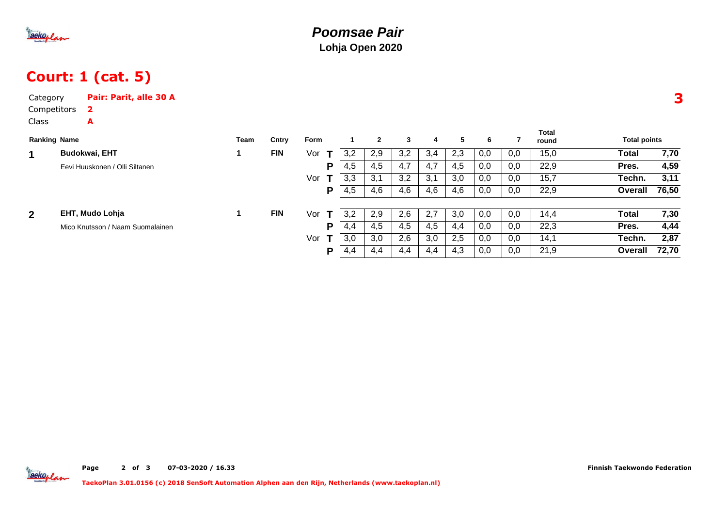

## Court: 1 (cat. 5)

| Category            | Pair: Parit, alle 30 A           |      |            |                     |     |              |     |     |     |     |     |                |                     | 3     |
|---------------------|----------------------------------|------|------------|---------------------|-----|--------------|-----|-----|-----|-----|-----|----------------|---------------------|-------|
| Competitors         | $\mathbf{2}$                     |      |            |                     |     |              |     |     |     |     |     |                |                     |       |
| Class               | A                                |      |            |                     |     |              |     |     |     |     |     |                |                     |       |
| <b>Ranking Name</b> |                                  | Team | Cntry      | Form                |     | $\mathbf{2}$ | 3   | 4   | 5   | 6   | 7   | Total<br>round | <b>Total points</b> |       |
| 1                   | <b>Budokwai, EHT</b>             |      | <b>FIN</b> | Vor                 | 3,2 | 2,9          | 3,2 | 3,4 | 2,3 | 0,0 | 0,0 | 15,0           | Total               | 7,70  |
|                     | Eevi Huuskonen / Olli Siltanen   |      |            | P                   | 4,5 | 4,5          | 4,7 | 4,7 | 4,5 | 0,0 | 0,0 | 22,9           | Pres.               | 4,59  |
|                     |                                  |      |            | Vor                 | 3,3 | 3,1          | 3,2 | 3,1 | 3,0 | 0,0 | 0,0 | 15,7           | Techn.              | 3,11  |
|                     |                                  |      |            | P                   | 4,5 | 4,6          | 4,6 | 4,6 | 4,6 | 0,0 | 0,0 | 22,9           | Overall             | 76,50 |
| $\overline{2}$      | EHT, Mudo Lohja                  |      | <b>FIN</b> | Vor<br>т            | 3,2 | 2,9          | 2,6 | 2,7 | 3,0 | 0,0 | 0,0 | 14,4           | Total               | 7,30  |
|                     | Mico Knutsson / Naam Suomalainen |      |            | P                   | 4,4 | 4,5          | 4,5 | 4,5 | 4,4 | 0,0 | 0,0 | 22,3           | Pres.               | 4,44  |
|                     |                                  |      |            | Vor<br>$\mathbf{T}$ | 3,0 | 3,0          | 2,6 | 3,0 | 2,5 | 0,0 | 0,0 | 14,1           | Techn.              | 2,87  |
|                     |                                  |      |            | P                   | 4,4 | 4,4          | 4,4 | 4,4 | 4,3 | 0,0 | 0,0 | 21,9           | Overall             | 72,70 |

Page 2 of <sup>3</sup> 07-03-2020 / 16.33 Finnish Taekwondo Federation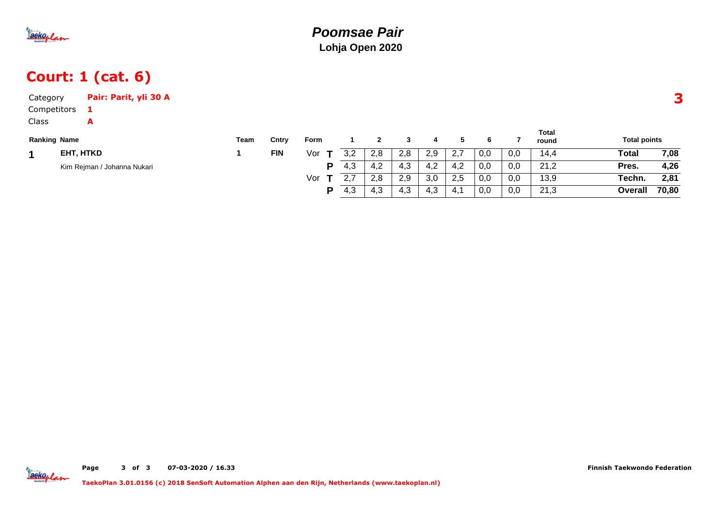

## Court: 1 (cat. 6)

| Category            | Pair: Parit, yli 30 A       |      |            |      |     |     |     |     |     |     |     |                       |                     |       |
|---------------------|-----------------------------|------|------------|------|-----|-----|-----|-----|-----|-----|-----|-----------------------|---------------------|-------|
| Competitors         |                             |      |            |      |     |     |     |     |     |     |     |                       |                     |       |
| <b>Class</b>        | A                           |      |            |      |     |     |     |     |     |     |     |                       |                     |       |
| <b>Ranking Name</b> |                             | Team | Cntry      | Form |     |     |     | 4   | 5   | 6   |     | <b>Total</b><br>round | <b>Total points</b> |       |
|                     | EHT, HTKD                   |      | <b>FIN</b> | Vor  | 3,2 | 2,8 | 2,8 | 2,9 | 2,7 | 0,0 | 0,0 | 14,4                  | Total               | 7,08  |
|                     | Kim Rejman / Johanna Nukari |      |            | P    | 4,3 | 4,2 | 4,3 | 4,2 | 4,2 | 0,0 | 0,0 | 21,2                  | Pres.               | 4,26  |
|                     |                             |      |            | Vor  |     | 2,8 | 2,9 | 3,0 | 2,5 | 0,0 | 0,0 | 13,9                  | Techn.              | 2,81  |
|                     |                             |      |            | D    | 4,3 | 4,3 | 4,3 | 4,3 | 4,1 | 0,0 | 0,0 | 21,3                  | Overall             | 70,80 |

Jackoplan

Page <sup>3</sup>of <sup>3</sup> 07-03-2020 / 16.33 Finnish Taekwondo Federation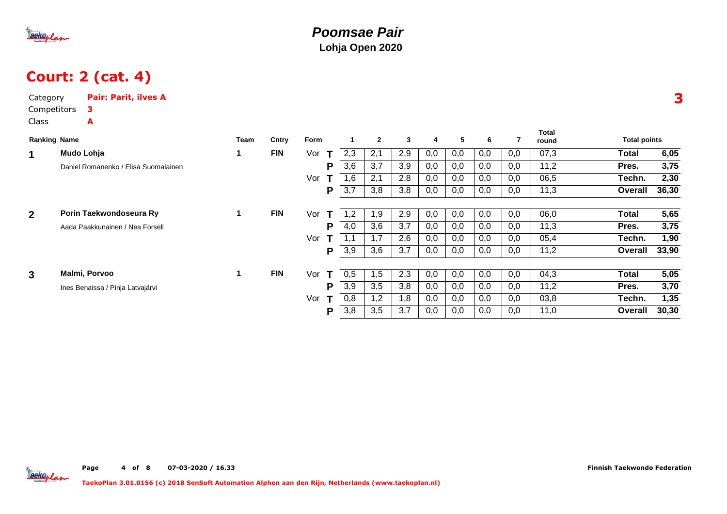

### Court: 2 (cat. 4)

| Category       |                     | <b>Pair: Parit, ilves A</b>          |      |            |          |     |              |              |     |     |     |     |                       |                     |       |
|----------------|---------------------|--------------------------------------|------|------------|----------|-----|--------------|--------------|-----|-----|-----|-----|-----------------------|---------------------|-------|
|                | Competitors         | з                                    |      |            |          |     |              |              |     |     |     |     |                       |                     |       |
| Class          |                     | A                                    |      |            |          |     |              |              |     |     |     |     |                       |                     |       |
|                | <b>Ranking Name</b> |                                      | Team | Cntry      | Form     |     | $\mathbf{2}$ | $\mathbf{3}$ | 4   | 5   | 6   | 7   | <b>Total</b><br>round | <b>Total points</b> |       |
| $\mathbf 1$    |                     | Mudo Lohja                           | 1    | <b>FIN</b> | Vor<br>Т | 2,3 | 2,1          | 2,9          | 0,0 | 0,0 | 0,0 | 0,0 | 07,3                  | <b>Total</b>        | 6,05  |
|                |                     | Daniel Romanenko / Elisa Suomalainen |      |            | P        | 3,6 | 3,7          | 3,9          | 0,0 | 0,0 | 0,0 | 0,0 | 11,2                  | Pres.               | 3,75  |
|                |                     |                                      |      |            | Vor      | 1,6 | 2,1          | 2,8          | 0,0 | 0,0 | 0,0 | 0,0 | 06,5                  | Techn.              | 2,30  |
|                |                     |                                      |      |            | P        | 3,7 | 3,8          | 3,8          | 0,0 | 0,0 | 0,0 | 0,0 | 11,3                  | Overall             | 36,30 |
|                |                     |                                      |      |            |          |     |              |              |     |     |     |     |                       |                     |       |
| 2 <sup>1</sup> |                     | Porin Taekwondoseura Ry              | 1    | <b>FIN</b> | Vor<br>T | 1,2 | 1,9          | 2,9          | 0,0 | 0,0 | 0,0 | 0,0 | 06,0                  | <b>Total</b>        | 5,65  |
|                |                     | Aada Paakkunainen / Nea Forsell      |      |            | P        | 4,0 | 3,6          | 3,7          | 0,0 | 0,0 | 0,0 | 0,0 | 11,3                  | Pres.               | 3,75  |
|                |                     |                                      |      |            | Vor      | 1,1 | 1,7          | 2,6          | 0,0 | 0,0 | 0,0 | 0,0 | 05,4                  | Techn.              | 1,90  |
|                |                     |                                      |      |            | P        | 3,9 | 3,6          | 3,7          | 0,0 | 0,0 | 0,0 | 0,0 | 11,2                  | Overall             | 33,90 |
|                |                     |                                      |      |            |          |     |              |              |     |     |     |     |                       |                     |       |
| 3 <sup>1</sup> |                     | Malmi, Porvoo                        | 1    | <b>FIN</b> | Vor<br>Т | 0,5 | 1,5          | 2,3          | 0,0 | 0,0 | 0,0 | 0,0 | 04,3                  | <b>Total</b>        | 5,05  |
|                |                     | Ines Benaissa / Pinja Latvajärvi     |      |            | P        | 3,9 | 3,5          | 3,8          | 0,0 | 0,0 | 0,0 | 0,0 | 11,2                  | Pres.               | 3,70  |
|                |                     |                                      |      |            | Vor<br>т | 0,8 | 1,2          | 1,8          | 0,0 | 0,0 | 0,0 | 0,0 | 03,8                  | Techn.              | 1,35  |
|                |                     |                                      |      |            | P        | 3,8 | 3,5          | 3,7          | 0,0 | 0,0 | 0,0 | 0,0 | 11,0                  | Overall             | 30,30 |
|                |                     |                                      |      |            |          |     |              |              |     |     |     |     |                       |                     |       |

3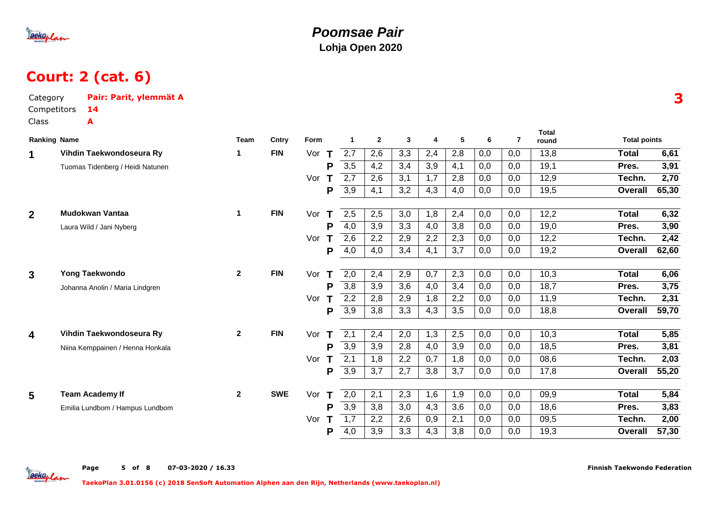

Category

#### **Poomsae PairLohja Open 2020**

## Court: 2 (cat. 6)

Pair: Parit, ylemmät A

|                | Competitors<br>14                |              |            |          |                  |                  |     |                |     |     |                |                       |                     |       |
|----------------|----------------------------------|--------------|------------|----------|------------------|------------------|-----|----------------|-----|-----|----------------|-----------------------|---------------------|-------|
| Class          | A                                |              |            |          |                  |                  |     |                |     |     |                |                       |                     |       |
|                | <b>Ranking Name</b>              | <b>Team</b>  | Cntry      | Form     | 1                | $\overline{2}$   | 3   | $\overline{4}$ | 5   | 6   | $\overline{7}$ | <b>Total</b><br>round | <b>Total points</b> |       |
| 1              | Vihdin Taekwondoseura Ry         | 1            | <b>FIN</b> | Vor<br>т | 2,7              | 2,6              | 3,3 | 2,4            | 2,8 | 0,0 | 0,0            | 13,8                  | <b>Total</b>        | 6,61  |
|                | Tuomas Tidenberg / Heidi Natunen |              |            | P        | 3,5              | 4,2              | 3,4 | 3,9            | 4,1 | 0,0 | 0,0            | 19,1                  | Pres.               | 3,91  |
|                |                                  |              |            | Vor      | 2,7              | 2,6              | 3,1 | 1,7            | 2,8 | 0,0 | 0,0            | 12,9                  | Techn.              | 2,70  |
|                |                                  |              |            | P        | 3,9              | 4,1              | 3,2 | 4,3            | 4,0 | 0,0 | 0,0            | 19,5                  | Overall             | 65,30 |
| 2 <sup>1</sup> | Mudokwan Vantaa                  | 1            | <b>FIN</b> | Vor<br>Т | 2,5              | 2,5              | 3,0 | 1,8            | 2,4 | 0,0 | 0,0            | 12,2                  | <b>Total</b>        | 6,32  |
|                | Laura Wild / Jani Nyberg         |              |            | P        | 4,0              | 3,9              | 3,3 | 4,0            | 3,8 | 0,0 | 0,0            | 19,0                  | Pres.               | 3,90  |
|                |                                  |              |            | Т<br>Vor | 2,6              | 2,2              | 2,9 | 2,2            | 2,3 | 0,0 | 0,0            | 12,2                  | Techn.              | 2,42  |
|                |                                  |              |            | P        | 4,0              | 4,0              | 3,4 | 4,1            | 3,7 | 0,0 | 0,0            | 19,2                  | Overall             | 62,60 |
| $\overline{3}$ | Yong Taekwondo                   | $\mathbf{2}$ | <b>FIN</b> | Vor<br>T | 2,0              | 2,4              | 2,9 | 0,7            | 2,3 | 0,0 | 0,0            | 10,3                  | <b>Total</b>        | 6,06  |
|                | Johanna Anolin / Maria Lindgren  |              |            | P        | $\overline{3,8}$ | $\overline{3,9}$ | 3,6 | 4,0            | 3,4 | 0,0 | 0,0            | 18,7                  | Pres.               | 3,75  |
|                |                                  |              |            | Vor<br>т | 2,2              | 2,8              | 2,9 | 1,8            | 2,2 | 0,0 | 0,0            | 11,9                  | Techn.              | 2,31  |
|                |                                  |              |            | P        | 3,9              | 3,8              | 3,3 | 4,3            | 3,5 | 0,0 | 0,0            | 18,8                  | <b>Overall</b>      | 59,70 |
|                |                                  |              |            |          |                  |                  |     |                |     |     |                |                       |                     |       |
| 4              | Vihdin Taekwondoseura Ry         | $\mathbf{2}$ | <b>FIN</b> | Vor      | 2,1              | 2,4              | 2,0 | 1,3            | 2,5 | 0,0 | 0,0            | 10,3                  | <b>Total</b>        | 5,85  |
|                | Niina Kemppainen / Henna Honkala |              |            | P        | $\overline{3,9}$ | 3,9              | 2,8 | 4,0            | 3,9 | 0,0 | 0,0            | 18,5                  | Pres.               | 3,81  |
|                |                                  |              |            | Vor<br>т | 2,1              | 1,8              | 2,2 | 0,7            | 1,8 | 0,0 | 0,0            | 08,6                  | Techn.              | 2,03  |
|                |                                  |              |            | P        | 3,9              | 3,7              | 2,7 | 3,8            | 3,7 | 0,0 | 0,0            | 17,8                  | Overall             | 55,20 |
| 5              | <b>Team Academy If</b>           | $\mathbf{2}$ | <b>SWE</b> | Vor<br>т | 2,0              | 2,1              | 2,3 | 1,6            | 1,9 | 0,0 | 0,0            | 09,9                  | <b>Total</b>        | 5,84  |
|                | Emilia Lundbom / Hampus Lundbom  |              |            | P        | $\overline{3,9}$ | 3,8              | 3,0 | 4,3            | 3,6 | 0,0 | 0,0            | 18,6                  | Pres.               | 3,83  |
|                |                                  |              |            | Vor<br>т | 1,7              | 2,2              | 2,6 | 0,9            | 2,1 | 0,0 | 0,0            | 09,5                  | Techn.              | 2,00  |
|                |                                  |              |            | P        | 4,0              | 3,9              | 3,3 | 4,3            | 3,8 | 0,0 | 0,0            | 19,3                  | Overall             | 57,30 |
|                |                                  |              |            |          |                  |                  |     |                |     |     |                |                       |                     |       |

3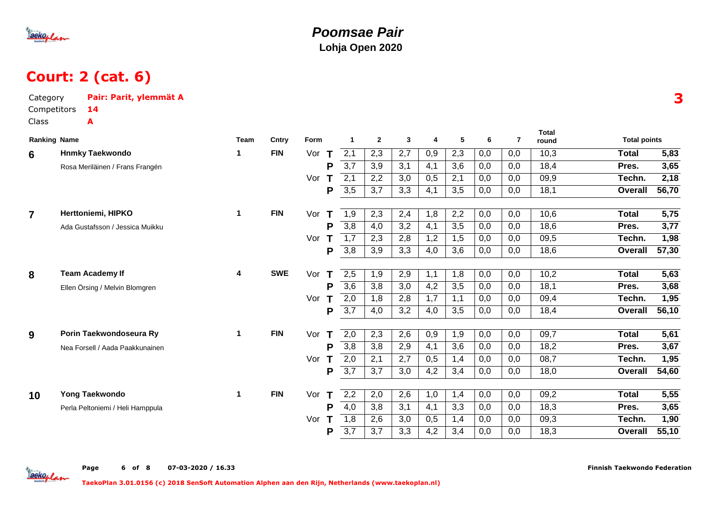

# Court: 2 (cat. 6)

| Category<br>Class | Competitors         | Pair: Parit, ylemmät A<br>14<br>A |             |            |          |                  |                  |     |                  |                  |     |                |                       |                     |                   |
|-------------------|---------------------|-----------------------------------|-------------|------------|----------|------------------|------------------|-----|------------------|------------------|-----|----------------|-----------------------|---------------------|-------------------|
|                   | <b>Ranking Name</b> |                                   | <b>Team</b> | Cntry      | Form     | 1                | $\mathbf{2}$     | 3   | 4                | 5                | 6   | $\overline{7}$ | <b>Total</b><br>round | <b>Total points</b> |                   |
| 6                 |                     | <b>Hnmky Taekwondo</b>            | 1           | <b>FIN</b> | Vor<br>т | 2,1              | 2,3              | 2,7 | 0,9              | 2,3              | 0,0 | 0,0            | 10,3                  | Total               | 5,83              |
|                   |                     | Rosa Meriläinen / Frans Frangén   |             |            | P        | 3,7              | $\overline{3,9}$ | 3,1 | 4,1              | 3,6              | 0,0 | 0,0            | 18,4                  | Pres.               | 3,65              |
|                   |                     |                                   |             |            | Vor      | 2,1              | 2,2              | 3,0 | 0,5              | 2,1              | 0,0 | 0,0            | 09,9                  | Techn.              | 2,18              |
|                   |                     |                                   |             |            | P        | 3,5              | 3,7              | 3,3 | 4,1              | 3,5              | 0,0 | 0,0            | 18,1                  | Overall             | 56,70             |
| $\overline{7}$    |                     | Herttoniemi, HIPKO                | 1           | <b>FIN</b> | Vor<br>т | 1,9              | 2,3              | 2,4 | 1,8              | 2,2              | 0,0 | 0,0            | 10,6                  | <b>Total</b>        | $\overline{5,75}$ |
|                   |                     | Ada Gustafsson / Jessica Muikku   |             |            | P        | $\overline{3,8}$ | 4,0              | 3,2 | 4,1              | $\overline{3,5}$ | 0,0 | 0,0            | 18,6                  | Pres.               | 3,77              |
|                   |                     |                                   |             |            | Vor      | 1,7              | 2,3              | 2,8 | 1,2              | 1,5              | 0,0 | 0,0            | 09,5                  | Techn.              | 1,98              |
|                   |                     |                                   |             |            | P        | 3,8              | 3,9              | 3,3 | 4,0              | 3,6              | 0,0 | 0,0            | 18,6                  | <b>Overall</b>      | 57,30             |
|                   |                     |                                   |             |            |          |                  |                  |     |                  |                  |     |                |                       |                     |                   |
| 8                 |                     | <b>Team Academy If</b>            | 4           | <b>SWE</b> | Vor      | 2,5              | 1,9              | 2,9 | 1,1              | 1,8              | 0,0 | 0,0            | 10,2                  | <b>Total</b>        | 5,63              |
|                   |                     | Ellen Örsing / Melvin Blomgren    |             |            | P        | $\overline{3,6}$ | $\overline{3,8}$ | 3,0 | $\overline{4,2}$ | $\overline{3,5}$ | 0,0 | 0,0            | 18,1                  | Pres.               | 3,68              |
|                   |                     |                                   |             |            | Vor      | 2,0              | 1,8              | 2,8 | 1,7              | 1,1              | 0,0 | 0,0            | 09,4                  | Techn.              | 1,95              |
|                   |                     |                                   |             |            | P        | 3,7              | 4,0              | 3,2 | 4,0              | 3,5              | 0,0 | 0,0            | 18,4                  | Overall             | 56,10             |
| 9                 |                     | Porin Taekwondoseura Ry           | 1           | <b>FIN</b> | Vor<br>т | 2,0              | 2,3              | 2,6 | 0,9              | 1,9              | 0,0 | 0,0            | 09,7                  | <b>Total</b>        | 5,61              |
|                   |                     | Nea Forsell / Aada Paakkunainen   |             |            | P        | $\overline{3,8}$ | $\overline{3,8}$ | 2,9 | 4,1              | $\overline{3,6}$ | 0,0 | 0,0            | 18,2                  | Pres.               | 3,67              |
|                   |                     |                                   |             |            | Vor      | 2,0              | 2,1              | 2,7 | 0,5              | 1,4              | 0,0 | 0,0            | 08,7                  | Techn.              | 1,95              |
|                   |                     |                                   |             |            | P        | 3,7              | 3,7              | 3,0 | 4,2              | 3,4              | 0,0 | 0,0            | 18,0                  | <b>Overall</b>      | 54,60             |
| 10                |                     | Yong Taekwondo                    | 1           | <b>FIN</b> | Vor<br>т | $\overline{2,2}$ | 2,0              | 2,6 | 1,0              | 1,4              | 0,0 | 0,0            | 09,2                  | <b>Total</b>        | $\overline{5,55}$ |
|                   |                     | Perla Peltoniemi / Heli Hamppula  |             |            | P        | 4,0              | 3,8              | 3,1 | 4,1              | 3,3              | 0,0 | 0,0            | 18,3                  | Pres.               | 3,65              |
|                   |                     |                                   |             |            | Vor      | 1,8              | 2,6              | 3,0 | 0,5              | 1,4              | 0,0 | 0,0            | 09,3                  | Techn.              | 1,90              |
|                   |                     |                                   |             |            | P        | 3,7              | 3,7              | 3,3 | 4,2              | 3,4              | 0,0 | 0,0            | 18,3                  | Overall             | 55,10             |
|                   |                     |                                   |             |            |          |                  |                  |     |                  |                  |     |                |                       |                     |                   |

Tackoplan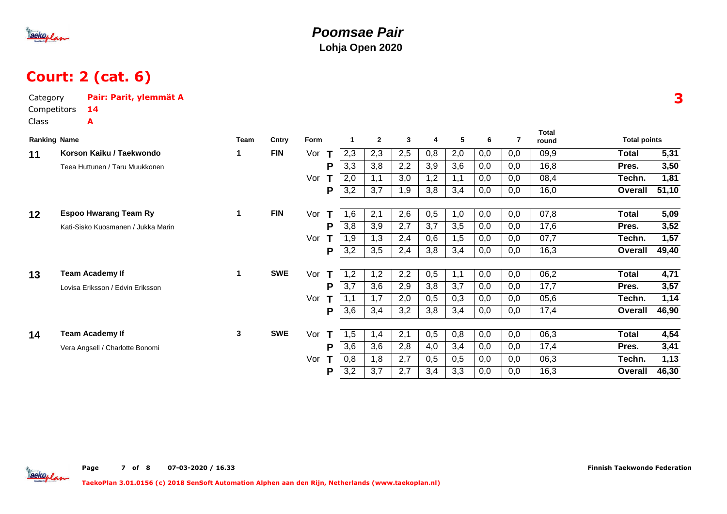

# Court: 2 (cat. 6)

| Category<br>Competitors<br>Class |                     | Pair: Parit, ylemmät A<br>14<br>A  |             |            |          |                  |              |     |     |     |     |     |                       |                     |       |
|----------------------------------|---------------------|------------------------------------|-------------|------------|----------|------------------|--------------|-----|-----|-----|-----|-----|-----------------------|---------------------|-------|
|                                  | <b>Ranking Name</b> |                                    | <b>Team</b> | Cntry      | Form     | 1                | $\mathbf{2}$ | 3   | 4   | 5   | 6   | 7   | <b>Total</b><br>round | <b>Total points</b> |       |
| 11                               |                     | Korson Kaiku / Taekwondo           | 1           | <b>FIN</b> | Vor<br>Т | 2,3              | 2,3          | 2,5 | 0,8 | 2,0 | 0,0 | 0,0 | 09,9                  | Total               | 5,31  |
|                                  |                     | Teea Huttunen / Taru Muukkonen     |             |            | P        | 3,3              | 3,8          | 2,2 | 3,9 | 3,6 | 0,0 | 0,0 | 16,8                  | Pres.               | 3,50  |
|                                  |                     |                                    |             |            | Vor      | 2,0              | 1,1          | 3,0 | 1,2 | 1,1 | 0,0 | 0,0 | 08,4                  | Techn.              | 1,81  |
|                                  |                     |                                    |             |            | P        | 3,2              | 3,7          | 1,9 | 3,8 | 3,4 | 0,0 | 0,0 | 16,0                  | <b>Overall</b>      | 51,10 |
| 12                               |                     | <b>Espoo Hwarang Team Ry</b>       | 1           | <b>FIN</b> | Vor<br>т | 1,6              | 2,1          | 2,6 | 0,5 | 1,0 | 0,0 | 0,0 | 07,8                  | Total               | 5,09  |
|                                  |                     | Kati-Sisko Kuosmanen / Jukka Marin |             |            | P        | 3,8              | 3,9          | 2,7 | 3,7 | 3,5 | 0,0 | 0,0 | 17,6                  | Pres.               | 3,52  |
|                                  |                     |                                    |             |            | Vor      | 1,9              | 1,3          | 2,4 | 0,6 | 1,5 | 0,0 | 0,0 | 07,7                  | Techn.              | 1,57  |
|                                  |                     |                                    |             |            | P        | 3,2              | 3,5          | 2,4 | 3,8 | 3,4 | 0,0 | 0,0 | 16,3                  | <b>Overall</b>      | 49,40 |
| 13                               |                     | <b>Team Academy If</b>             | 1           | <b>SWE</b> | Vor<br>т | 1,2              | 1,2          | 2,2 | 0,5 | 1,1 | 0,0 | 0,0 | 06,2                  | Total               | 4,71  |
|                                  |                     | Lovisa Eriksson / Edvin Eriksson   |             |            | P        | 3,7              | 3,6          | 2,9 | 3,8 | 3,7 | 0,0 | 0,0 | 17,7                  | Pres.               | 3,57  |
|                                  |                     |                                    |             |            | Vor      |                  | 1,7          | 2,0 | 0,5 | 0,3 | 0,0 | 0,0 | 05,6                  | Techn.              | 1,14  |
|                                  |                     |                                    |             |            | P        | 3,6              | 3,4          | 3,2 | 3,8 | 3,4 | 0,0 | 0,0 | 17,4                  | <b>Overall</b>      | 46,90 |
| 14                               |                     | <b>Team Academy If</b>             | 3           | <b>SWE</b> | Vor<br>Т | 1,5              | 1,4          | 2,1 | 0,5 | 0,8 | 0,0 | 0,0 | 06,3                  | Total               | 4,54  |
|                                  |                     | Vera Angsell / Charlotte Bonomi    |             |            | P        | $\overline{3,6}$ | 3,6          | 2,8 | 4,0 | 3,4 | 0,0 | 0,0 | 17,4                  | Pres.               | 3,41  |
|                                  |                     |                                    |             |            | Vor      | 0,8              | 1,8          | 2,7 | 0,5 | 0,5 | 0,0 | 0,0 | 06,3                  | Techn.              | 1,13  |
|                                  |                     |                                    |             |            | P        | 3,2              | 3,7          | 2,7 | 3,4 | 3,3 | 0,0 | 0,0 | 16,3                  | <b>Overall</b>      | 46,30 |

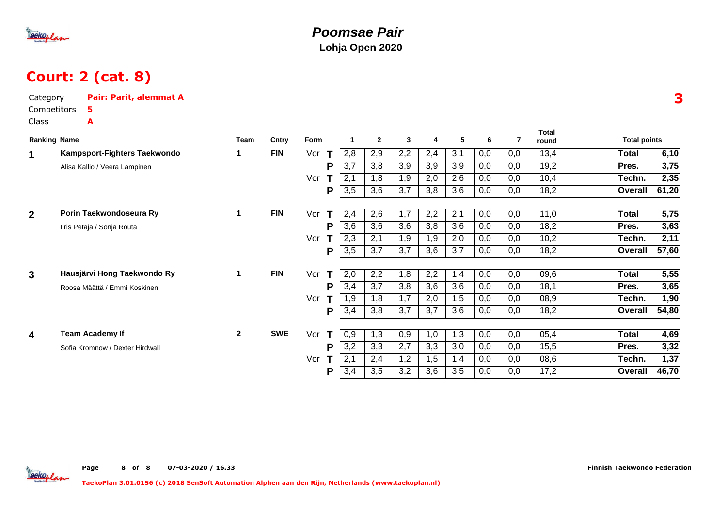

## Court: 2 (cat. 8)

| Category<br>Competitors      | Pair: Parit, alemmat A<br>5.    |              |            |                     |                  |                |     |     |     |     |     |                       |                     |       |
|------------------------------|---------------------------------|--------------|------------|---------------------|------------------|----------------|-----|-----|-----|-----|-----|-----------------------|---------------------|-------|
| Class<br><b>Ranking Name</b> | A                               | Team         | Cntry      | Form                |                  | $\overline{2}$ | 3   | 4   | 5   | 6   | 7   | <b>Total</b><br>round | <b>Total points</b> |       |
| $\mathbf 1$                  | Kampsport-Fighters Taekwondo    | 1            | <b>FIN</b> | Vor<br>$\mathbf{T}$ | 2,8              | 2,9            | 2,2 | 2,4 | 3,1 | 0,0 | 0,0 | 13,4                  | <b>Total</b>        | 6,10  |
|                              | Alisa Kallio / Veera Lampinen   |              |            | P                   | 3,7              | 3,8            | 3,9 | 3,9 | 3,9 | 0,0 | 0,0 | 19,2                  | Pres.               | 3,75  |
|                              |                                 |              |            | T<br>Vor            | 2,1              | 1,8            | 1,9 | 2,0 | 2,6 | 0,0 | 0,0 | 10,4                  | Techn.              | 2,35  |
|                              |                                 |              |            | P                   | 3,5              | 3,6            | 3,7 | 3,8 | 3,6 | 0,0 | 0,0 | 18,2                  | Overall             | 61,20 |
| $\overline{2}$               | Porin Taekwondoseura Ry         | 1            | <b>FIN</b> | Vor<br>T            | 2,4              | 2,6            | 1,7 | 2,2 | 2,1 | 0,0 | 0,0 | 11,0                  | <b>Total</b>        | 5,75  |
|                              | liris Petäjä / Sonja Routa      |              |            | P                   | 3,6              | 3,6            | 3,6 | 3,8 | 3,6 | 0,0 | 0,0 | 18,2                  | Pres.               | 3,63  |
|                              |                                 |              |            | т<br>Vor            | 2,3              | 2,1            | 1,9 | 1,9 | 2,0 | 0,0 | 0,0 | 10,2                  | Techn.              | 2,11  |
|                              |                                 |              |            | P                   | 3,5              | 3,7            | 3,7 | 3,6 | 3,7 | 0,0 | 0,0 | 18,2                  | Overall             | 57,60 |
| 3                            | Hausjärvi Hong Taekwondo Ry     | 1            | <b>FIN</b> | Vor<br>T            | 2,0              | 2,2            | 1,8 | 2,2 | 1,4 | 0,0 | 0,0 | 09,6                  | Total               | 5,55  |
|                              | Roosa Määttä / Emmi Koskinen    |              |            | P                   | 3,4              | 3,7            | 3,8 | 3,6 | 3,6 | 0,0 | 0,0 | 18,1                  | Pres.               | 3,65  |
|                              |                                 |              |            | Vor<br>т            | 1,9              | 1,8            | 1,7 | 2,0 | 1,5 | 0,0 | 0,0 | 08,9                  | Techn.              | 1,90  |
|                              |                                 |              |            | Р                   | 3,4              | 3,8            | 3,7 | 3,7 | 3,6 | 0,0 | 0,0 | 18,2                  | Overall             | 54,80 |
| 4                            | <b>Team Academy If</b>          | $\mathbf{2}$ | <b>SWE</b> | Vor<br>Т            | 0,9              | 1,3            | 0,9 | 1,0 | 1,3 | 0,0 | 0,0 | 05,4                  | Total               | 4,69  |
|                              | Sofia Kromnow / Dexter Hirdwall |              |            | P                   | $\overline{3,2}$ | 3,3            | 2,7 | 3,3 | 3,0 | 0,0 | 0,0 | 15,5                  | Pres.               | 3,32  |
|                              |                                 |              |            | Vor<br>т            | 2,1              | 2,4            | 1,2 | 1,5 | 1,4 | 0,0 | 0,0 | 08,6                  | Techn.              | 1,37  |
|                              |                                 |              |            | Р                   | 3,4              | 3,5            | 3,2 | 3,6 | 3,5 | 0,0 | 0,0 | 17,2                  | Overall             | 46,70 |

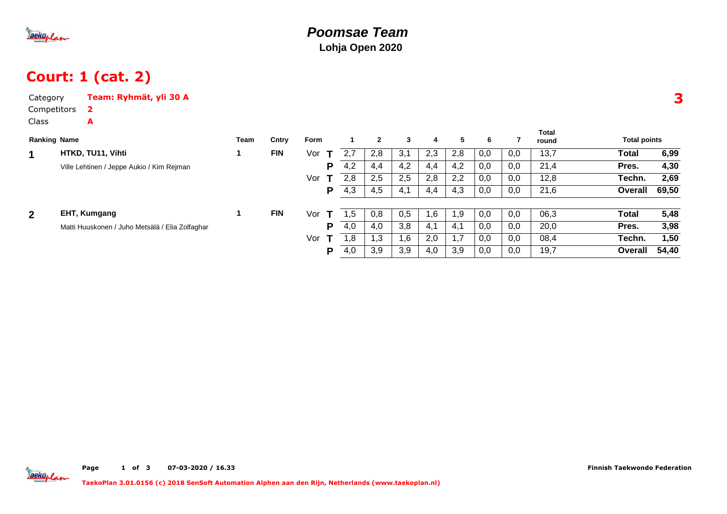

# Court: 1 (cat. 2)

| Category            | Team: Ryhmät, yli 30 A                          |      |            |         |              |     |              |     |     |     |     |     |                |                     |       |
|---------------------|-------------------------------------------------|------|------------|---------|--------------|-----|--------------|-----|-----|-----|-----|-----|----------------|---------------------|-------|
| Competitors         | $\mathbf{2}$                                    |      |            |         |              |     |              |     |     |     |     |     |                |                     |       |
| Class               | A                                               |      |            |         |              |     |              |     |     |     |     |     |                |                     |       |
| <b>Ranking Name</b> |                                                 | Team | Cntry      | Form    |              |     | $\mathbf{2}$ | 3   | 4   | 5.  | 6   | 7   | Total<br>round | <b>Total points</b> |       |
| 1                   | HTKD, TU11, Vihti                               |      | <b>FIN</b> | Vor     | $\mathbf{T}$ | 2,7 | 2,8          | 3,1 | 2,3 | 2,8 | 0,0 | 0,0 | 13,7           | Total               | 6,99  |
|                     | Ville Lehtinen / Jeppe Aukio / Kim Rejman       |      |            |         | P            | 4,2 | 4,4          | 4,2 | 4,4 | 4,2 | 0,0 | 0,0 | 21,4           | Pres.               | 4,30  |
|                     |                                                 |      |            | Vor     | $\mathbf{T}$ | 2,8 | 2,5          | 2,5 | 2,8 | 2,2 | 0,0 | 0,0 | 12,8           | Techn.              | 2,69  |
|                     |                                                 |      |            |         | P            | 4,3 | 4,5          | 4,1 | 4,4 | 4,3 | 0,0 | 0,0 | 21,6           | Overall             | 69,50 |
| $\overline{2}$      | EHT, Kumgang                                    |      | <b>FIN</b> | Vor     |              | .5  | 0,8          | 0,5 | 1,6 | 1,9 | 0,0 | 0,0 | 06,3           | <b>Total</b>        | 5,48  |
|                     |                                                 |      |            |         |              |     |              |     |     |     |     |     |                |                     |       |
|                     | Matti Huuskonen / Juho Metsälä / Elia Zolfaghar |      |            |         | P            | 4,0 | 4,0          | 3,8 | 4,1 | 4,1 | 0,0 | 0,0 | 20,0           | Pres.               | 3,98  |
|                     |                                                 |      |            | Vor $T$ |              | 1,8 | 1,3          | 1,6 | 2,0 | 1,7 | 0,0 | 0,0 | 08,4           | Techn.              | 1,50  |
|                     |                                                 |      |            |         | P            | 4,0 | 3,9          | 3,9 | 4,0 | 3,9 | 0,0 | 0,0 | 19,7           | Overall             | 54,40 |
|                     |                                                 |      |            |         |              |     |              |     |     |     |     |     |                |                     |       |

3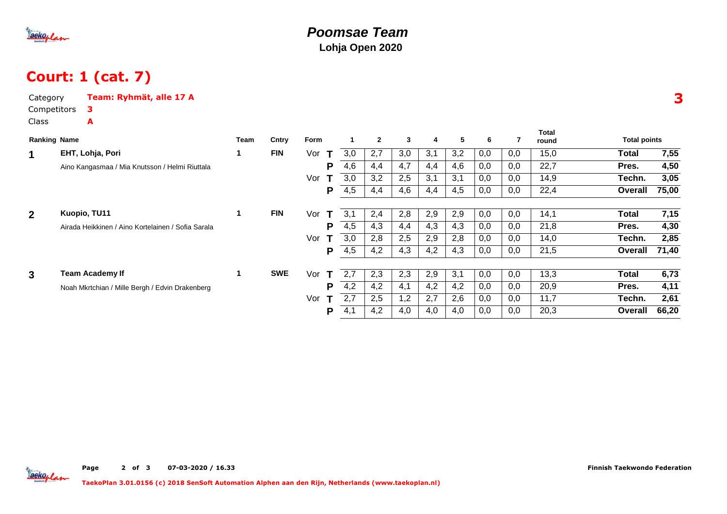

# Court: 1 (cat. 7)

| Category            |  | Team: Ryhmät, alle 17 A                            |      |            |          |     |              |     |     |     |     |     |                       |                     |       |
|---------------------|--|----------------------------------------------------|------|------------|----------|-----|--------------|-----|-----|-----|-----|-----|-----------------------|---------------------|-------|
| Competitors         |  | 3                                                  |      |            |          |     |              |     |     |     |     |     |                       |                     |       |
| <b>Class</b>        |  | A                                                  |      |            |          |     |              |     |     |     |     |     |                       |                     |       |
| <b>Ranking Name</b> |  |                                                    | Team | Cntry      | Form     |     | $\mathbf{2}$ | 3   | 4   | 5   | 6   | 7   | <b>Total</b><br>round | <b>Total points</b> |       |
| $\mathbf 1$         |  | EHT, Lohja, Pori                                   | 1    | <b>FIN</b> | Vor<br>Т | 3,0 | 2,7          | 3,0 | 3,1 | 3,2 | 0,0 | 0,0 | 15,0                  | Total               | 7,55  |
|                     |  | Aino Kangasmaa / Mia Knutsson / Helmi Riuttala     |      |            | P        | 4,6 | 4,4          | 4,7 | 4,4 | 4,6 | 0,0 | 0,0 | 22,7                  | Pres.               | 4,50  |
|                     |  |                                                    |      |            | Vor<br>Т | 3,0 | 3,2          | 2,5 | 3,1 | 3,1 | 0,0 | 0,0 | 14,9                  | Techn.              | 3,05  |
|                     |  |                                                    |      |            | P        | 4,5 | 4,4          | 4,6 | 4,4 | 4,5 | 0,0 | 0,0 | 22,4                  | Overall             | 75,00 |
| $\overline{2}$      |  | Kuopio, TU11                                       | 1    | <b>FIN</b> | Vor<br>т | 3,1 | 2,4          | 2,8 | 2,9 | 2,9 | 0,0 | 0,0 | 14,1                  | Total               | 7,15  |
|                     |  | Airada Heikkinen / Aino Kortelainen / Sofia Sarala |      |            | P        | 4,5 | 4,3          | 4,4 | 4,3 | 4,3 | 0,0 | 0,0 | 21,8                  | Pres.               | 4,30  |
|                     |  |                                                    |      |            | Vor<br>Т | 3,0 | 2,8          | 2,5 | 2,9 | 2,8 | 0,0 | 0,0 | 14,0                  | Techn.              | 2,85  |
|                     |  |                                                    |      |            | P        | 4,5 | 4,2          | 4,3 | 4,2 | 4,3 | 0,0 | 0,0 | 21,5                  | Overall             | 71,40 |
| $\mathbf{3}$        |  | <b>Team Academy If</b>                             | 1    | <b>SWE</b> | Vor<br>т | 2,7 | 2,3          | 2,3 | 2,9 | 3,1 | 0,0 | 0,0 | 13,3                  | <b>Total</b>        | 6,73  |
|                     |  | Noah Mkrtchian / Mille Bergh / Edvin Drakenberg    |      |            | P        | 4,2 | 4,2          | 4,1 | 4,2 | 4,2 | 0,0 | 0,0 | 20,9                  | Pres.               | 4,11  |
|                     |  |                                                    |      |            | Vor<br>т | 2,7 | 2,5          | 1,2 | 2,7 | 2,6 | 0,0 | 0,0 | 11,7                  | Techn.              | 2,61  |
|                     |  |                                                    |      |            | P        | 4,1 | 4,2          | 4,0 | 4,0 | 4,0 | 0,0 | 0,0 | 20,3                  | Overall             | 66,20 |

3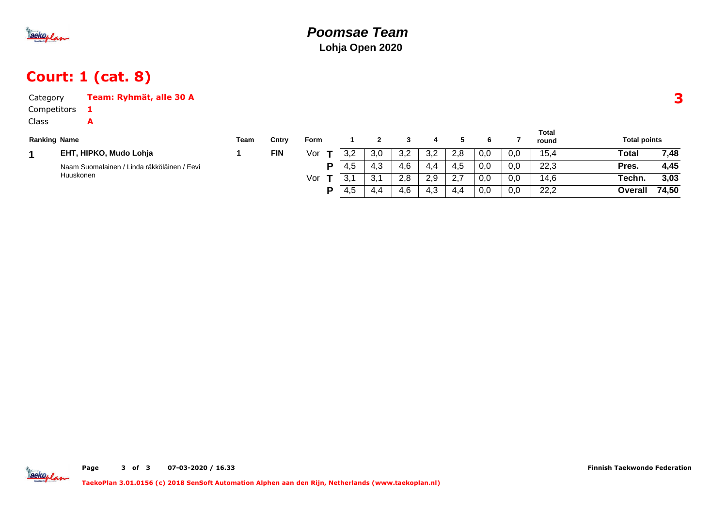

# Court: 1 (cat. 8)

| Category            | Team: Ryhmät, alle 30 A                     |      |            |             |     |              |     |     |     |     |     |                |                     |       |  |
|---------------------|---------------------------------------------|------|------------|-------------|-----|--------------|-----|-----|-----|-----|-----|----------------|---------------------|-------|--|
| Competitors         |                                             |      |            |             |     |              |     |     |     |     |     |                |                     |       |  |
| Class               | A                                           |      |            |             |     |              |     |     |     |     |     |                |                     |       |  |
| <b>Ranking Name</b> |                                             | Team | Cntry      | <b>Form</b> |     | $\mathbf{2}$ | 3   | 4   | 5.  | 6   |     | Total<br>round | <b>Total points</b> |       |  |
| 1                   | EHT, HIPKO, Mudo Lohja                      |      | <b>FIN</b> | Vor         | 3,2 | 3,0          | 3,2 | 3,2 | 2,8 | 0,0 | 0,0 | 15,4           | Total               | 7,48  |  |
|                     | Naam Suomalainen / Linda räkköläinen / Eevi |      |            | P           | 4,5 | 4,3          | 4,6 | 4.4 | 4,5 | 0,0 | 0,0 | 22,3           | Pres.               | 4,45  |  |
|                     | Huuskonen                                   |      |            | Vor         |     | 3,1          | 2.8 | 2,9 | 2,7 | 0,0 | 0,0 | 14,6           | Techn.              | 3,03  |  |
|                     |                                             |      |            | P           | 4,5 | 4,4          | 4,6 | 4,3 | 4,4 | 0,0 | 0,0 | 22,2           | <b>Overall</b>      | 74,50 |  |



Page <sup>3</sup>of <sup>3</sup> 07-03-2020 / 16.33 Finnish Taekwondo Federation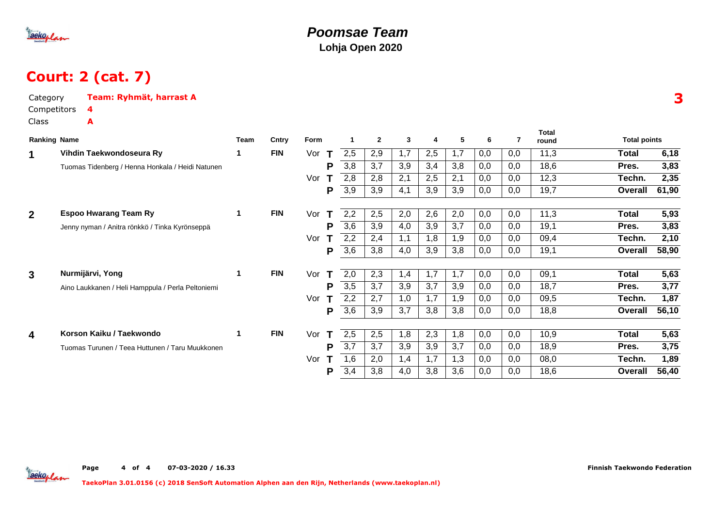

# Court: 2 (cat. 7)

| Category<br>Competitors | Team: Ryhmät, harrast A<br>4                      |   |            |          |     |                |     |     |     |     |     |                       |                     |       |
|-------------------------|---------------------------------------------------|---|------------|----------|-----|----------------|-----|-----|-----|-----|-----|-----------------------|---------------------|-------|
| Class                   | A                                                 |   |            |          |     |                |     |     |     |     |     |                       |                     |       |
|                         | <b>Ranking Name</b>                               |   | Cntry      | Form     |     | $\overline{2}$ | 3   | 4   | 5   | 6   | 7   | <b>Total</b><br>round | <b>Total points</b> |       |
| 1                       | Vihdin Taekwondoseura Ry                          |   | <b>FIN</b> | Vor<br>T | 2,5 | 2,9            | 1,7 | 2,5 | 1,7 | 0,0 | 0,0 | 11,3                  | Total               | 6,18  |
|                         | Tuomas Tidenberg / Henna Honkala / Heidi Natunen  |   |            | P        | 3,8 | 3,7            | 3,9 | 3,4 | 3,8 | 0,0 | 0,0 | 18,6                  | Pres.               | 3,83  |
|                         |                                                   |   |            | Vor      | 2,8 | 2,8            | 2,1 | 2,5 | 2,1 | 0,0 | 0,0 | 12,3                  | Techn.              | 2,35  |
|                         |                                                   |   |            | P        | 3,9 | 3,9            | 4,1 | 3,9 | 3,9 | 0,0 | 0,0 | 19,7                  | Overall             | 61,90 |
| $\overline{2}$          | <b>Espoo Hwarang Team Ry</b>                      | 1 | <b>FIN</b> | Vor<br>Т | 2,2 | 2,5            | 2,0 | 2,6 | 2,0 | 0,0 | 0,0 | 11,3                  | <b>Total</b>        | 5,93  |
|                         | Jenny nyman / Anitra rönkkö / Tinka Kyrönseppä    |   |            | P        | 3,6 | 3,9            | 4,0 | 3,9 | 3,7 | 0,0 | 0,0 | 19,1                  | Pres.               | 3,83  |
|                         |                                                   |   |            | Vor      | 2,2 | 2,4            | 1,1 | 1,8 | 1,9 | 0,0 | 0,0 | 09,4                  | Techn.              | 2,10  |
|                         |                                                   |   |            | P        | 3,6 | 3,8            | 4,0 | 3,9 | 3,8 | 0,0 | 0,0 | 19,1                  | <b>Overall</b>      | 58,90 |
| 3                       | Nurmijärvi, Yong                                  | 1 | <b>FIN</b> | Vor<br>T | 2,0 | 2,3            | 1,4 | 1,7 | 1,7 | 0,0 | 0,0 | 09,1                  | <b>Total</b>        | 5,63  |
|                         | Aino Laukkanen / Heli Hamppula / Perla Peltoniemi |   |            | P        | 3,5 | 3,7            | 3,9 | 3,7 | 3,9 | 0,0 | 0,0 | 18,7                  | Pres.               | 3,77  |
|                         |                                                   |   |            | Vor      | 2,2 | 2,7            | 1,0 | 1,7 | 1,9 | 0,0 | 0,0 | 09,5                  | Techn.              | 1,87  |
|                         |                                                   |   |            | P        | 3,6 | 3,9            | 3,7 | 3,8 | 3,8 | 0,0 | 0,0 | 18,8                  | <b>Overall</b>      | 56,10 |
| 4                       | Korson Kaiku / Taekwondo                          | 1 | <b>FIN</b> | Vor<br>т | 2,5 | 2,5            | 1,8 | 2,3 | 1,8 | 0,0 | 0,0 | 10,9                  | <b>Total</b>        | 5,63  |
|                         | Tuomas Turunen / Teea Huttunen / Taru Muukkonen   |   |            | P        | 3,7 | 3,7            | 3,9 | 3,9 | 3,7 | 0,0 | 0,0 | 18,9                  | Pres.               | 3,75  |
|                         |                                                   |   |            | Vor      | 1,6 | 2,0            | 1,4 | 1,7 | 1,3 | 0,0 | 0,0 | 08,0                  | Techn.              | 1,89  |
|                         |                                                   |   |            | Ρ        | 3,4 | 3,8            | 4,0 | 3,8 | 3,6 | 0,0 | 0,0 | 18,6                  | <b>Overall</b>      | 56,40 |

3